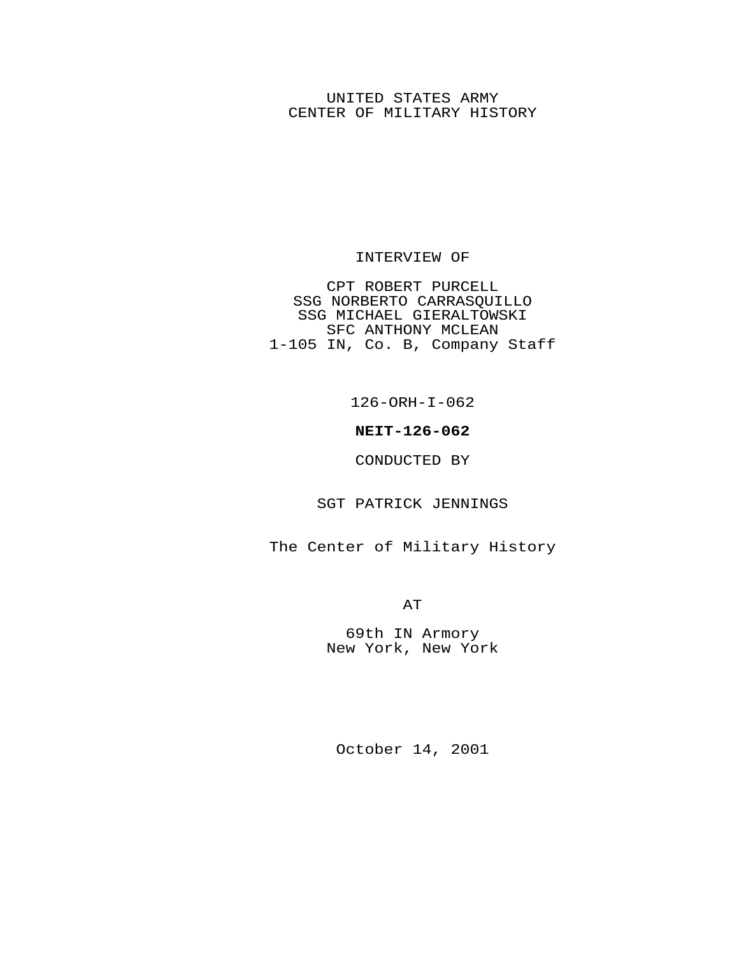## UNITED STATES ARMY CENTER OF MILITARY HISTORY

#### INTERVIEW OF

CPT ROBERT PURCELL SSG NORBERTO CARRASQUILLO SSG MICHAEL GIERALTOWSKI SFC ANTHONY MCLEAN 1-105 IN, Co. B, Company Staff

126-ORH-I-062

## **NEIT-126-062**

#### CONDUCTED BY

## SGT PATRICK JENNINGS

The Center of Military History

AT

69th IN Armory New York, New York

October 14, 2001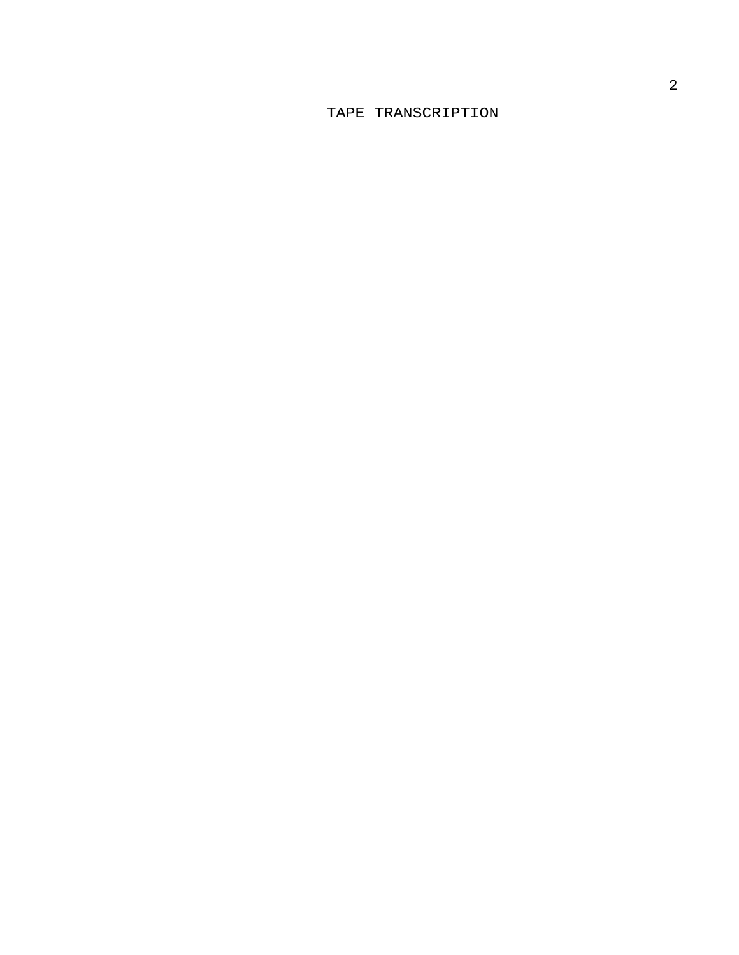# TAPE TRANSCRIPTION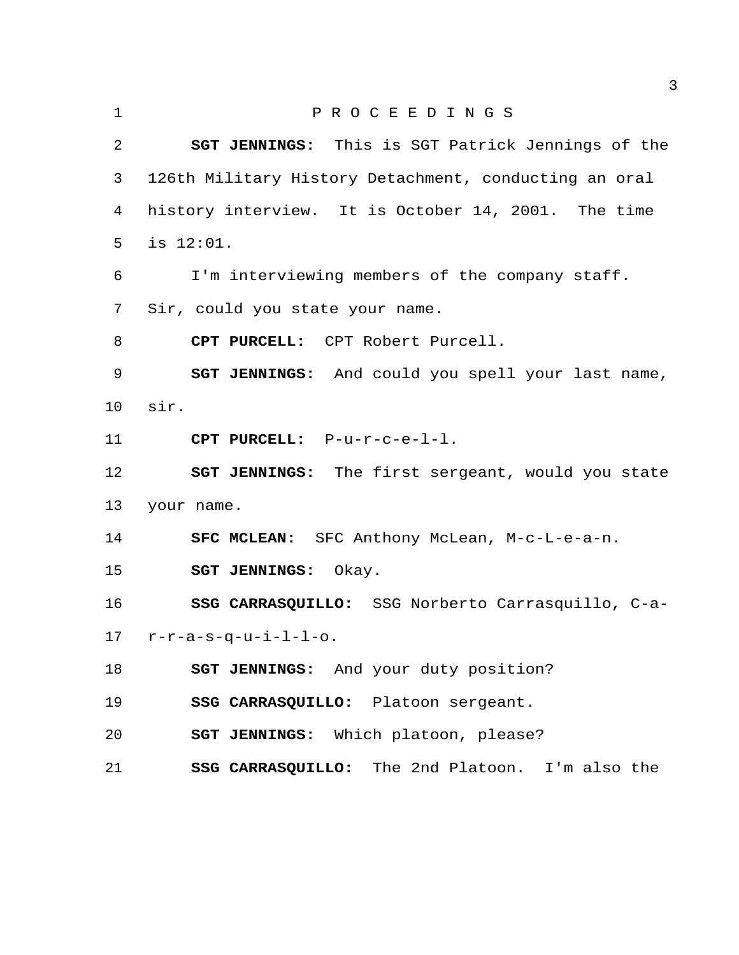| 1       | PROCEEDINGS                                              |
|---------|----------------------------------------------------------|
| 2       | SGT JENNINGS: This is SGT Patrick Jennings of the        |
| 3       | 126th Military History Detachment, conducting an oral    |
| 4       | history interview. It is October 14, 2001. The time      |
| 5       | is $12:01$ .                                             |
| 6       | I'm interviewing members of the company staff.           |
| 7       | Sir, could you state your name.                          |
| 8       | CPT PURCELL: CPT Robert Purcell.                         |
| 9       | <b>SGT JENNINGS:</b> And could you spell your last name, |
| $10 \,$ | sir.                                                     |
| 11      | CPT PURCELL: P-u-r-c-e-l-l.                              |
| 12      | <b>SGT JENNINGS:</b> The first sergeant, would you state |
| 13      | your name.                                               |
| 14      | SFC MCLEAN: SFC Anthony McLean, M-c-L-e-a-n.             |
| 15      | SGT JENNINGS: Okay.                                      |
| 16      | SSG CARRASQUILLO: SSG Norberto Carrasquillo, C-a-        |
| 17      | $r-r-a-s-q-u-i-l-l-o.$                                   |
| 18      | SGT JENNINGS: And your duty position?                    |
| 19      | SSG CARRASQUILLO: Platoon sergeant.                      |
| 20      | SGT JENNINGS: Which platoon, please?                     |
| 21      | <b>SSG CARRASQUILLO:</b> The 2nd Platoon. I'm also the   |
|         |                                                          |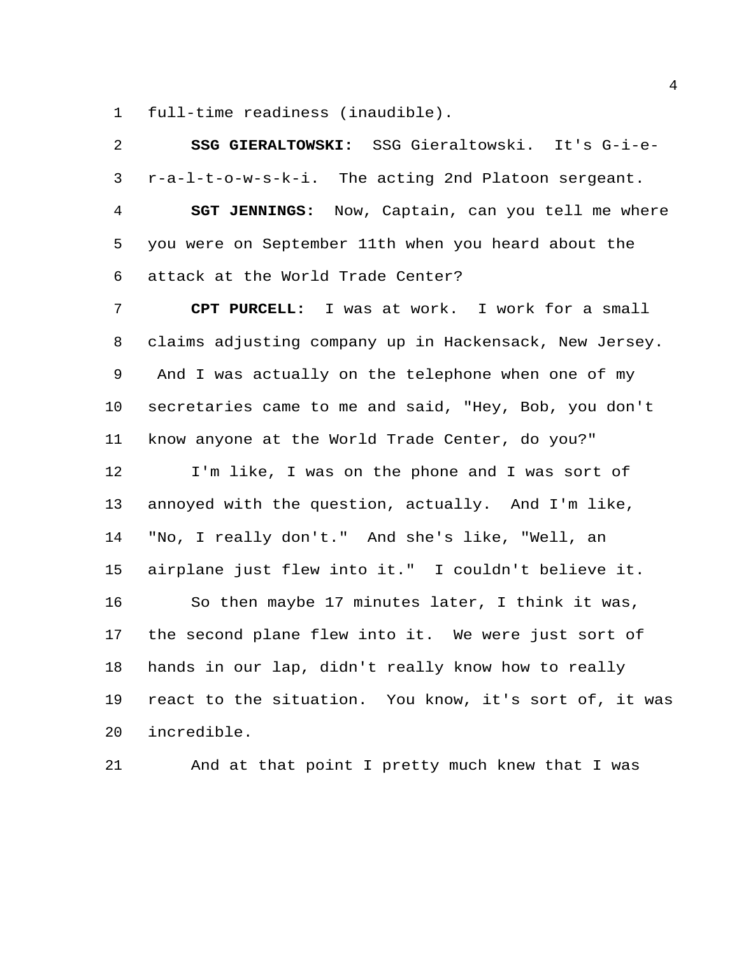full-time readiness (inaudible).

| 2              | SSG GIERALTOWSKI: SSG Gieraltowski. It's G-i-e-          |
|----------------|----------------------------------------------------------|
| 3              | r-a-l-t-o-w-s-k-i. The acting 2nd Platoon sergeant.      |
| $\overline{4}$ | <b>SGT JENNINGS:</b> Now, Captain, can you tell me where |
| 5              | you were on September 11th when you heard about the      |
| 6              | attack at the World Trade Center?                        |
| 7              | I was at work. I work for a small<br>CPT PURCELL:        |
| 8              | claims adjusting company up in Hackensack, New Jersey.   |
| 9              | And I was actually on the telephone when one of my       |
| 10             | secretaries came to me and said, "Hey, Bob, you don't    |
| 11             | know anyone at the World Trade Center, do you?"          |
| 12             | I'm like, I was on the phone and I was sort of           |
| 13             | annoyed with the question, actually. And I'm like,       |
| 14             | "No, I really don't." And she's like, "Well, an          |
| 15             | airplane just flew into it." I couldn't believe it.      |
| 16             | So then maybe 17 minutes later, I think it was,          |
| 17             | the second plane flew into it. We were just sort of      |
| 18             | hands in our lap, didn't really know how to really       |
| 19             | react to the situation. You know, it's sort of, it was   |
| 20             | incredible.                                              |

And at that point I pretty much knew that I was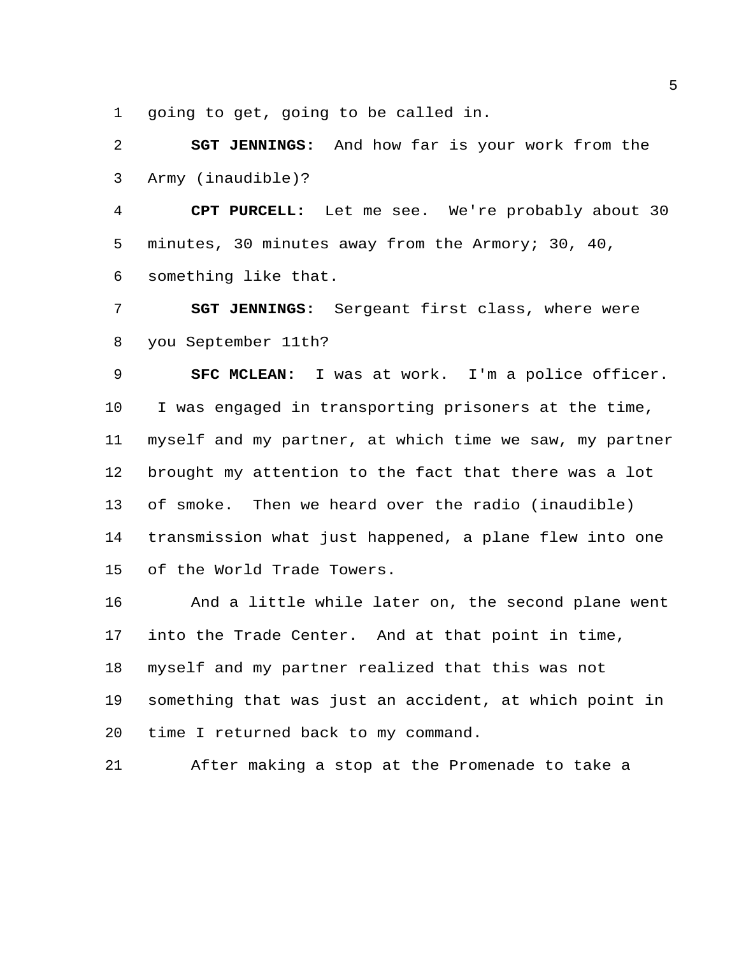going to get, going to be called in.

 **SGT JENNINGS:** And how far is your work from the Army (inaudible)?

 **CPT PURCELL:** Let me see. We're probably about 30 minutes, 30 minutes away from the Armory; 30, 40, something like that.

 **SGT JENNINGS:** Sergeant first class, where were you September 11th?

 **SFC MCLEAN:** I was at work. I'm a police officer. I was engaged in transporting prisoners at the time, myself and my partner, at which time we saw, my partner brought my attention to the fact that there was a lot of smoke. Then we heard over the radio (inaudible) transmission what just happened, a plane flew into one of the World Trade Towers.

 And a little while later on, the second plane went into the Trade Center. And at that point in time, myself and my partner realized that this was not something that was just an accident, at which point in time I returned back to my command.

After making a stop at the Promenade to take a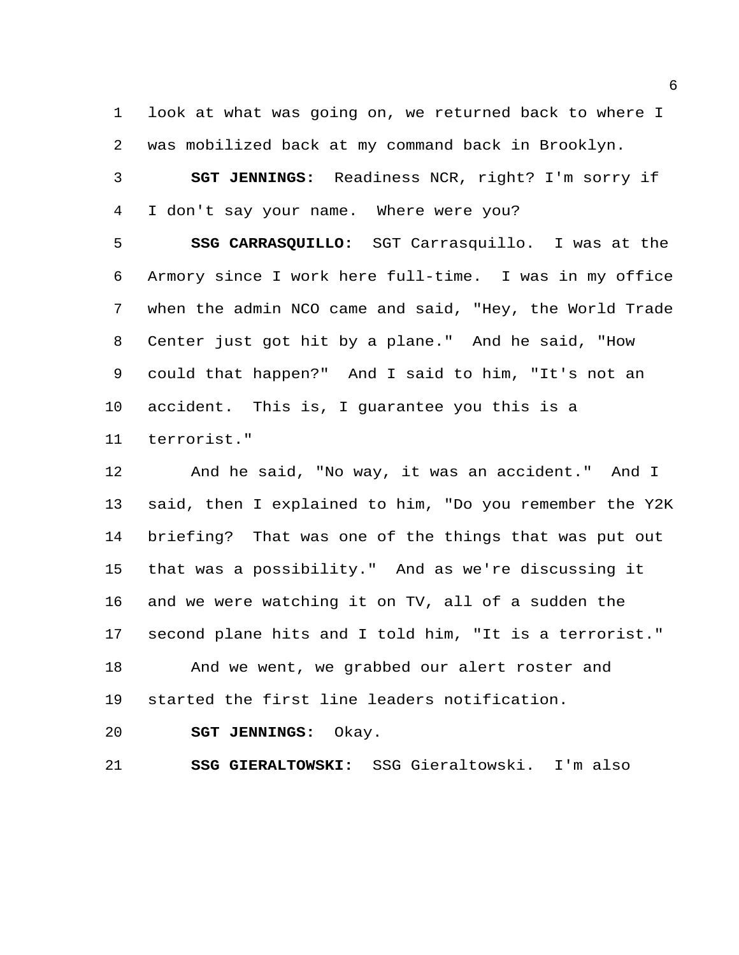look at what was going on, we returned back to where I was mobilized back at my command back in Brooklyn.

 **SGT JENNINGS:** Readiness NCR, right? I'm sorry if I don't say your name. Where were you?

 **SSG CARRASQUILLO:** SGT Carrasquillo. I was at the Armory since I work here full-time. I was in my office when the admin NCO came and said, "Hey, the World Trade Center just got hit by a plane." And he said, "How could that happen?" And I said to him, "It's not an accident. This is, I guarantee you this is a terrorist."

 And he said, "No way, it was an accident." And I said, then I explained to him, "Do you remember the Y2K briefing? That was one of the things that was put out that was a possibility." And as we're discussing it and we were watching it on TV, all of a sudden the second plane hits and I told him, "It is a terrorist." And we went, we grabbed our alert roster and started the first line leaders notification.

**SGT JENNINGS:** Okay.

**SSG GIERALTOWSKI:** SSG Gieraltowski. I'm also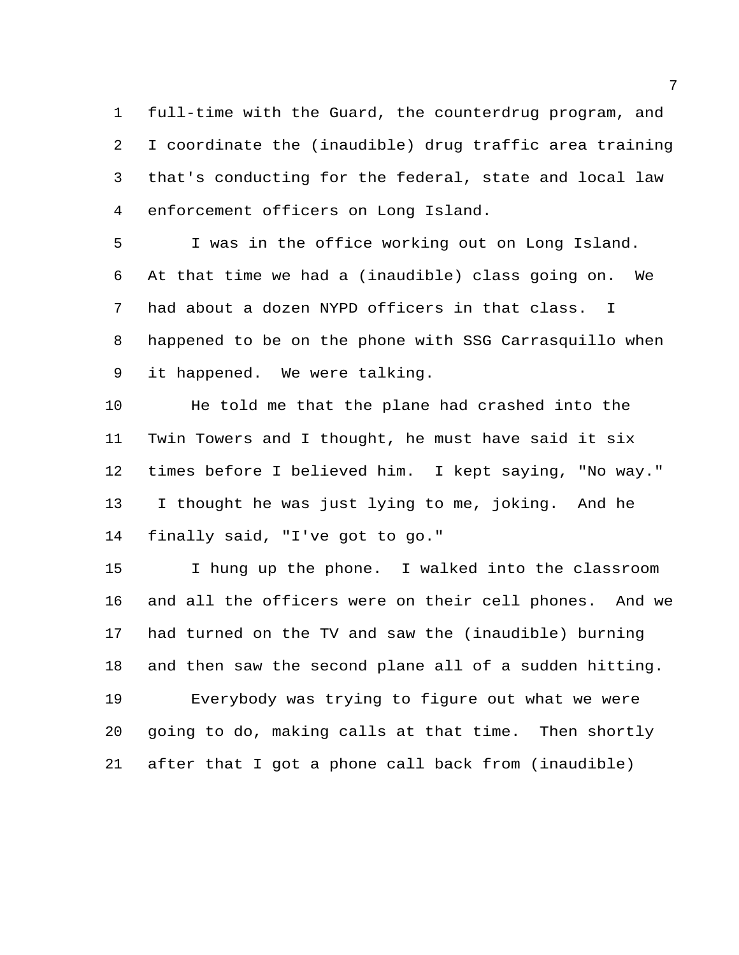full-time with the Guard, the counterdrug program, and I coordinate the (inaudible) drug traffic area training that's conducting for the federal, state and local law enforcement officers on Long Island.

 I was in the office working out on Long Island. At that time we had a (inaudible) class going on. We had about a dozen NYPD officers in that class. I happened to be on the phone with SSG Carrasquillo when it happened. We were talking.

 He told me that the plane had crashed into the Twin Towers and I thought, he must have said it six times before I believed him. I kept saying, "No way." I thought he was just lying to me, joking. And he finally said, "I've got to go."

 I hung up the phone. I walked into the classroom and all the officers were on their cell phones. And we had turned on the TV and saw the (inaudible) burning and then saw the second plane all of a sudden hitting. Everybody was trying to figure out what we were going to do, making calls at that time. Then shortly after that I got a phone call back from (inaudible)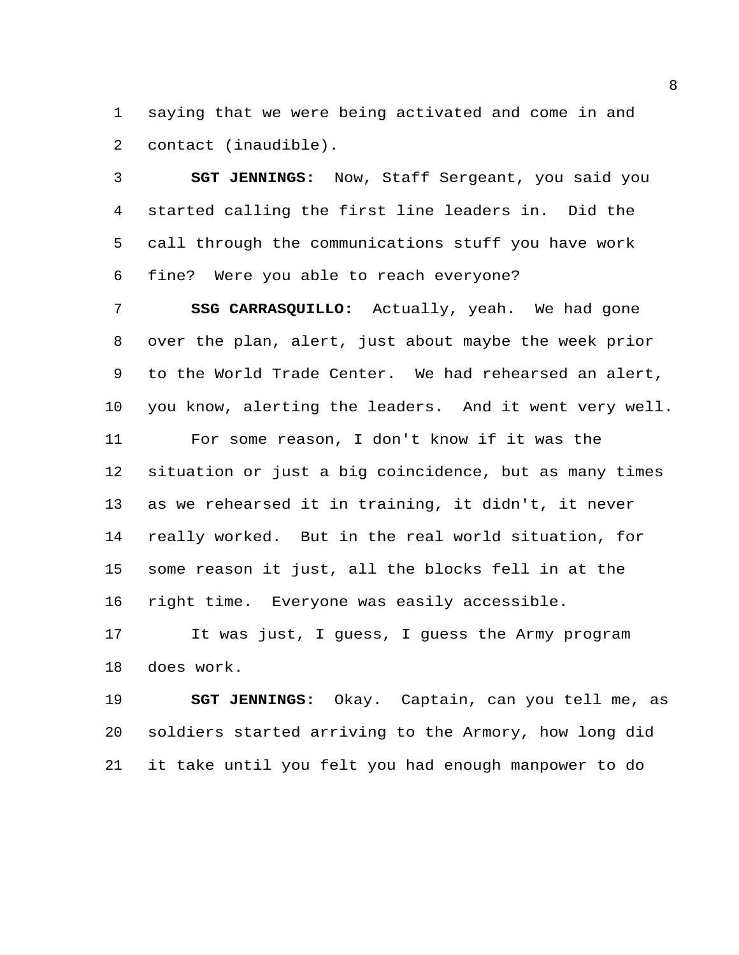saying that we were being activated and come in and contact (inaudible).

 **SGT JENNINGS:** Now, Staff Sergeant, you said you started calling the first line leaders in. Did the call through the communications stuff you have work fine? Were you able to reach everyone?

 **SSG CARRASQUILLO:** Actually, yeah. We had gone over the plan, alert, just about maybe the week prior to the World Trade Center. We had rehearsed an alert, you know, alerting the leaders. And it went very well. For some reason, I don't know if it was the situation or just a big coincidence, but as many times as we rehearsed it in training, it didn't, it never really worked. But in the real world situation, for some reason it just, all the blocks fell in at the right time. Everyone was easily accessible.

 It was just, I guess, I guess the Army program does work.

 **SGT JENNINGS:** Okay. Captain, can you tell me, as soldiers started arriving to the Armory, how long did it take until you felt you had enough manpower to do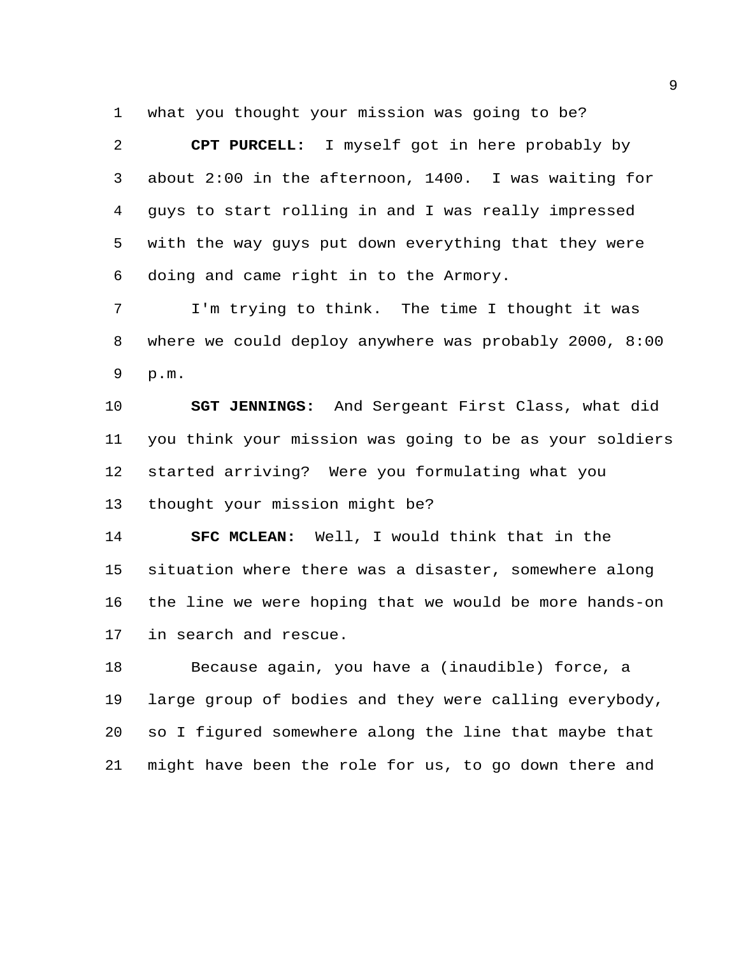what you thought your mission was going to be?

 **CPT PURCELL:** I myself got in here probably by about 2:00 in the afternoon, 1400. I was waiting for guys to start rolling in and I was really impressed with the way guys put down everything that they were doing and came right in to the Armory.

 I'm trying to think. The time I thought it was where we could deploy anywhere was probably 2000, 8:00 p.m.

 **SGT JENNINGS:** And Sergeant First Class, what did you think your mission was going to be as your soldiers started arriving? Were you formulating what you thought your mission might be?

 **SFC MCLEAN:** Well, I would think that in the situation where there was a disaster, somewhere along the line we were hoping that we would be more hands-on in search and rescue.

 Because again, you have a (inaudible) force, a large group of bodies and they were calling everybody, so I figured somewhere along the line that maybe that might have been the role for us, to go down there and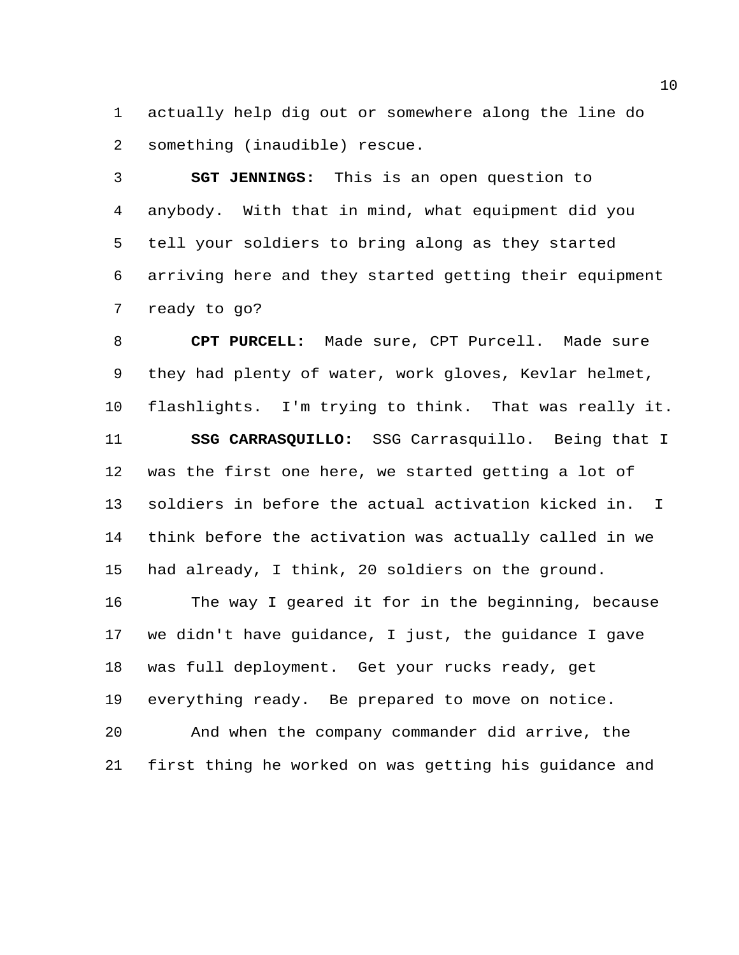actually help dig out or somewhere along the line do something (inaudible) rescue.

 **SGT JENNINGS:** This is an open question to anybody. With that in mind, what equipment did you tell your soldiers to bring along as they started arriving here and they started getting their equipment ready to go?

 **CPT PURCELL:** Made sure, CPT Purcell. Made sure they had plenty of water, work gloves, Kevlar helmet, flashlights. I'm trying to think. That was really it. **SSG CARRASQUILLO:** SSG Carrasquillo. Being that I was the first one here, we started getting a lot of soldiers in before the actual activation kicked in. I think before the activation was actually called in we had already, I think, 20 soldiers on the ground. The way I geared it for in the beginning, because we didn't have guidance, I just, the guidance I gave was full deployment. Get your rucks ready, get everything ready. Be prepared to move on notice. And when the company commander did arrive, the first thing he worked on was getting his guidance and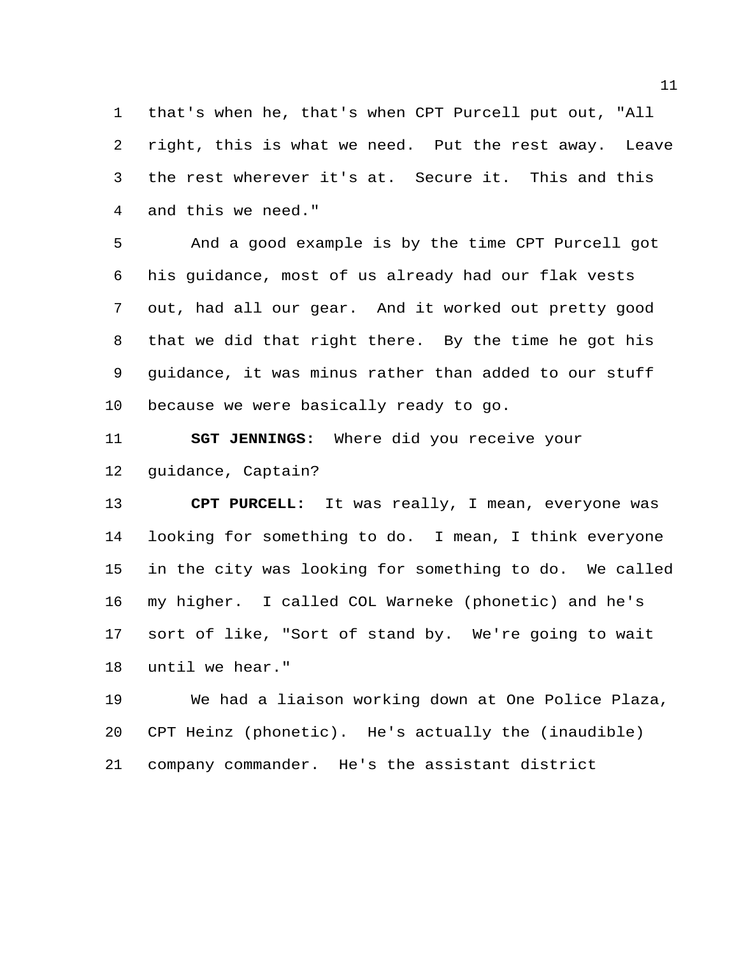that's when he, that's when CPT Purcell put out, "All right, this is what we need. Put the rest away. Leave the rest wherever it's at. Secure it. This and this and this we need."

 And a good example is by the time CPT Purcell got his guidance, most of us already had our flak vests out, had all our gear. And it worked out pretty good that we did that right there. By the time he got his guidance, it was minus rather than added to our stuff because we were basically ready to go.

 **SGT JENNINGS:** Where did you receive your guidance, Captain?

 **CPT PURCELL:** It was really, I mean, everyone was looking for something to do. I mean, I think everyone in the city was looking for something to do. We called my higher. I called COL Warneke (phonetic) and he's sort of like, "Sort of stand by. We're going to wait until we hear."

 We had a liaison working down at One Police Plaza, CPT Heinz (phonetic). He's actually the (inaudible) company commander. He's the assistant district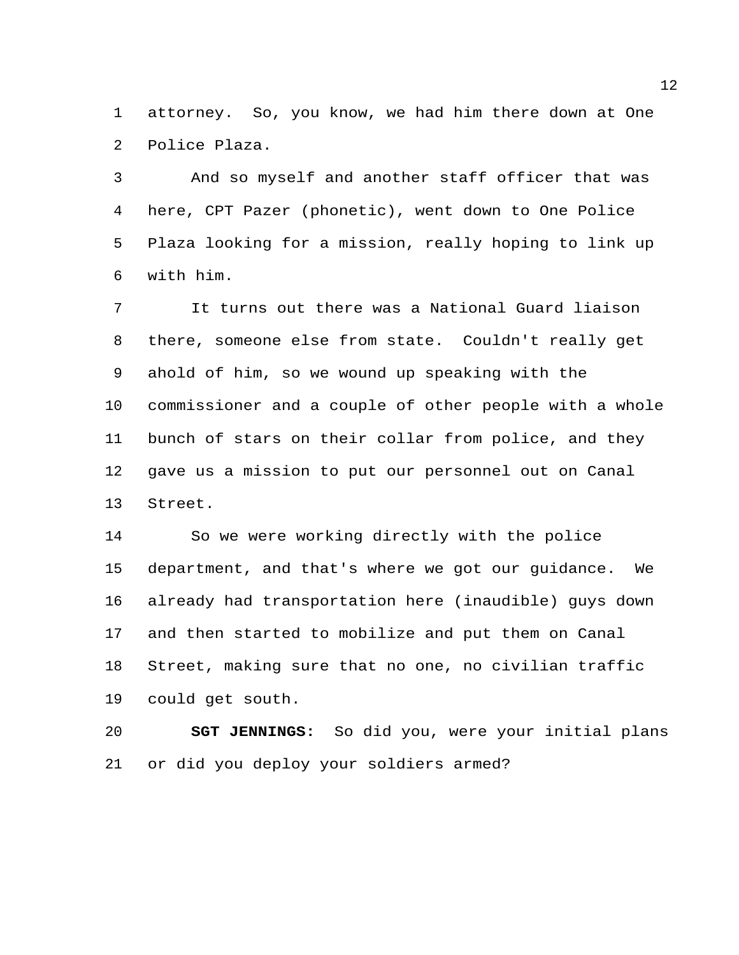attorney. So, you know, we had him there down at One Police Plaza.

 And so myself and another staff officer that was here, CPT Pazer (phonetic), went down to One Police Plaza looking for a mission, really hoping to link up with him.

 It turns out there was a National Guard liaison there, someone else from state. Couldn't really get ahold of him, so we wound up speaking with the commissioner and a couple of other people with a whole bunch of stars on their collar from police, and they gave us a mission to put our personnel out on Canal Street.

 So we were working directly with the police department, and that's where we got our guidance. We already had transportation here (inaudible) guys down and then started to mobilize and put them on Canal Street, making sure that no one, no civilian traffic could get south.

 **SGT JENNINGS:** So did you, were your initial plans or did you deploy your soldiers armed?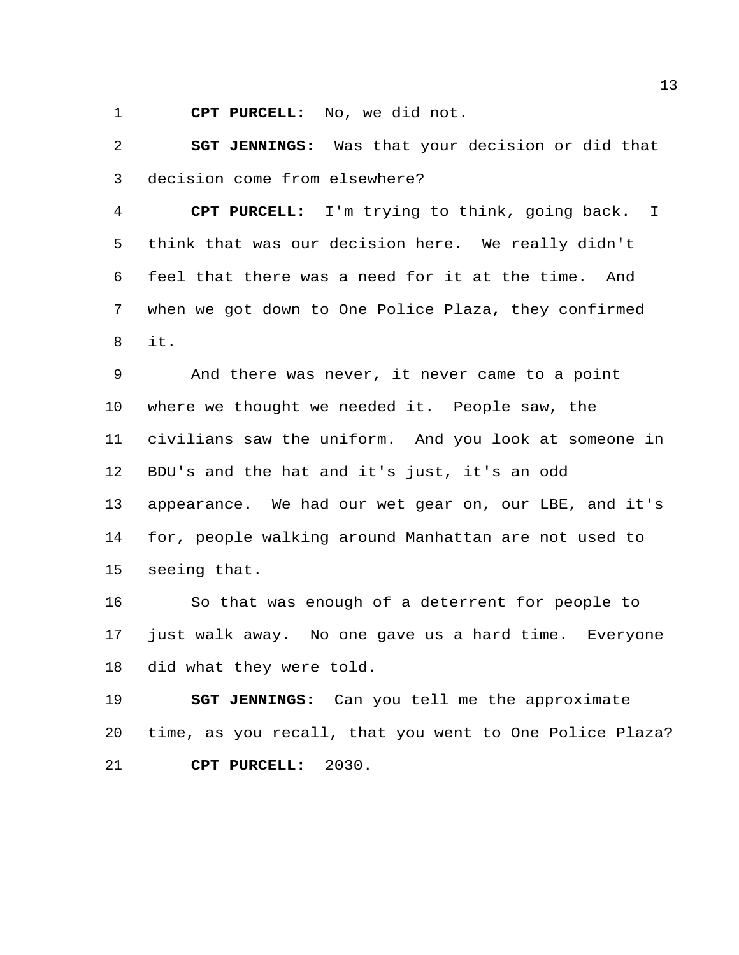**CPT PURCELL:** No, we did not.

 **SGT JENNINGS:** Was that your decision or did that decision come from elsewhere?

 **CPT PURCELL:** I'm trying to think, going back. I think that was our decision here. We really didn't feel that there was a need for it at the time. And when we got down to One Police Plaza, they confirmed it.

 And there was never, it never came to a point where we thought we needed it. People saw, the civilians saw the uniform. And you look at someone in BDU's and the hat and it's just, it's an odd appearance. We had our wet gear on, our LBE, and it's for, people walking around Manhattan are not used to seeing that.

 So that was enough of a deterrent for people to just walk away. No one gave us a hard time. Everyone did what they were told.

 **SGT JENNINGS:** Can you tell me the approximate time, as you recall, that you went to One Police Plaza? **CPT PURCELL:** 2030.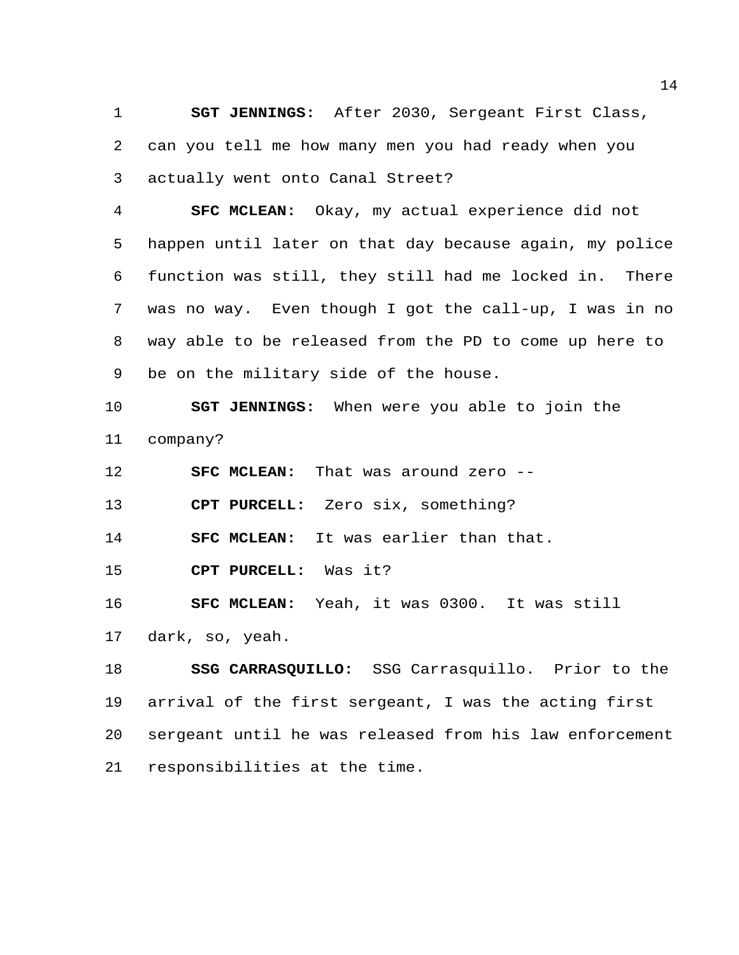**SGT JENNINGS:** After 2030, Sergeant First Class, can you tell me how many men you had ready when you actually went onto Canal Street?

 **SFC MCLEAN:** Okay, my actual experience did not happen until later on that day because again, my police function was still, they still had me locked in. There was no way. Even though I got the call-up, I was in no way able to be released from the PD to come up here to be on the military side of the house.

 **SGT JENNINGS:** When were you able to join the company?

**SFC MCLEAN:** That was around zero --

**CPT PURCELL:** Zero six, something?

**SFC MCLEAN:** It was earlier than that.

**CPT PURCELL:** Was it?

**SFC MCLEAN:** Yeah, it was 0300. It was still

dark, so, yeah.

 **SSG CARRASQUILLO:** SSG Carrasquillo. Prior to the arrival of the first sergeant, I was the acting first sergeant until he was released from his law enforcement responsibilities at the time.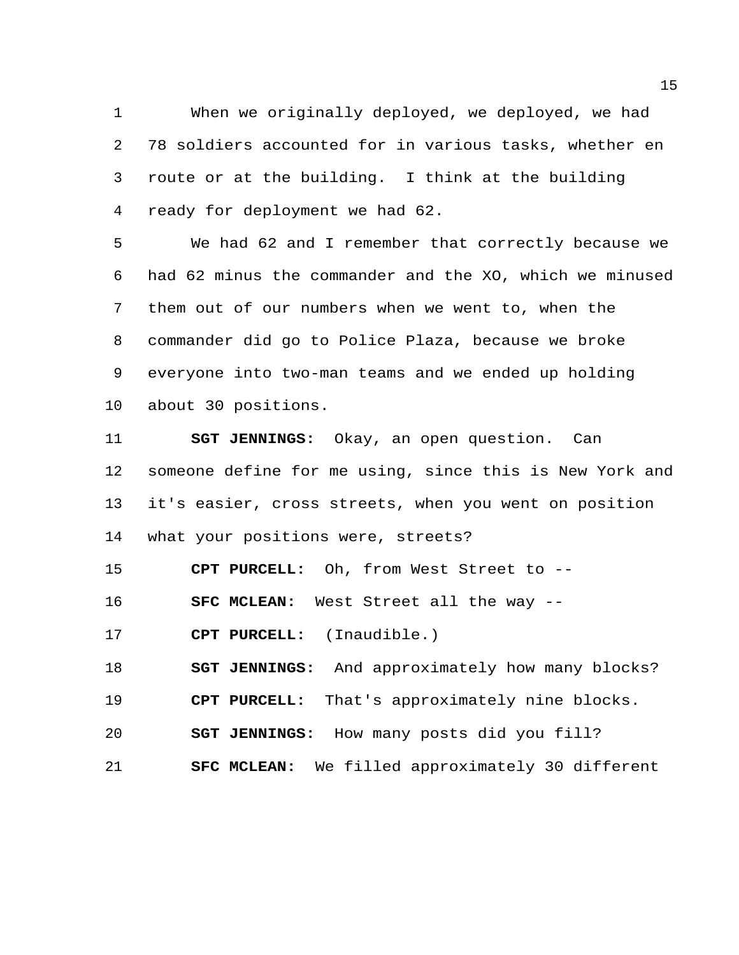When we originally deployed, we deployed, we had 78 soldiers accounted for in various tasks, whether en route or at the building. I think at the building ready for deployment we had 62.

 We had 62 and I remember that correctly because we had 62 minus the commander and the XO, which we minused them out of our numbers when we went to, when the commander did go to Police Plaza, because we broke everyone into two-man teams and we ended up holding about 30 positions.

 **SGT JENNINGS:** Okay, an open question. Can someone define for me using, since this is New York and it's easier, cross streets, when you went on position what your positions were, streets?

**CPT PURCELL:** Oh, from West Street to --

**SFC MCLEAN:** West Street all the way --

**CPT PURCELL:** (Inaudible.)

**SGT JENNINGS:** And approximately how many blocks?

**CPT PURCELL:** That's approximately nine blocks.

**SGT JENNINGS:** How many posts did you fill?

**SFC MCLEAN:** We filled approximately 30 different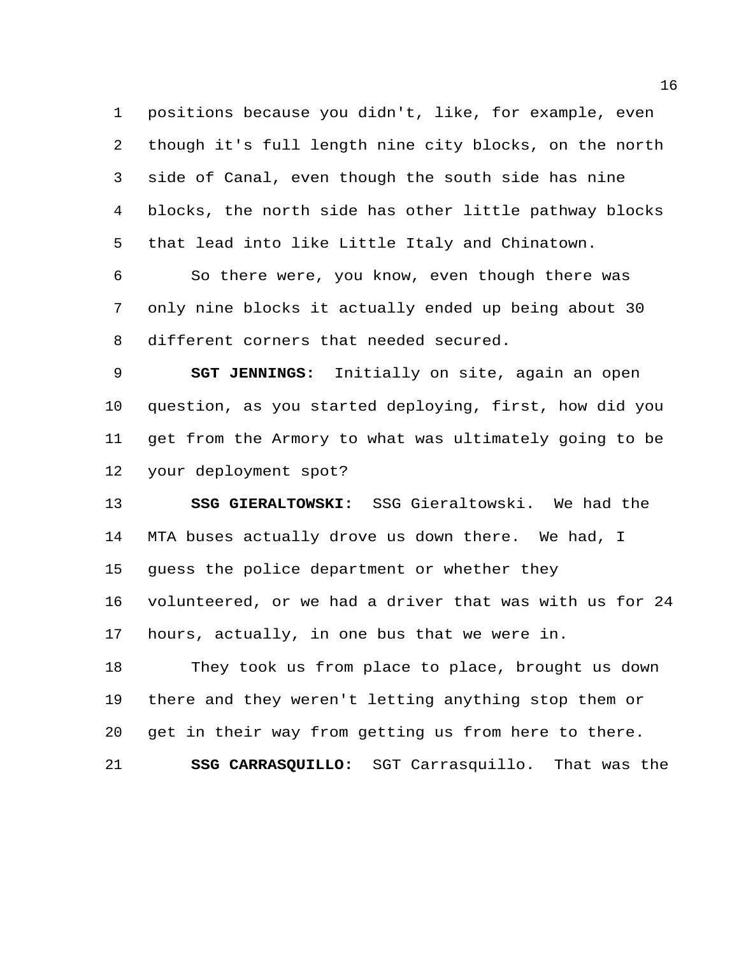positions because you didn't, like, for example, even though it's full length nine city blocks, on the north side of Canal, even though the south side has nine blocks, the north side has other little pathway blocks that lead into like Little Italy and Chinatown.

 So there were, you know, even though there was only nine blocks it actually ended up being about 30 different corners that needed secured.

 **SGT JENNINGS:** Initially on site, again an open question, as you started deploying, first, how did you get from the Armory to what was ultimately going to be your deployment spot?

 **SSG GIERALTOWSKI:** SSG Gieraltowski. We had the MTA buses actually drove us down there. We had, I guess the police department or whether they volunteered, or we had a driver that was with us for 24 hours, actually, in one bus that we were in.

 They took us from place to place, brought us down there and they weren't letting anything stop them or get in their way from getting us from here to there.

**SSG CARRASQUILLO:** SGT Carrasquillo. That was the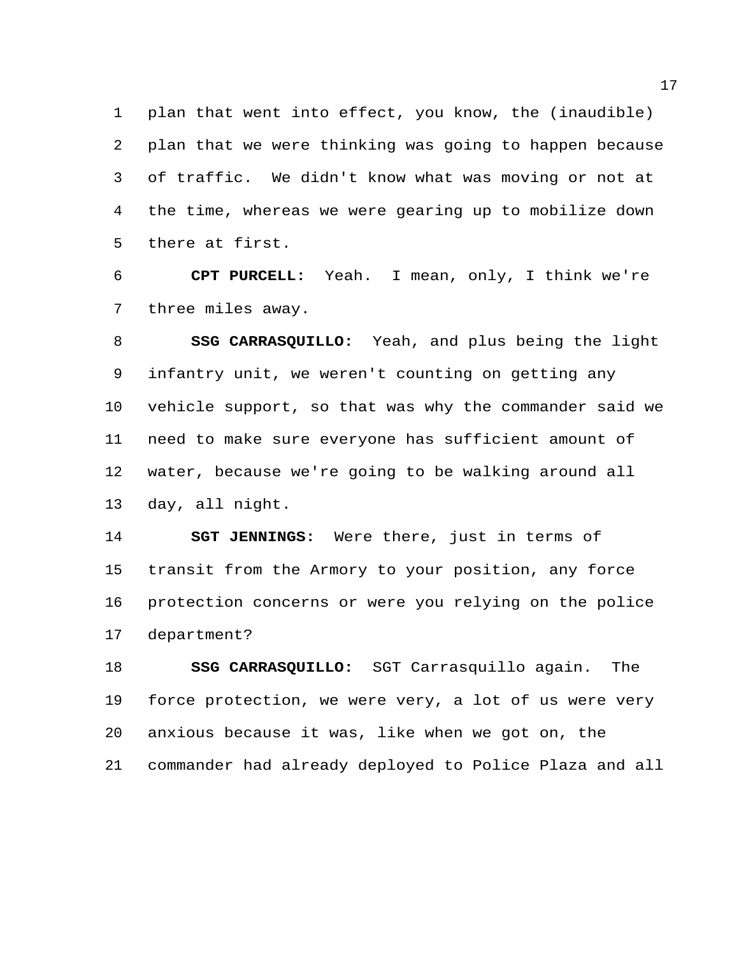plan that went into effect, you know, the (inaudible) plan that we were thinking was going to happen because of traffic. We didn't know what was moving or not at the time, whereas we were gearing up to mobilize down there at first.

 **CPT PURCELL:** Yeah. I mean, only, I think we're three miles away.

 **SSG CARRASQUILLO:** Yeah, and plus being the light infantry unit, we weren't counting on getting any vehicle support, so that was why the commander said we need to make sure everyone has sufficient amount of water, because we're going to be walking around all day, all night.

 **SGT JENNINGS:** Were there, just in terms of transit from the Armory to your position, any force protection concerns or were you relying on the police department?

 **SSG CARRASQUILLO:** SGT Carrasquillo again. The force protection, we were very, a lot of us were very anxious because it was, like when we got on, the commander had already deployed to Police Plaza and all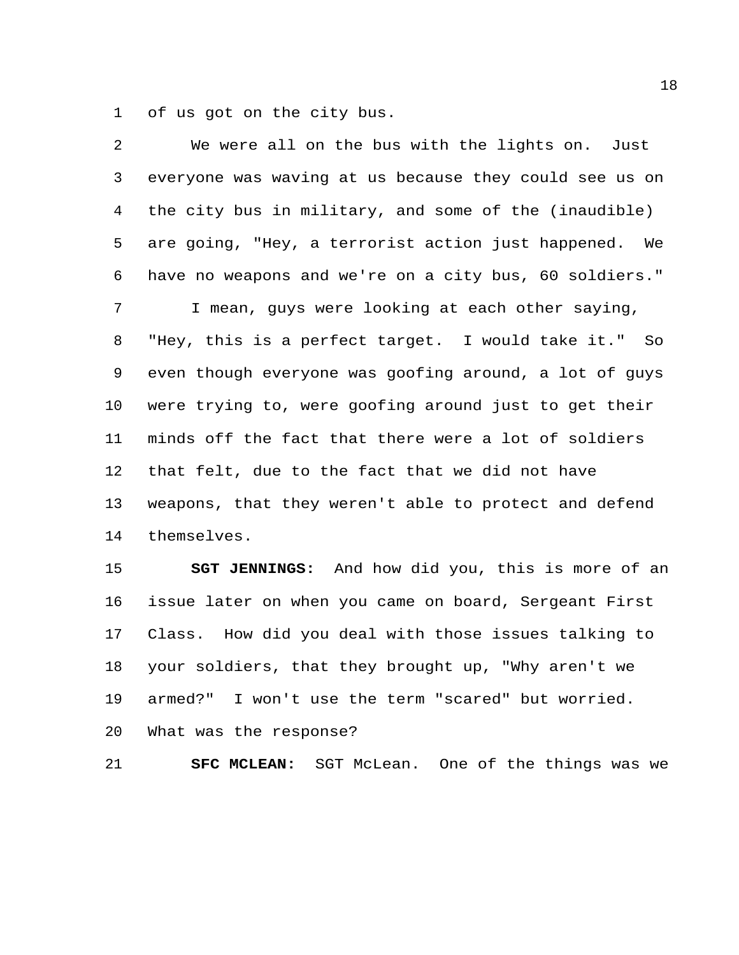of us got on the city bus.

| $\overline{2}$ | We were all on the bus with the lights on. Just        |
|----------------|--------------------------------------------------------|
| 3              | everyone was waving at us because they could see us on |
| 4              | the city bus in military, and some of the (inaudible)  |
| 5              | are going, "Hey, a terrorist action just happened. We  |
| 6              | have no weapons and we're on a city bus, 60 soldiers." |
| 7              | I mean, guys were looking at each other saying,        |
| 8              | "Hey, this is a perfect target. I would take it." So   |
| 9              | even though everyone was goofing around, a lot of guys |
| 10             | were trying to, were goofing around just to get their  |
| 11             | minds off the fact that there were a lot of soldiers   |
| 12             | that felt, due to the fact that we did not have        |
| 13             | weapons, that they weren't able to protect and defend  |
| 14             | themselves.                                            |
| 15             | SGT JENNINGS: And how did you, this is more of an      |
| 16             | issue later on when you came on board, Sergeant First  |
| 17             | Class. How did you deal with those issues talking to   |
| 18             | your soldiers, that they brought up, "Why aren't we    |
| 19             | I won't use the term "scared" but worried.<br>armed?"  |

What was the response?

**SFC MCLEAN:** SGT McLean. One of the things was we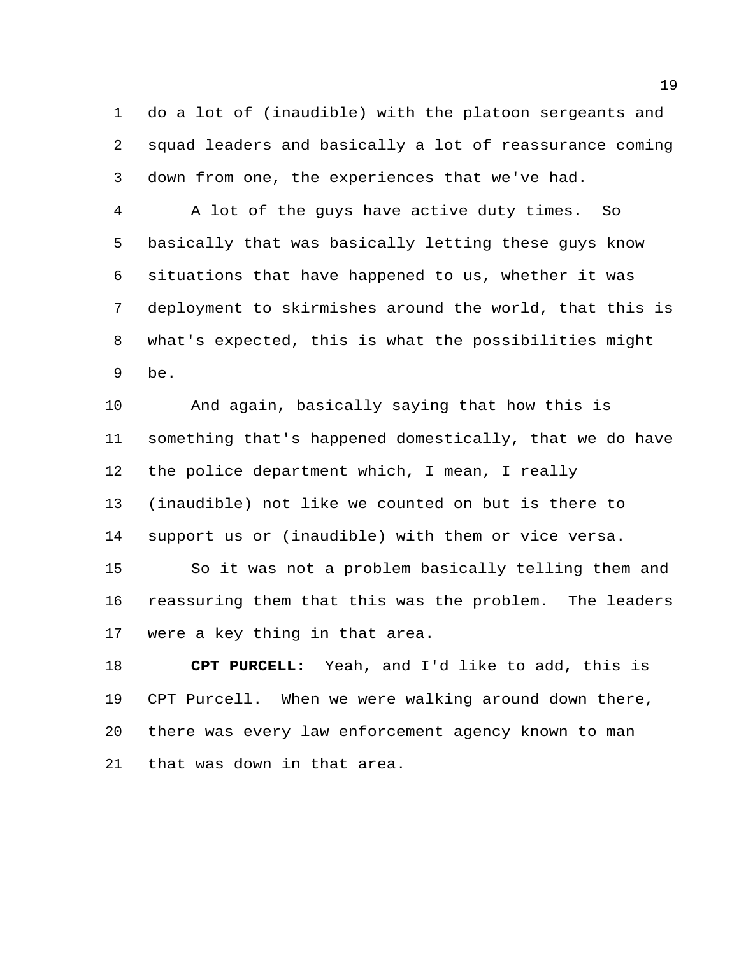do a lot of (inaudible) with the platoon sergeants and squad leaders and basically a lot of reassurance coming down from one, the experiences that we've had.

 A lot of the guys have active duty times. So basically that was basically letting these guys know situations that have happened to us, whether it was deployment to skirmishes around the world, that this is what's expected, this is what the possibilities might be.

 And again, basically saying that how this is something that's happened domestically, that we do have the police department which, I mean, I really (inaudible) not like we counted on but is there to support us or (inaudible) with them or vice versa. So it was not a problem basically telling them and

 reassuring them that this was the problem. The leaders were a key thing in that area.

 **CPT PURCELL:** Yeah, and I'd like to add, this is CPT Purcell. When we were walking around down there, there was every law enforcement agency known to man that was down in that area.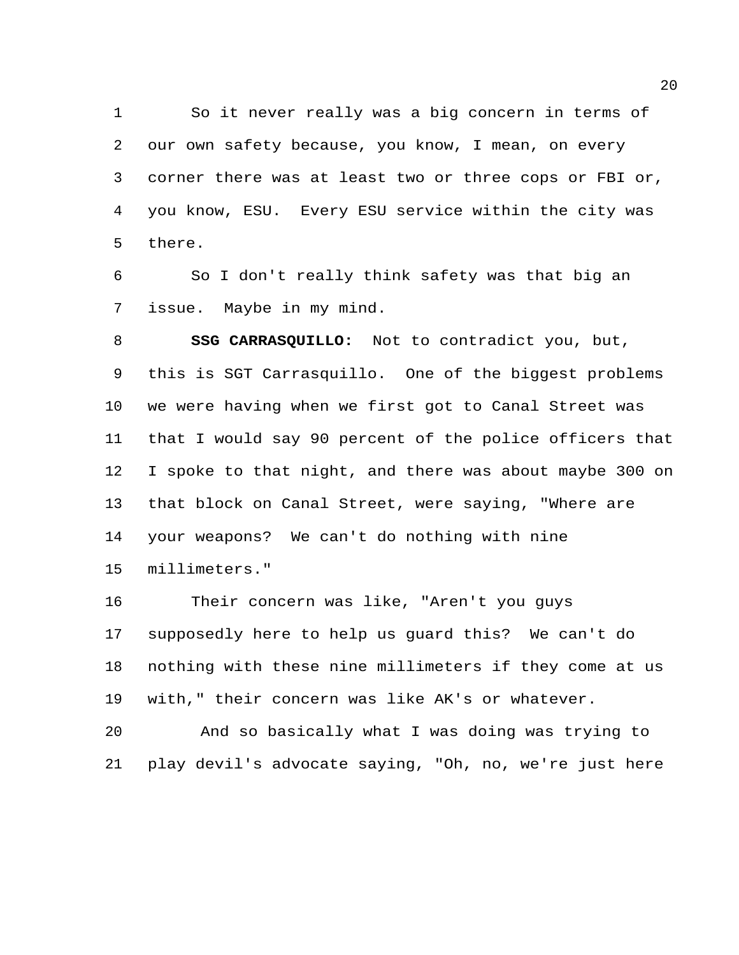So it never really was a big concern in terms of our own safety because, you know, I mean, on every corner there was at least two or three cops or FBI or, you know, ESU. Every ESU service within the city was there.

 So I don't really think safety was that big an issue. Maybe in my mind.

 **SSG CARRASQUILLO:** Not to contradict you, but, this is SGT Carrasquillo. One of the biggest problems we were having when we first got to Canal Street was that I would say 90 percent of the police officers that I spoke to that night, and there was about maybe 300 on that block on Canal Street, were saying, "Where are your weapons? We can't do nothing with nine millimeters."

 Their concern was like, "Aren't you guys supposedly here to help us guard this? We can't do nothing with these nine millimeters if they come at us with," their concern was like AK's or whatever.

 And so basically what I was doing was trying to play devil's advocate saying, "Oh, no, we're just here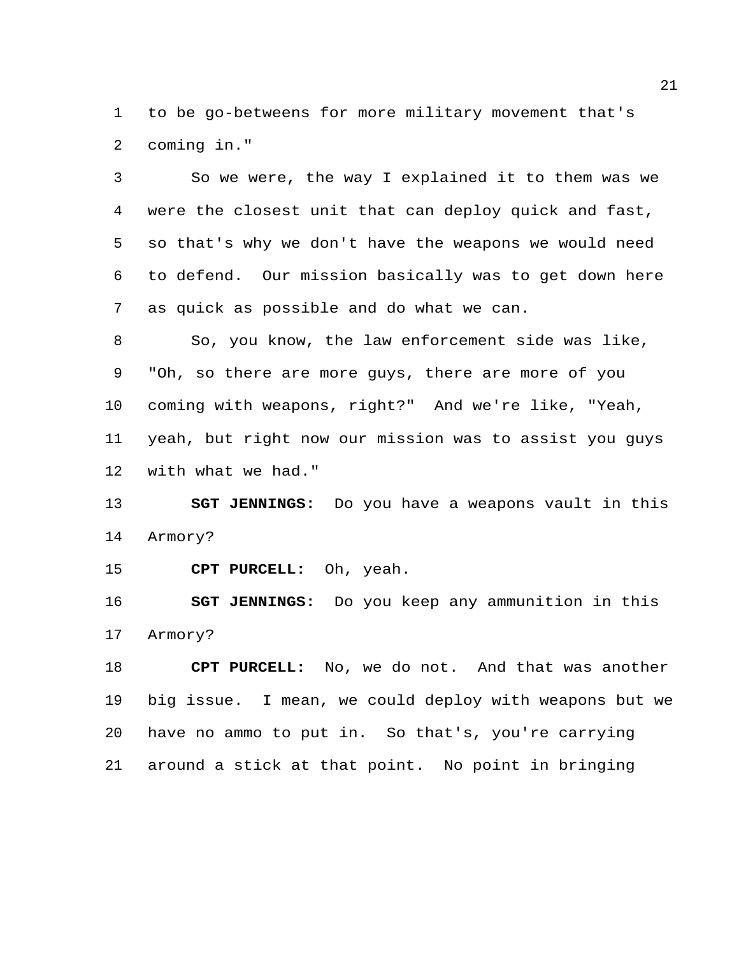to be go-betweens for more military movement that's coming in."

 So we were, the way I explained it to them was we were the closest unit that can deploy quick and fast, so that's why we don't have the weapons we would need to defend. Our mission basically was to get down here as quick as possible and do what we can.

 So, you know, the law enforcement side was like, "Oh, so there are more guys, there are more of you coming with weapons, right?" And we're like, "Yeah, yeah, but right now our mission was to assist you guys with what we had."

 **SGT JENNINGS:** Do you have a weapons vault in this Armory?

**CPT PURCELL:** Oh, yeah.

 **SGT JENNINGS:** Do you keep any ammunition in this Armory?

 **CPT PURCELL:** No, we do not. And that was another big issue. I mean, we could deploy with weapons but we have no ammo to put in. So that's, you're carrying around a stick at that point. No point in bringing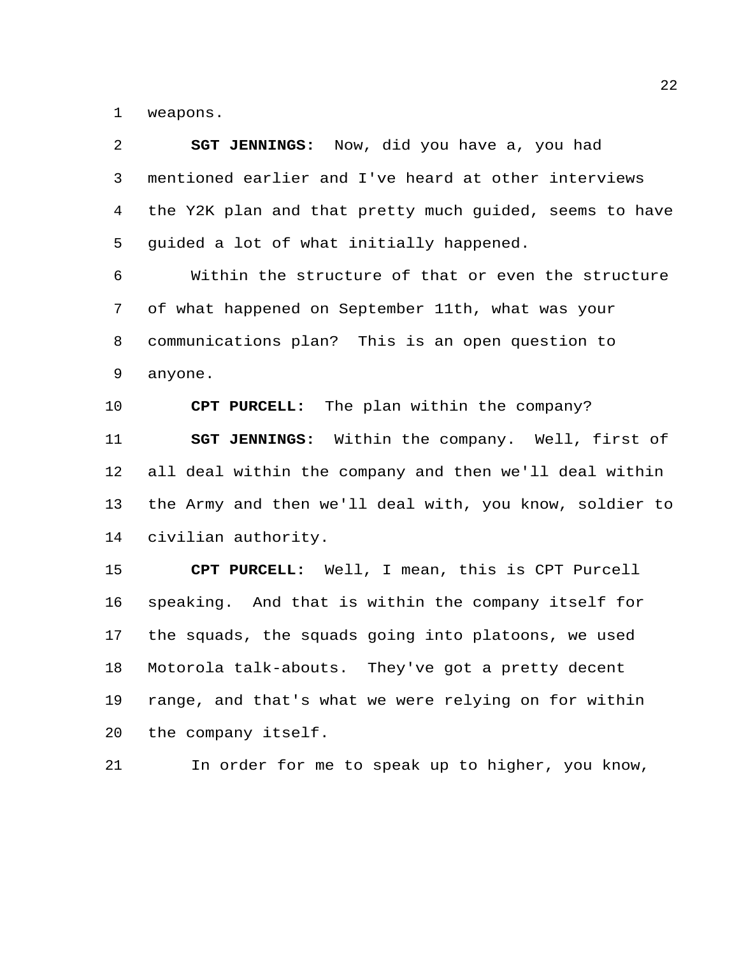weapons.

| $\overline{2}$ | <b>SGT JENNINGS:</b> Now, did you have a, you had       |
|----------------|---------------------------------------------------------|
| 3              | mentioned earlier and I've heard at other interviews    |
| $\overline{4}$ | the Y2K plan and that pretty much guided, seems to have |
| 5              | guided a lot of what initially happened.                |
| 6              | Within the structure of that or even the structure      |
| 7              | of what happened on September 11th, what was your       |
| 8              | communications plan? This is an open question to        |
| 9              | anyone.                                                 |
| 10             | CPT PURCELL: The plan within the company?               |
| 11             | SGT JENNINGS: Within the company. Well, first of        |
| 12             | all deal within the company and then we'll deal within  |
| 13             | the Army and then we'll deal with, you know, soldier to |
| 14             | civilian authority.                                     |
| 15             | CPT PURCELL: Well, I mean, this is CPT Purcell          |
| 16             | speaking. And that is within the company itself for     |
| 17             | the squads, the squads going into platoons, we used     |
| 18             | Motorola talk-abouts. They've got a pretty decent       |
| 19             | range, and that's what we were relying on for within    |
| 20             | the company itself.                                     |

In order for me to speak up to higher, you know,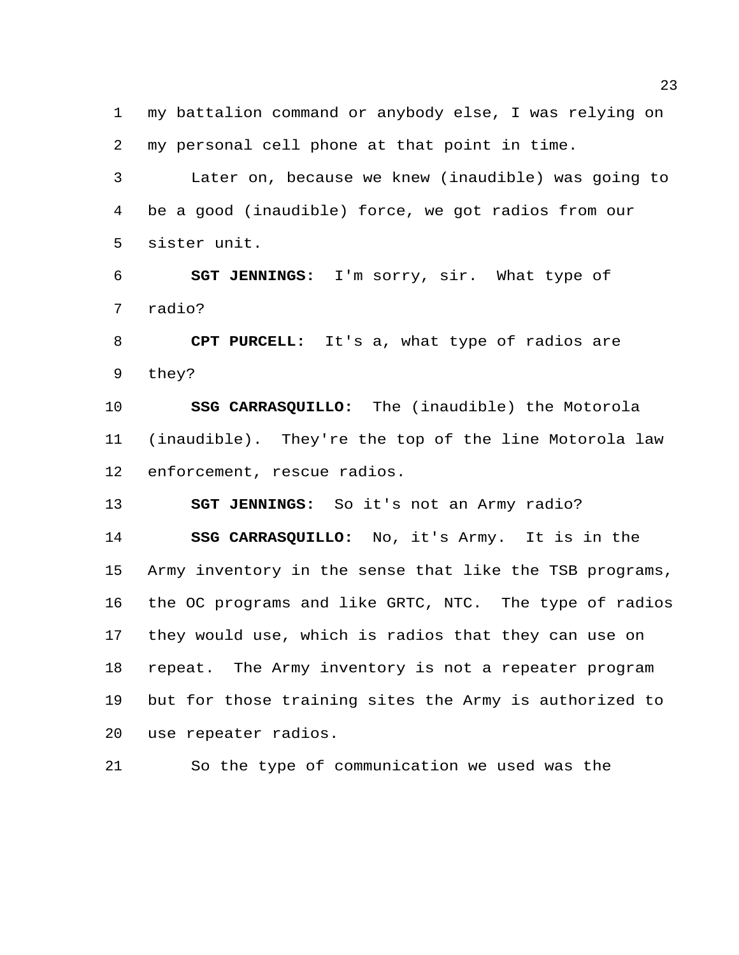my battalion command or anybody else, I was relying on my personal cell phone at that point in time.

 Later on, because we knew (inaudible) was going to be a good (inaudible) force, we got radios from our sister unit.

 **SGT JENNINGS:** I'm sorry, sir. What type of radio?

 **CPT PURCELL:** It's a, what type of radios are they?

 **SSG CARRASQUILLO:** The (inaudible) the Motorola (inaudible). They're the top of the line Motorola law enforcement, rescue radios.

**SGT JENNINGS:** So it's not an Army radio?

 **SSG CARRASQUILLO:** No, it's Army. It is in the Army inventory in the sense that like the TSB programs, the OC programs and like GRTC, NTC. The type of radios they would use, which is radios that they can use on repeat. The Army inventory is not a repeater program but for those training sites the Army is authorized to use repeater radios.

So the type of communication we used was the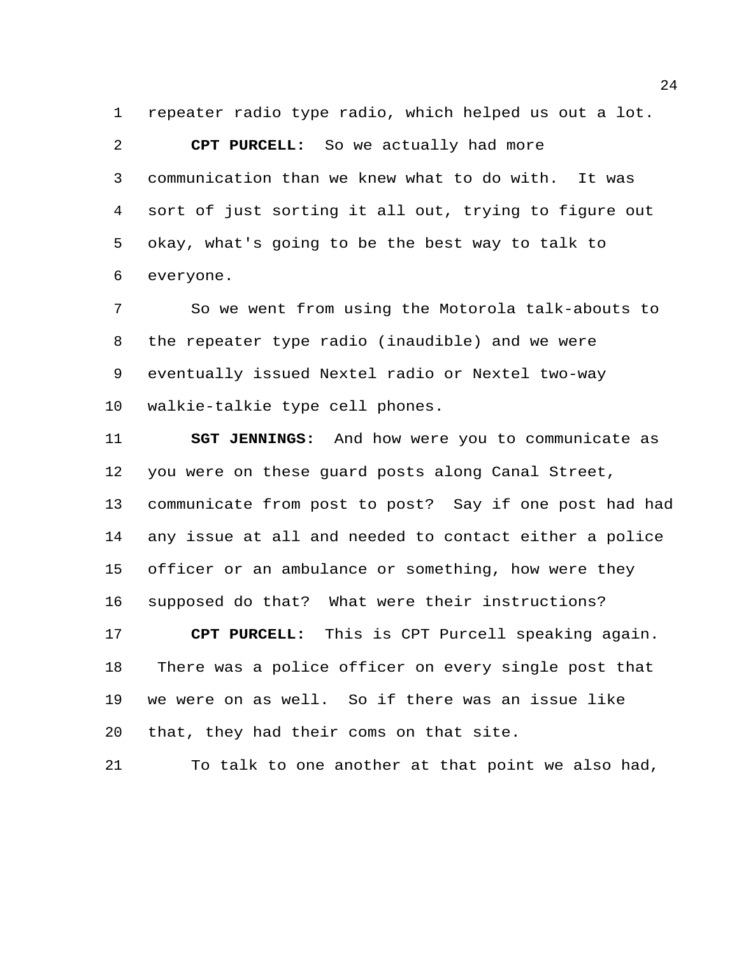repeater radio type radio, which helped us out a lot.

 **CPT PURCELL:** So we actually had more communication than we knew what to do with. It was sort of just sorting it all out, trying to figure out okay, what's going to be the best way to talk to everyone.

 So we went from using the Motorola talk-abouts to the repeater type radio (inaudible) and we were eventually issued Nextel radio or Nextel two-way walkie-talkie type cell phones.

 **SGT JENNINGS:** And how were you to communicate as you were on these guard posts along Canal Street, communicate from post to post? Say if one post had had any issue at all and needed to contact either a police officer or an ambulance or something, how were they supposed do that? What were their instructions?

 **CPT PURCELL:** This is CPT Purcell speaking again. There was a police officer on every single post that we were on as well. So if there was an issue like that, they had their coms on that site.

To talk to one another at that point we also had,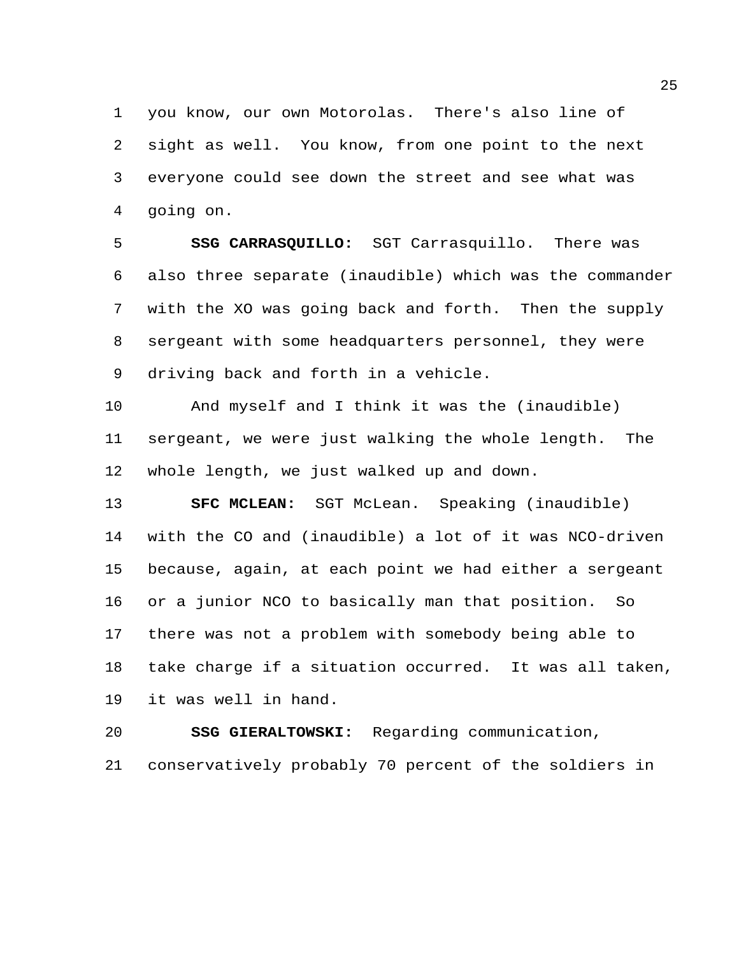you know, our own Motorolas. There's also line of sight as well. You know, from one point to the next everyone could see down the street and see what was going on.

 **SSG CARRASQUILLO:** SGT Carrasquillo. There was also three separate (inaudible) which was the commander with the XO was going back and forth. Then the supply sergeant with some headquarters personnel, they were driving back and forth in a vehicle.

 And myself and I think it was the (inaudible) sergeant, we were just walking the whole length. The whole length, we just walked up and down.

 **SFC MCLEAN:** SGT McLean. Speaking (inaudible) with the CO and (inaudible) a lot of it was NCO-driven because, again, at each point we had either a sergeant or a junior NCO to basically man that position. So there was not a problem with somebody being able to take charge if a situation occurred. It was all taken, it was well in hand.

 **SSG GIERALTOWSKI:** Regarding communication, conservatively probably 70 percent of the soldiers in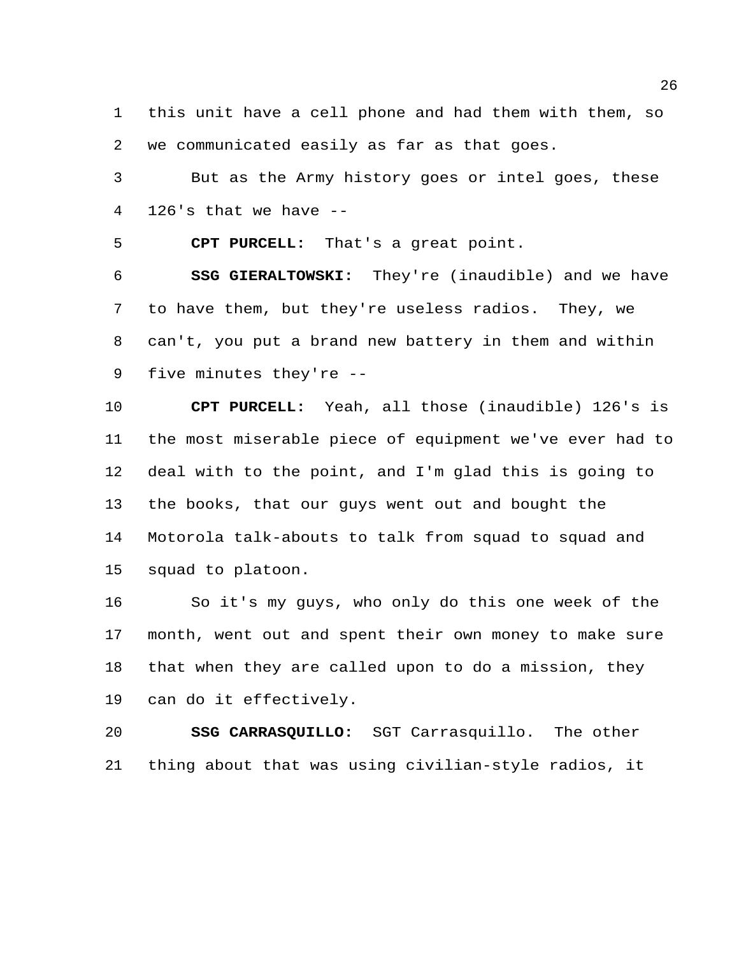this unit have a cell phone and had them with them, so we communicated easily as far as that goes.

 But as the Army history goes or intel goes, these 126's that we have --

**CPT PURCELL:** That's a great point.

 **SSG GIERALTOWSKI:** They're (inaudible) and we have to have them, but they're useless radios. They, we can't, you put a brand new battery in them and within five minutes they're --

 **CPT PURCELL:** Yeah, all those (inaudible) 126's is the most miserable piece of equipment we've ever had to deal with to the point, and I'm glad this is going to the books, that our guys went out and bought the Motorola talk-abouts to talk from squad to squad and squad to platoon.

 So it's my guys, who only do this one week of the month, went out and spent their own money to make sure that when they are called upon to do a mission, they can do it effectively.

 **SSG CARRASQUILLO:** SGT Carrasquillo. The other thing about that was using civilian-style radios, it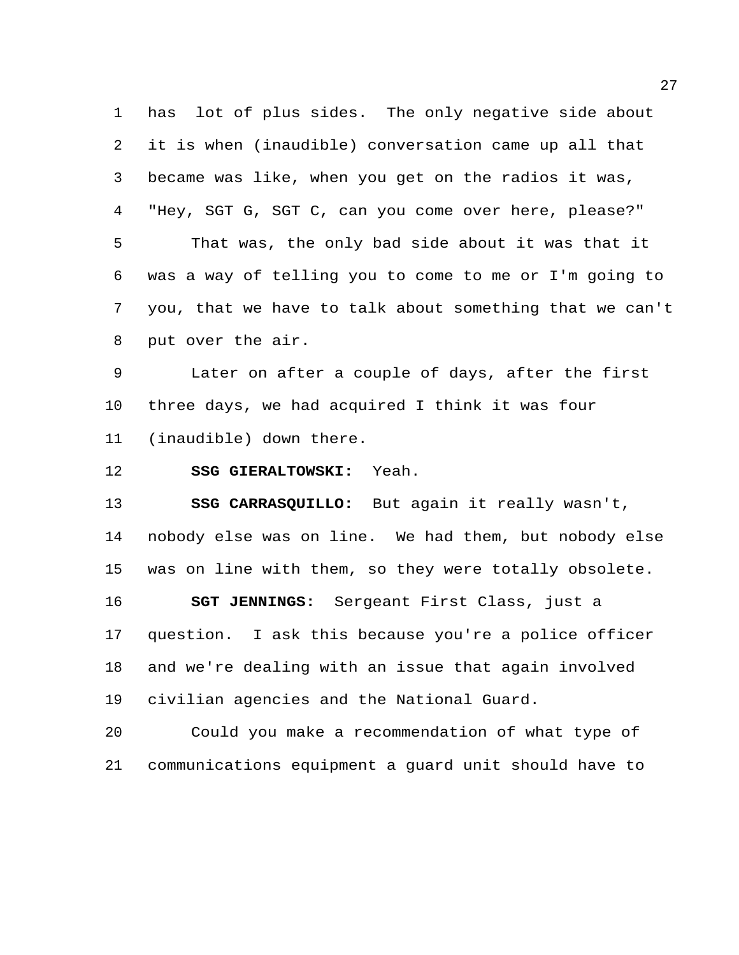has lot of plus sides. The only negative side about it is when (inaudible) conversation came up all that became was like, when you get on the radios it was, "Hey, SGT G, SGT C, can you come over here, please?" That was, the only bad side about it was that it was a way of telling you to come to me or I'm going to you, that we have to talk about something that we can't put over the air.

 Later on after a couple of days, after the first three days, we had acquired I think it was four (inaudible) down there.

**SSG GIERALTOWSKI:** Yeah.

 **SSG CARRASQUILLO:** But again it really wasn't, nobody else was on line. We had them, but nobody else was on line with them, so they were totally obsolete. **SGT JENNINGS:** Sergeant First Class, just a question. I ask this because you're a police officer and we're dealing with an issue that again involved civilian agencies and the National Guard.

 Could you make a recommendation of what type of communications equipment a guard unit should have to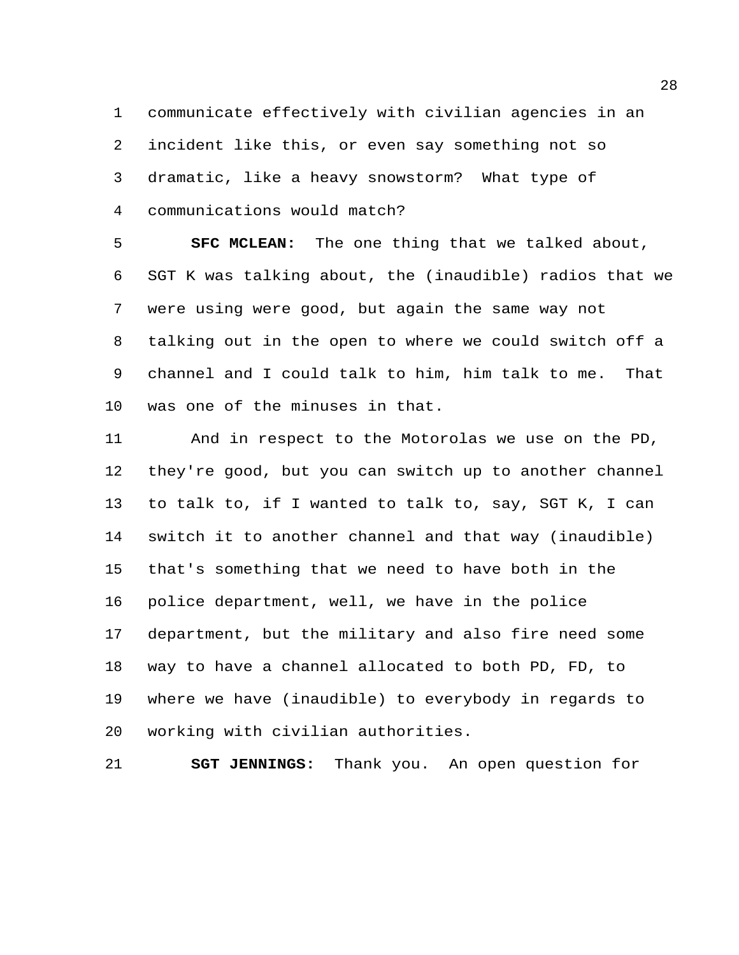communicate effectively with civilian agencies in an incident like this, or even say something not so dramatic, like a heavy snowstorm? What type of communications would match?

 **SFC MCLEAN:** The one thing that we talked about, SGT K was talking about, the (inaudible) radios that we were using were good, but again the same way not talking out in the open to where we could switch off a channel and I could talk to him, him talk to me. That was one of the minuses in that.

 And in respect to the Motorolas we use on the PD, they're good, but you can switch up to another channel to talk to, if I wanted to talk to, say, SGT K, I can switch it to another channel and that way (inaudible) that's something that we need to have both in the police department, well, we have in the police department, but the military and also fire need some way to have a channel allocated to both PD, FD, to where we have (inaudible) to everybody in regards to working with civilian authorities.

**SGT JENNINGS:** Thank you. An open question for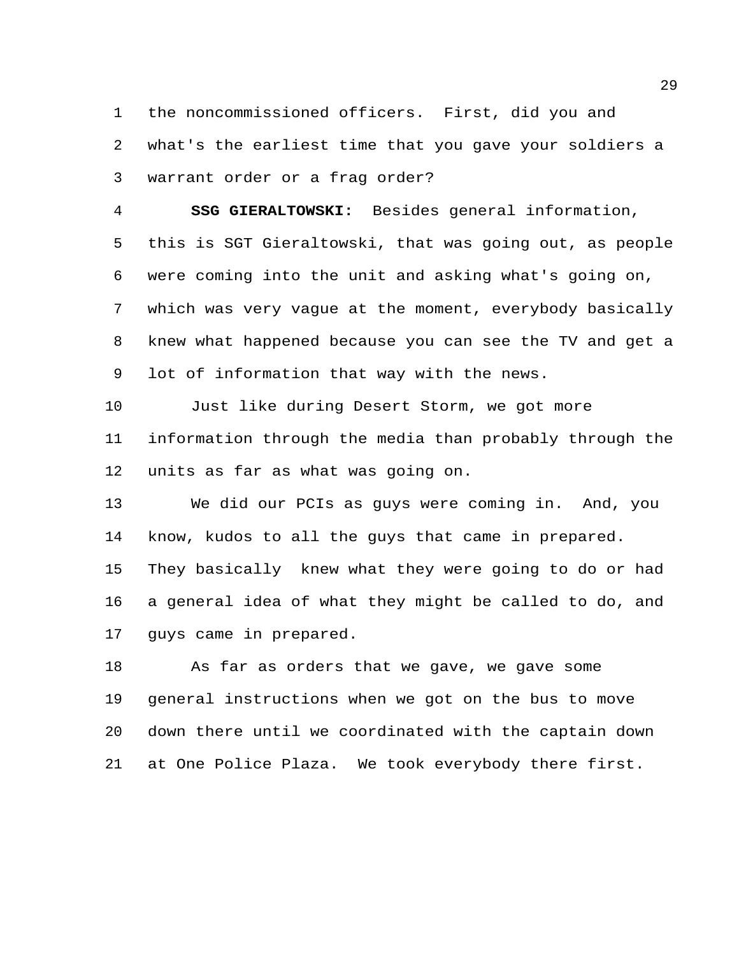the noncommissioned officers. First, did you and what's the earliest time that you gave your soldiers a warrant order or a frag order?

 **SSG GIERALTOWSKI:** Besides general information, this is SGT Gieraltowski, that was going out, as people were coming into the unit and asking what's going on, which was very vague at the moment, everybody basically knew what happened because you can see the TV and get a lot of information that way with the news.

 Just like during Desert Storm, we got more information through the media than probably through the units as far as what was going on.

 We did our PCIs as guys were coming in. And, you know, kudos to all the guys that came in prepared. They basically knew what they were going to do or had a general idea of what they might be called to do, and guys came in prepared.

 As far as orders that we gave, we gave some general instructions when we got on the bus to move down there until we coordinated with the captain down at One Police Plaza. We took everybody there first.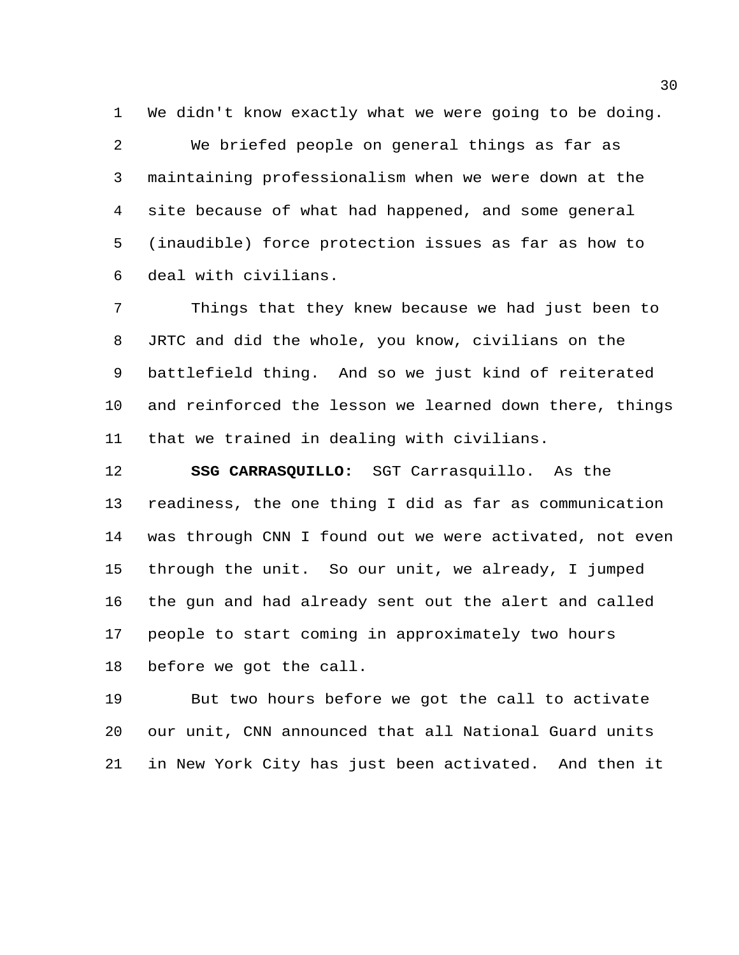We didn't know exactly what we were going to be doing.

 We briefed people on general things as far as maintaining professionalism when we were down at the site because of what had happened, and some general (inaudible) force protection issues as far as how to deal with civilians.

 Things that they knew because we had just been to JRTC and did the whole, you know, civilians on the battlefield thing. And so we just kind of reiterated and reinforced the lesson we learned down there, things that we trained in dealing with civilians.

 **SSG CARRASQUILLO:** SGT Carrasquillo. As the readiness, the one thing I did as far as communication was through CNN I found out we were activated, not even through the unit. So our unit, we already, I jumped the gun and had already sent out the alert and called people to start coming in approximately two hours before we got the call.

 But two hours before we got the call to activate our unit, CNN announced that all National Guard units in New York City has just been activated. And then it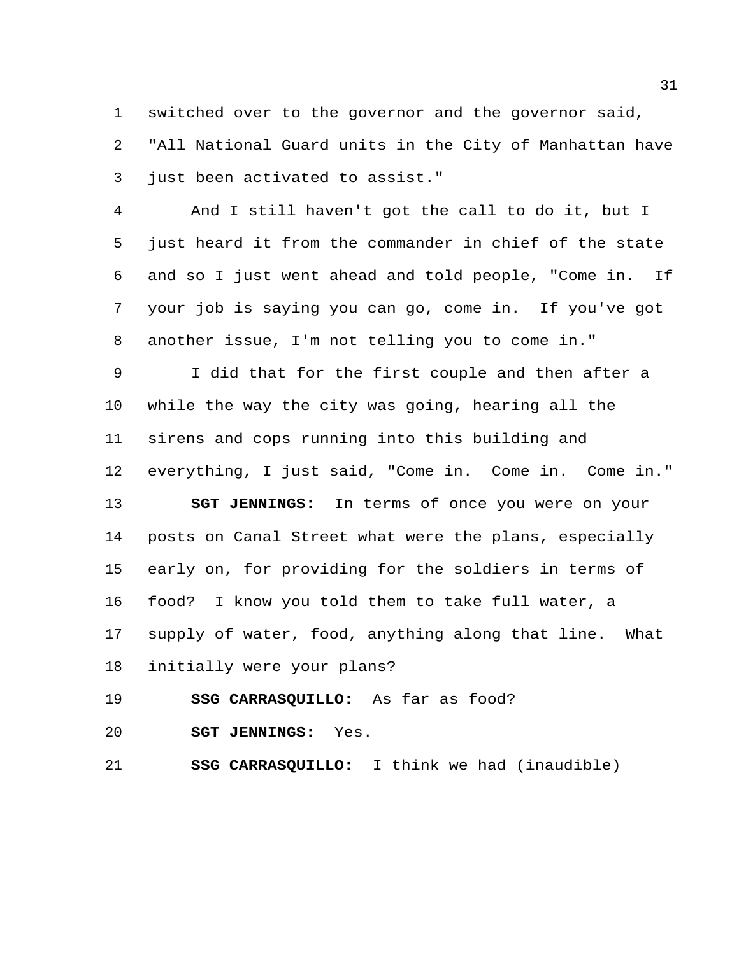switched over to the governor and the governor said, "All National Guard units in the City of Manhattan have just been activated to assist."

 And I still haven't got the call to do it, but I just heard it from the commander in chief of the state and so I just went ahead and told people, "Come in. If your job is saying you can go, come in. If you've got another issue, I'm not telling you to come in."

 I did that for the first couple and then after a while the way the city was going, hearing all the sirens and cops running into this building and everything, I just said, "Come in. Come in. Come in."

 **SGT JENNINGS:** In terms of once you were on your posts on Canal Street what were the plans, especially early on, for providing for the soldiers in terms of food? I know you told them to take full water, a supply of water, food, anything along that line. What initially were your plans?

**SSG CARRASQUILLO:** As far as food?

**SGT JENNINGS:** Yes.

**SSG CARRASQUILLO:** I think we had (inaudible)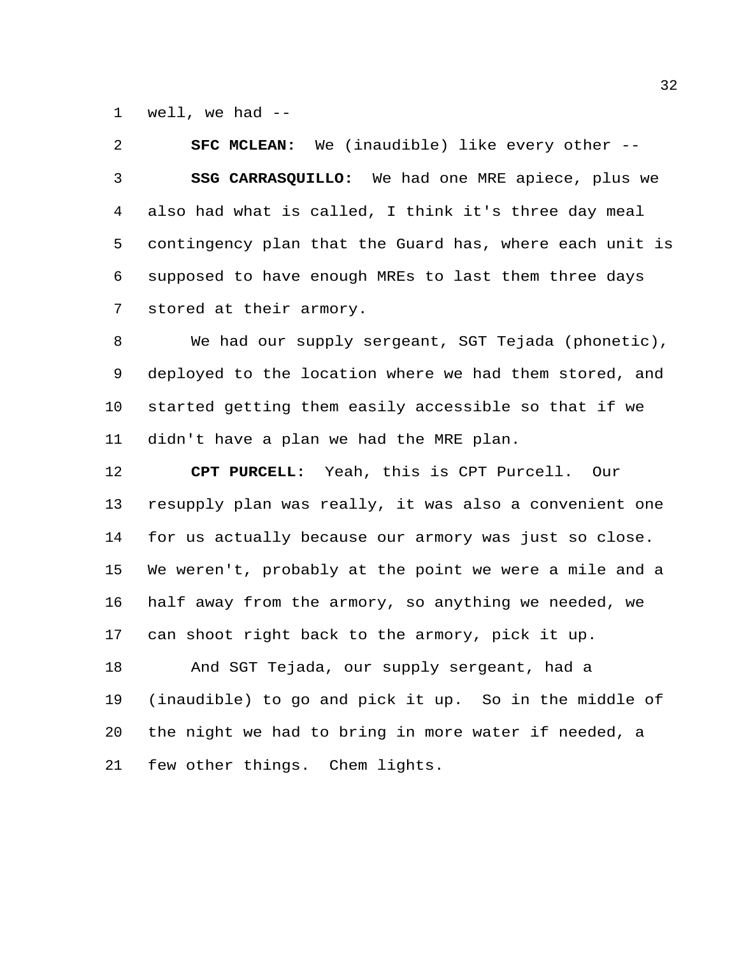well, we had --

 **SFC MCLEAN:** We (inaudible) like every other -- **SSG CARRASQUILLO:** We had one MRE apiece, plus we also had what is called, I think it's three day meal contingency plan that the Guard has, where each unit is supposed to have enough MREs to last them three days stored at their armory.

 We had our supply sergeant, SGT Tejada (phonetic), deployed to the location where we had them stored, and started getting them easily accessible so that if we didn't have a plan we had the MRE plan.

 **CPT PURCELL:** Yeah, this is CPT Purcell. Our resupply plan was really, it was also a convenient one for us actually because our armory was just so close. We weren't, probably at the point we were a mile and a half away from the armory, so anything we needed, we can shoot right back to the armory, pick it up.

 And SGT Tejada, our supply sergeant, had a (inaudible) to go and pick it up. So in the middle of the night we had to bring in more water if needed, a few other things. Chem lights.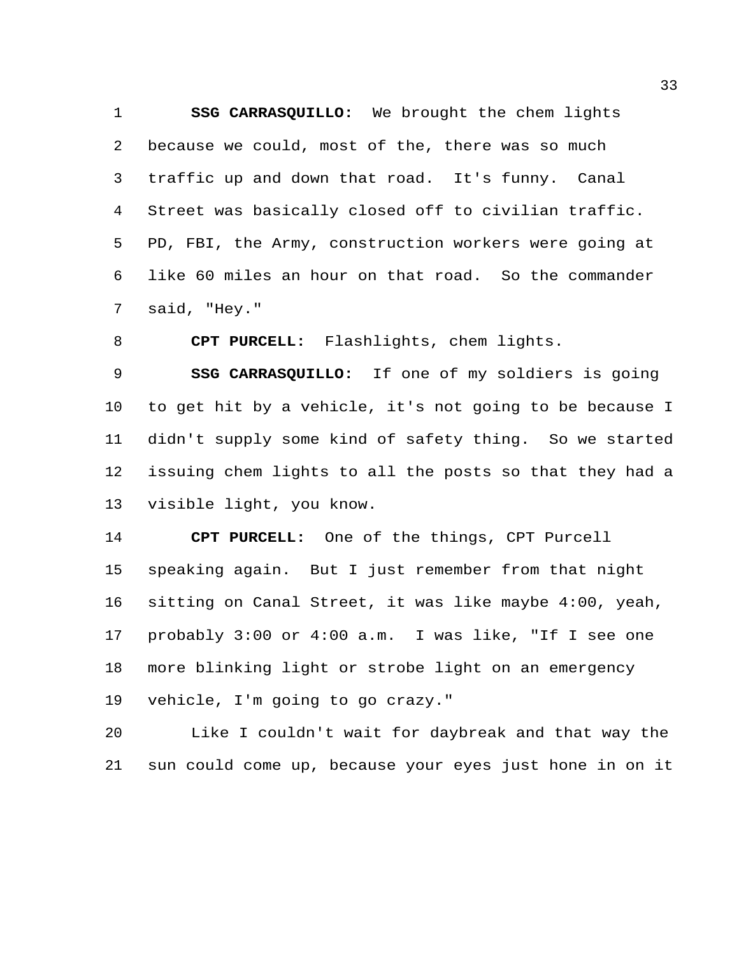**SSG CARRASQUILLO:** We brought the chem lights because we could, most of the, there was so much traffic up and down that road. It's funny. Canal Street was basically closed off to civilian traffic. PD, FBI, the Army, construction workers were going at like 60 miles an hour on that road. So the commander said, "Hey."

**CPT PURCELL:** Flashlights, chem lights.

 **SSG CARRASQUILLO:** If one of my soldiers is going to get hit by a vehicle, it's not going to be because I didn't supply some kind of safety thing. So we started issuing chem lights to all the posts so that they had a visible light, you know.

 **CPT PURCELL:** One of the things, CPT Purcell speaking again. But I just remember from that night sitting on Canal Street, it was like maybe 4:00, yeah, probably 3:00 or 4:00 a.m. I was like, "If I see one more blinking light or strobe light on an emergency vehicle, I'm going to go crazy."

 Like I couldn't wait for daybreak and that way the sun could come up, because your eyes just hone in on it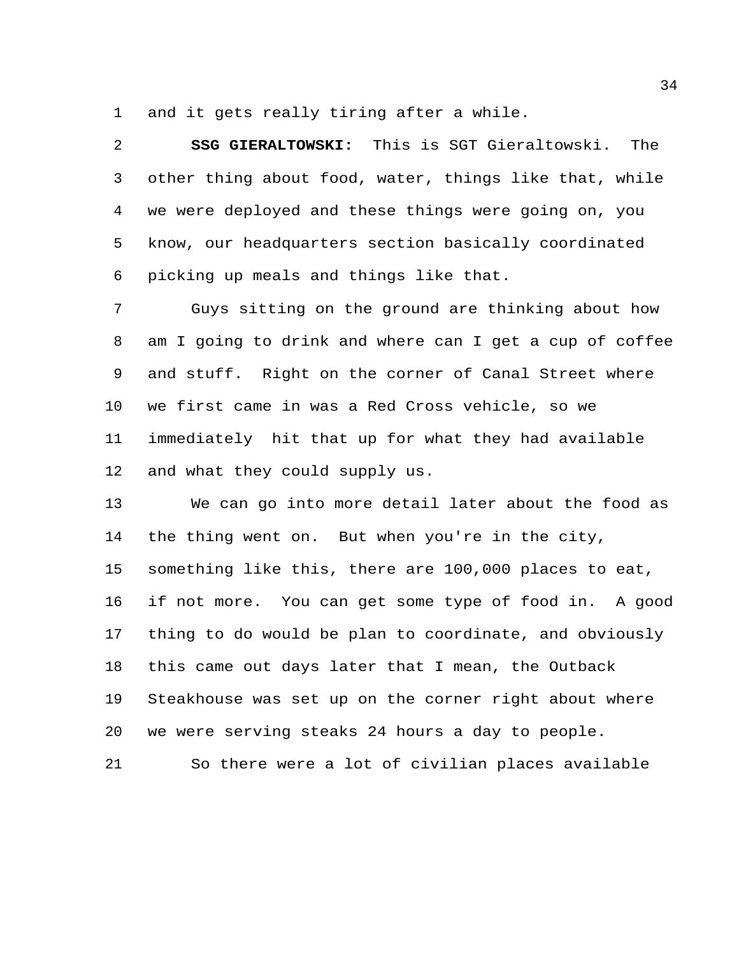and it gets really tiring after a while.

 **SSG GIERALTOWSKI:** This is SGT Gieraltowski. The other thing about food, water, things like that, while we were deployed and these things were going on, you know, our headquarters section basically coordinated picking up meals and things like that.

 Guys sitting on the ground are thinking about how am I going to drink and where can I get a cup of coffee and stuff. Right on the corner of Canal Street where we first came in was a Red Cross vehicle, so we immediately hit that up for what they had available and what they could supply us.

 We can go into more detail later about the food as the thing went on. But when you're in the city, something like this, there are 100,000 places to eat, if not more. You can get some type of food in. A good thing to do would be plan to coordinate, and obviously this came out days later that I mean, the Outback Steakhouse was set up on the corner right about where we were serving steaks 24 hours a day to people.

So there were a lot of civilian places available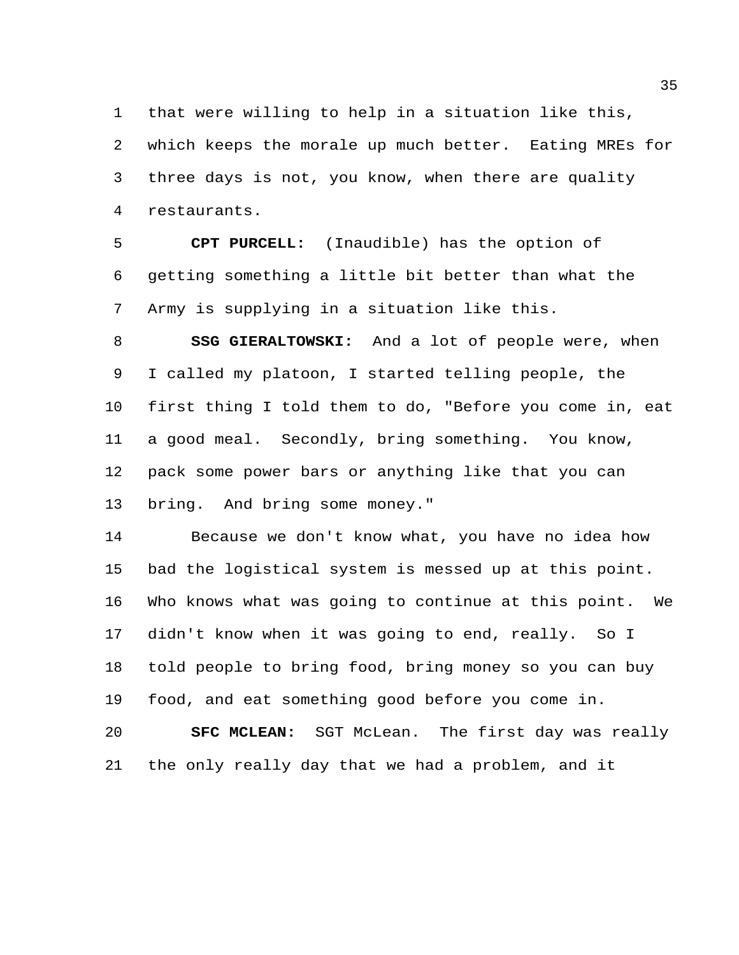that were willing to help in a situation like this, which keeps the morale up much better. Eating MREs for three days is not, you know, when there are quality restaurants.

 **CPT PURCELL:** (Inaudible) has the option of getting something a little bit better than what the Army is supplying in a situation like this.

 **SSG GIERALTOWSKI:** And a lot of people were, when I called my platoon, I started telling people, the first thing I told them to do, "Before you come in, eat a good meal. Secondly, bring something. You know, pack some power bars or anything like that you can bring. And bring some money."

 Because we don't know what, you have no idea how bad the logistical system is messed up at this point. Who knows what was going to continue at this point. We didn't know when it was going to end, really. So I told people to bring food, bring money so you can buy food, and eat something good before you come in.

 **SFC MCLEAN:** SGT McLean. The first day was really the only really day that we had a problem, and it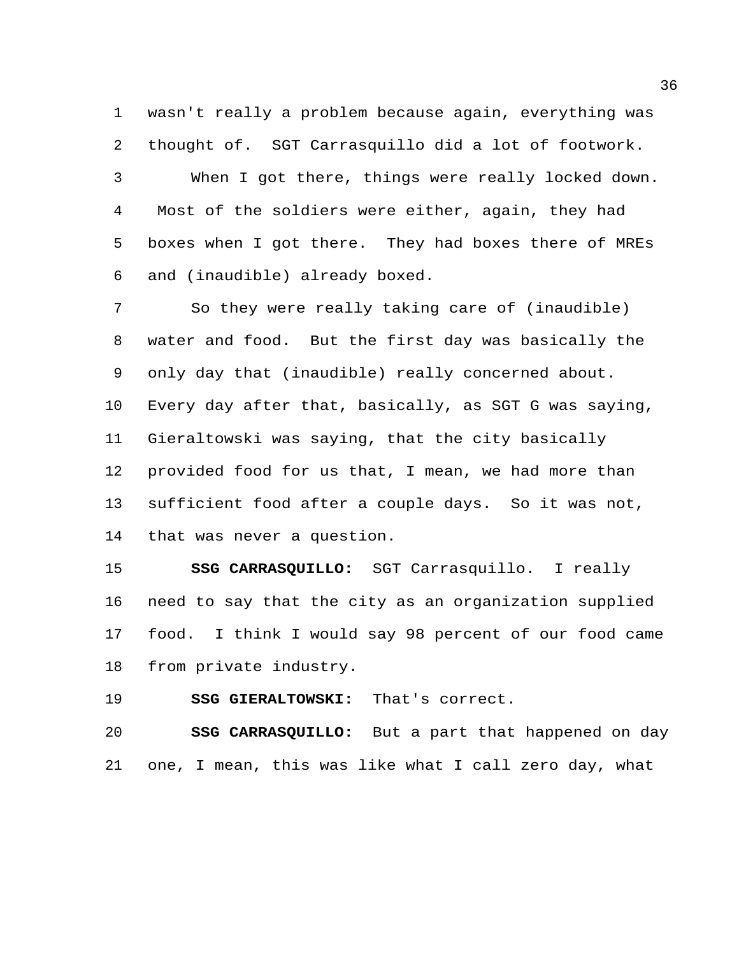wasn't really a problem because again, everything was thought of. SGT Carrasquillo did a lot of footwork. When I got there, things were really locked down. Most of the soldiers were either, again, they had boxes when I got there. They had boxes there of MREs and (inaudible) already boxed.

 So they were really taking care of (inaudible) water and food. But the first day was basically the only day that (inaudible) really concerned about. Every day after that, basically, as SGT G was saying, Gieraltowski was saying, that the city basically provided food for us that, I mean, we had more than sufficient food after a couple days. So it was not, that was never a question.

 **SSG CARRASQUILLO:** SGT Carrasquillo. I really need to say that the city as an organization supplied food. I think I would say 98 percent of our food came from private industry.

**SSG GIERALTOWSKI:** That's correct.

 **SSG CARRASQUILLO:** But a part that happened on day one, I mean, this was like what I call zero day, what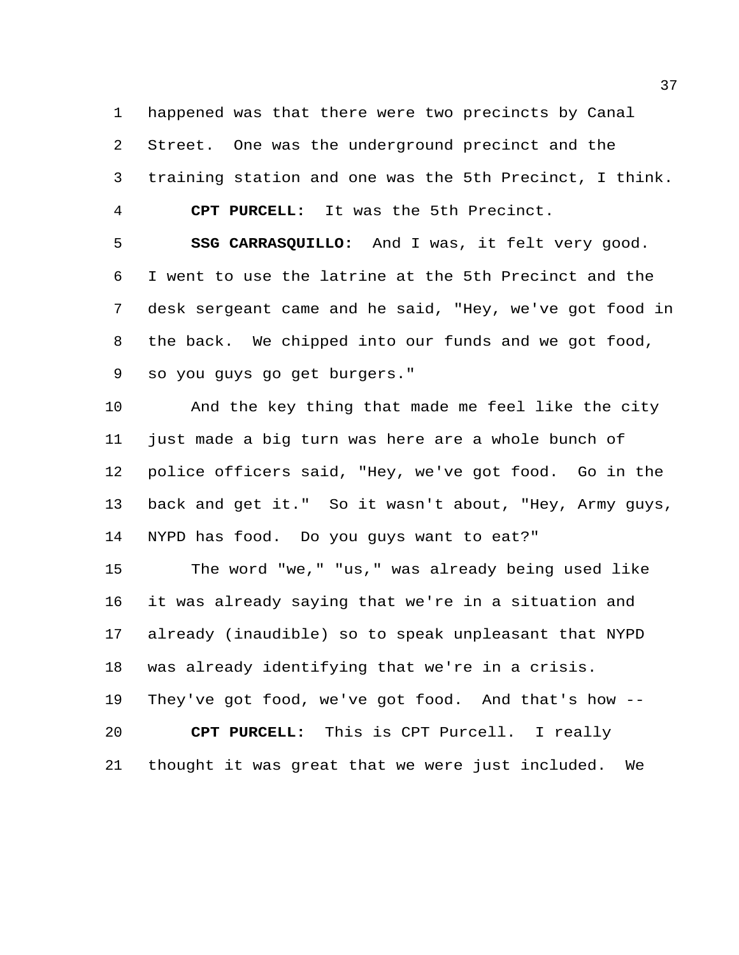happened was that there were two precincts by Canal

Street. One was the underground precinct and the

training station and one was the 5th Precinct, I think.

**CPT PURCELL:** It was the 5th Precinct.

 **SSG CARRASQUILLO:** And I was, it felt very good. I went to use the latrine at the 5th Precinct and the desk sergeant came and he said, "Hey, we've got food in the back. We chipped into our funds and we got food, so you guys go get burgers."

 And the key thing that made me feel like the city just made a big turn was here are a whole bunch of police officers said, "Hey, we've got food. Go in the back and get it." So it wasn't about, "Hey, Army guys, NYPD has food. Do you guys want to eat?"

 The word "we," "us," was already being used like it was already saying that we're in a situation and already (inaudible) so to speak unpleasant that NYPD was already identifying that we're in a crisis. They've got food, we've got food. And that's how -- **CPT PURCELL:** This is CPT Purcell. I really thought it was great that we were just included. We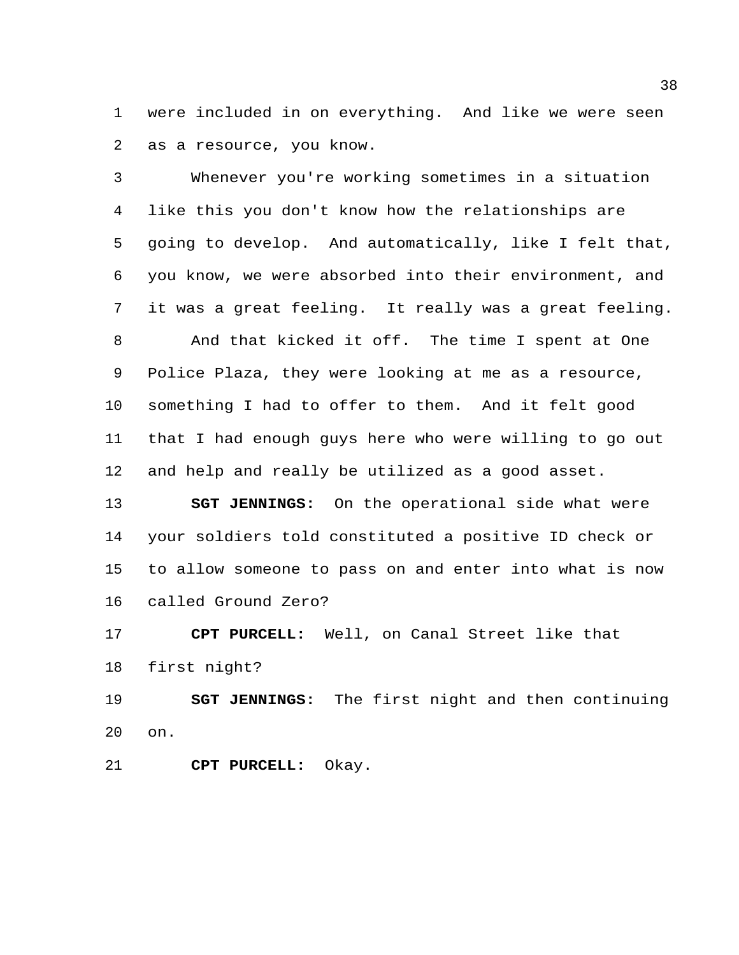were included in on everything. And like we were seen as a resource, you know.

 Whenever you're working sometimes in a situation like this you don't know how the relationships are going to develop. And automatically, like I felt that, you know, we were absorbed into their environment, and it was a great feeling. It really was a great feeling. And that kicked it off. The time I spent at One Police Plaza, they were looking at me as a resource, something I had to offer to them. And it felt good that I had enough guys here who were willing to go out and help and really be utilized as a good asset.

 **SGT JENNINGS:** On the operational side what were your soldiers told constituted a positive ID check or to allow someone to pass on and enter into what is now called Ground Zero?

 **CPT PURCELL:** Well, on Canal Street like that first night?

 **SGT JENNINGS:** The first night and then continuing on.

**CPT PURCELL:** Okay.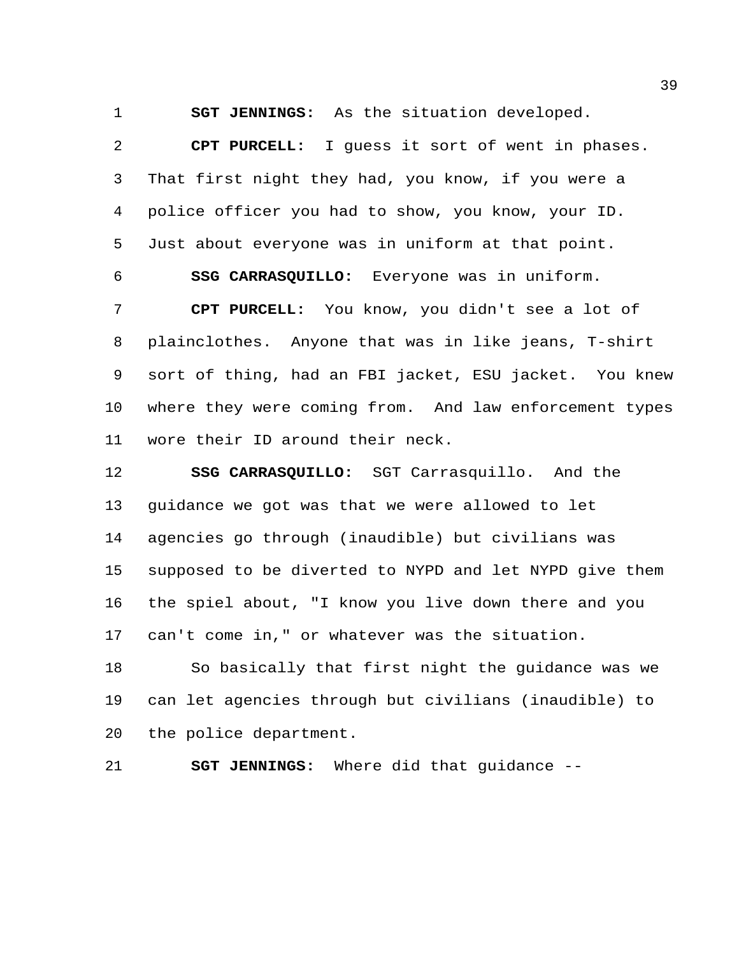**SGT JENNINGS:** As the situation developed.

 **CPT PURCELL:** I guess it sort of went in phases. That first night they had, you know, if you were a police officer you had to show, you know, your ID. Just about everyone was in uniform at that point.

**SSG CARRASQUILLO:** Everyone was in uniform.

 **CPT PURCELL:** You know, you didn't see a lot of plainclothes. Anyone that was in like jeans, T-shirt sort of thing, had an FBI jacket, ESU jacket. You knew where they were coming from. And law enforcement types wore their ID around their neck.

 **SSG CARRASQUILLO:** SGT Carrasquillo. And the guidance we got was that we were allowed to let agencies go through (inaudible) but civilians was supposed to be diverted to NYPD and let NYPD give them the spiel about, "I know you live down there and you can't come in," or whatever was the situation.

 So basically that first night the guidance was we can let agencies through but civilians (inaudible) to the police department.

**SGT JENNINGS:** Where did that guidance --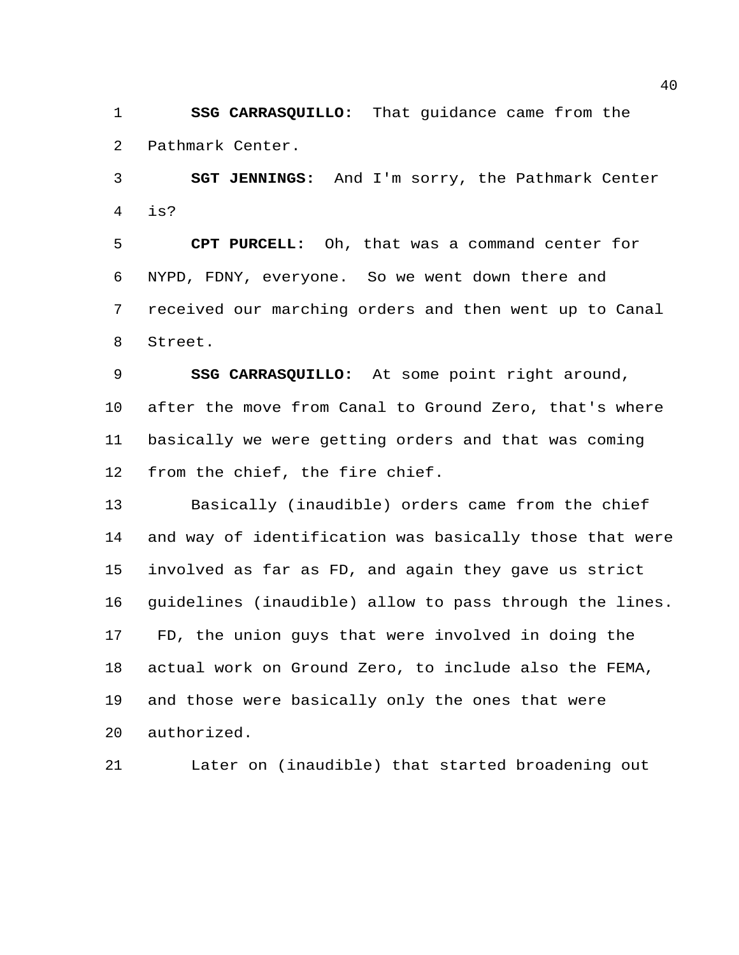**SSG CARRASQUILLO:** That guidance came from the Pathmark Center.

 **SGT JENNINGS:** And I'm sorry, the Pathmark Center is?

 **CPT PURCELL:** Oh, that was a command center for NYPD, FDNY, everyone. So we went down there and received our marching orders and then went up to Canal Street.

 **SSG CARRASQUILLO:** At some point right around, after the move from Canal to Ground Zero, that's where basically we were getting orders and that was coming from the chief, the fire chief.

 Basically (inaudible) orders came from the chief and way of identification was basically those that were involved as far as FD, and again they gave us strict guidelines (inaudible) allow to pass through the lines. FD, the union guys that were involved in doing the actual work on Ground Zero, to include also the FEMA, and those were basically only the ones that were authorized.

Later on (inaudible) that started broadening out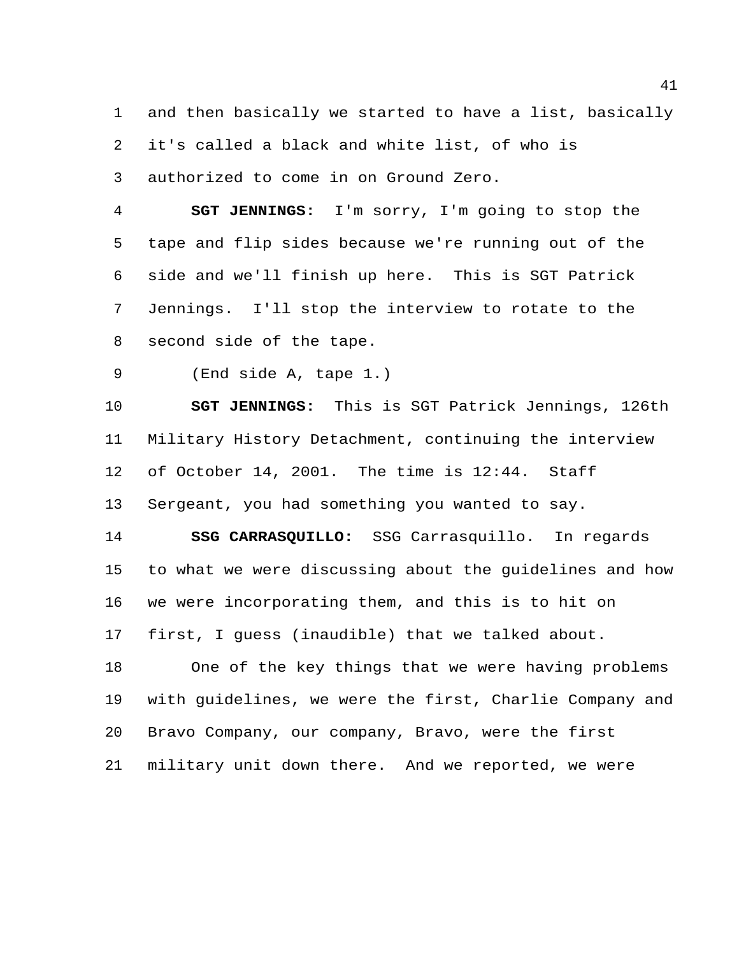and then basically we started to have a list, basically it's called a black and white list, of who is authorized to come in on Ground Zero.

 **SGT JENNINGS:** I'm sorry, I'm going to stop the tape and flip sides because we're running out of the side and we'll finish up here. This is SGT Patrick Jennings. I'll stop the interview to rotate to the second side of the tape.

(End side A, tape 1.)

 **SGT JENNINGS:** This is SGT Patrick Jennings, 126th Military History Detachment, continuing the interview of October 14, 2001. The time is 12:44. Staff Sergeant, you had something you wanted to say.

 **SSG CARRASQUILLO:** SSG Carrasquillo. In regards to what we were discussing about the guidelines and how we were incorporating them, and this is to hit on first, I guess (inaudible) that we talked about.

 One of the key things that we were having problems with guidelines, we were the first, Charlie Company and Bravo Company, our company, Bravo, were the first military unit down there. And we reported, we were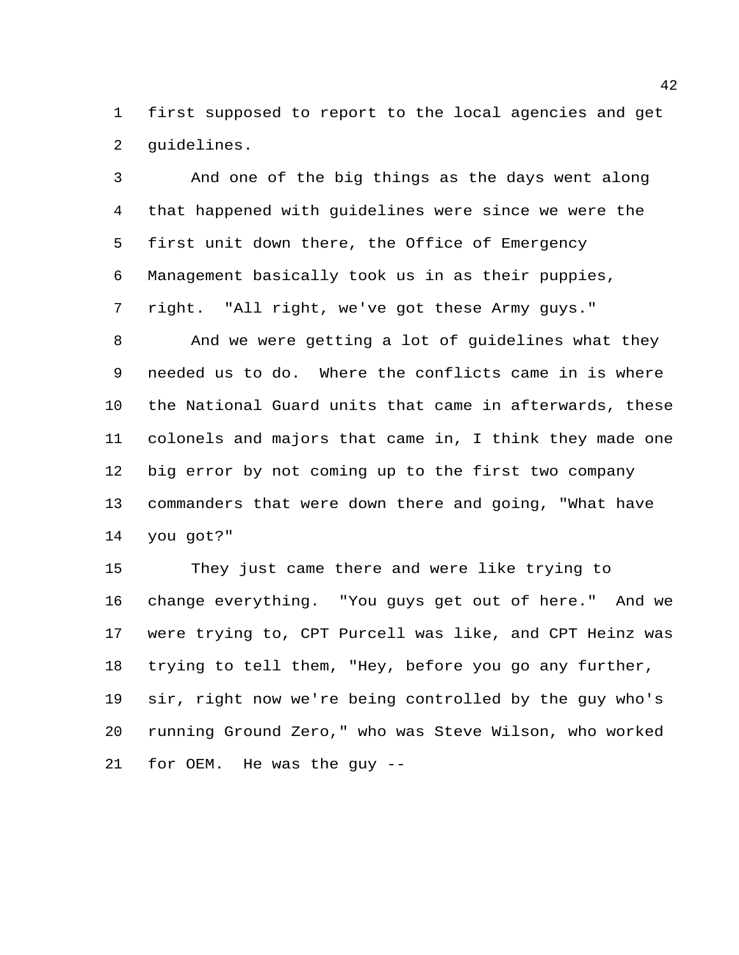first supposed to report to the local agencies and get guidelines.

 And one of the big things as the days went along that happened with guidelines were since we were the first unit down there, the Office of Emergency Management basically took us in as their puppies, right. "All right, we've got these Army guys."

 And we were getting a lot of guidelines what they needed us to do. Where the conflicts came in is where the National Guard units that came in afterwards, these colonels and majors that came in, I think they made one big error by not coming up to the first two company commanders that were down there and going, "What have you got?"

 They just came there and were like trying to change everything. "You guys get out of here." And we were trying to, CPT Purcell was like, and CPT Heinz was trying to tell them, "Hey, before you go any further, sir, right now we're being controlled by the guy who's running Ground Zero," who was Steve Wilson, who worked for OEM. He was the guy --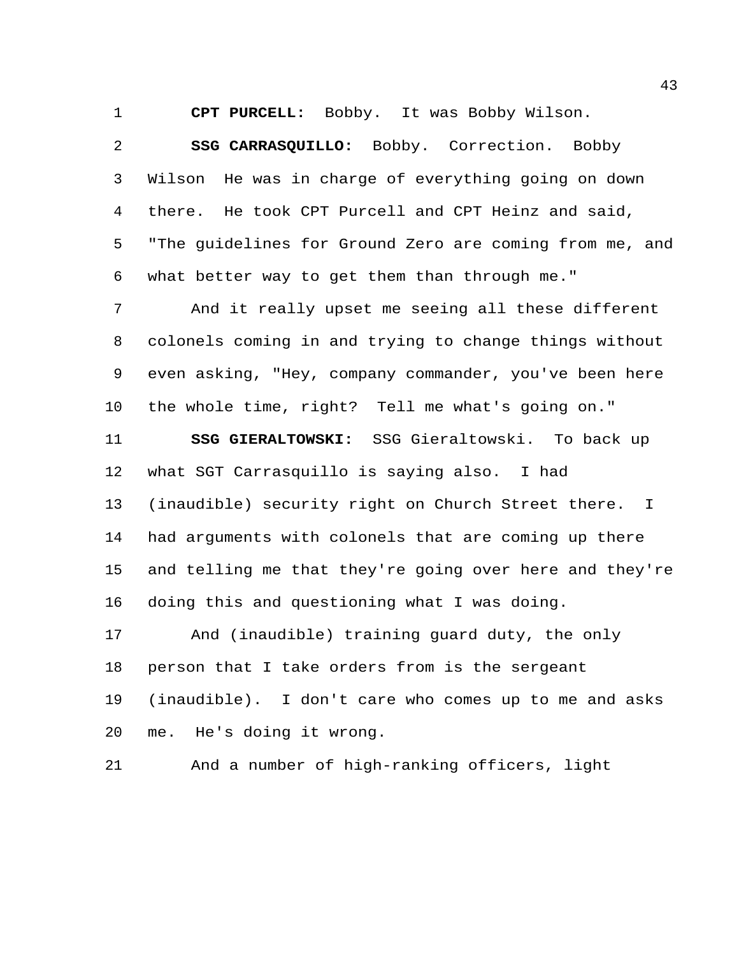**CPT PURCELL:** Bobby. It was Bobby Wilson.

 **SSG CARRASQUILLO:** Bobby. Correction. Bobby Wilson He was in charge of everything going on down there. He took CPT Purcell and CPT Heinz and said, "The guidelines for Ground Zero are coming from me, and what better way to get them than through me."

 And it really upset me seeing all these different colonels coming in and trying to change things without even asking, "Hey, company commander, you've been here the whole time, right? Tell me what's going on."

 **SSG GIERALTOWSKI:** SSG Gieraltowski. To back up what SGT Carrasquillo is saying also. I had (inaudible) security right on Church Street there. I had arguments with colonels that are coming up there and telling me that they're going over here and they're doing this and questioning what I was doing.

 And (inaudible) training guard duty, the only person that I take orders from is the sergeant (inaudible). I don't care who comes up to me and asks me. He's doing it wrong.

And a number of high-ranking officers, light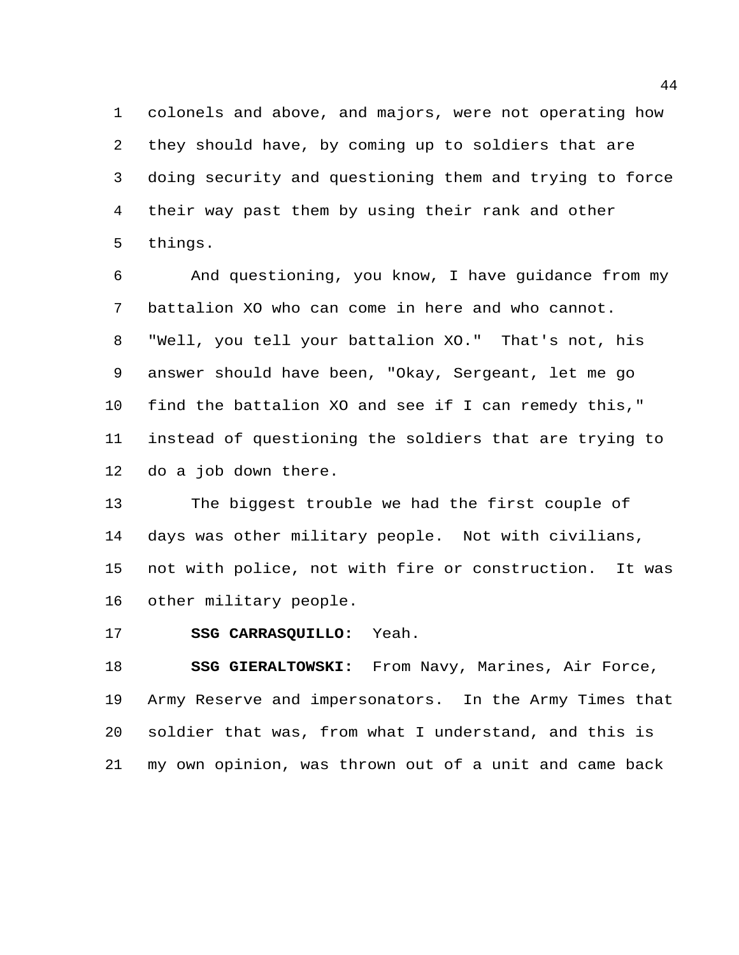colonels and above, and majors, were not operating how they should have, by coming up to soldiers that are doing security and questioning them and trying to force their way past them by using their rank and other things.

 And questioning, you know, I have guidance from my battalion XO who can come in here and who cannot. "Well, you tell your battalion XO." That's not, his answer should have been, "Okay, Sergeant, let me go find the battalion XO and see if I can remedy this," instead of questioning the soldiers that are trying to do a job down there.

 The biggest trouble we had the first couple of days was other military people. Not with civilians, not with police, not with fire or construction. It was other military people.

**SSG CARRASQUILLO:** Yeah.

 **SSG GIERALTOWSKI:** From Navy, Marines, Air Force, Army Reserve and impersonators. In the Army Times that soldier that was, from what I understand, and this is my own opinion, was thrown out of a unit and came back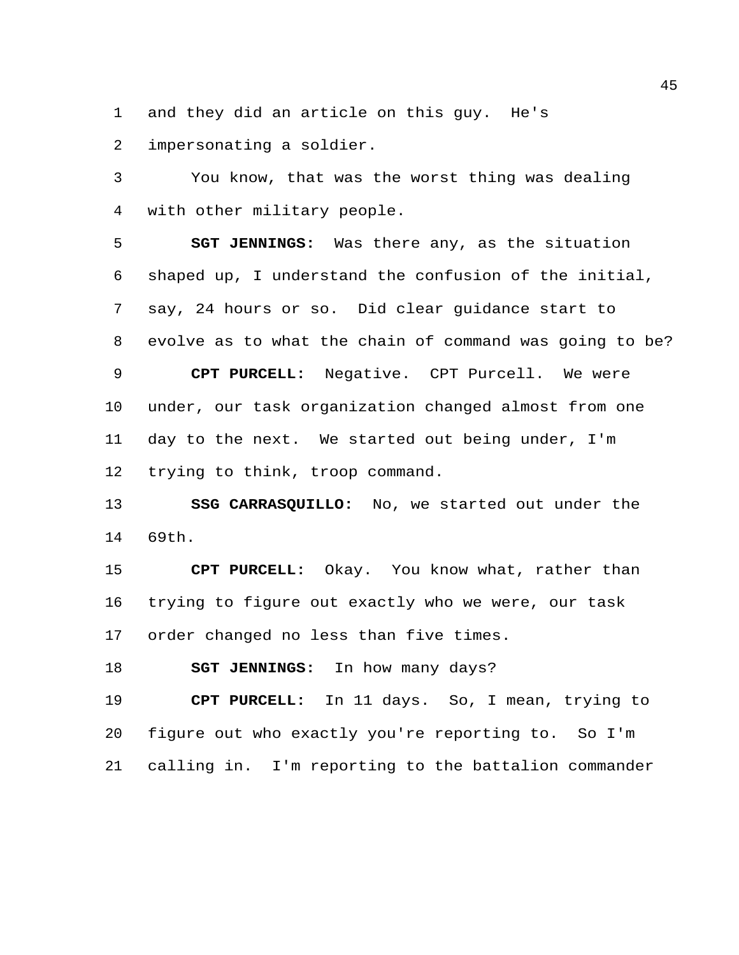and they did an article on this guy. He's

impersonating a soldier.

 You know, that was the worst thing was dealing with other military people.

 **SGT JENNINGS:** Was there any, as the situation shaped up, I understand the confusion of the initial, say, 24 hours or so. Did clear guidance start to evolve as to what the chain of command was going to be? **CPT PURCELL:** Negative. CPT Purcell. We were under, our task organization changed almost from one day to the next. We started out being under, I'm trying to think, troop command.

 **SSG CARRASQUILLO:** No, we started out under the 69th.

 **CPT PURCELL:** Okay. You know what, rather than trying to figure out exactly who we were, our task order changed no less than five times.

**SGT JENNINGS:** In how many days?

 **CPT PURCELL:** In 11 days. So, I mean, trying to figure out who exactly you're reporting to. So I'm calling in. I'm reporting to the battalion commander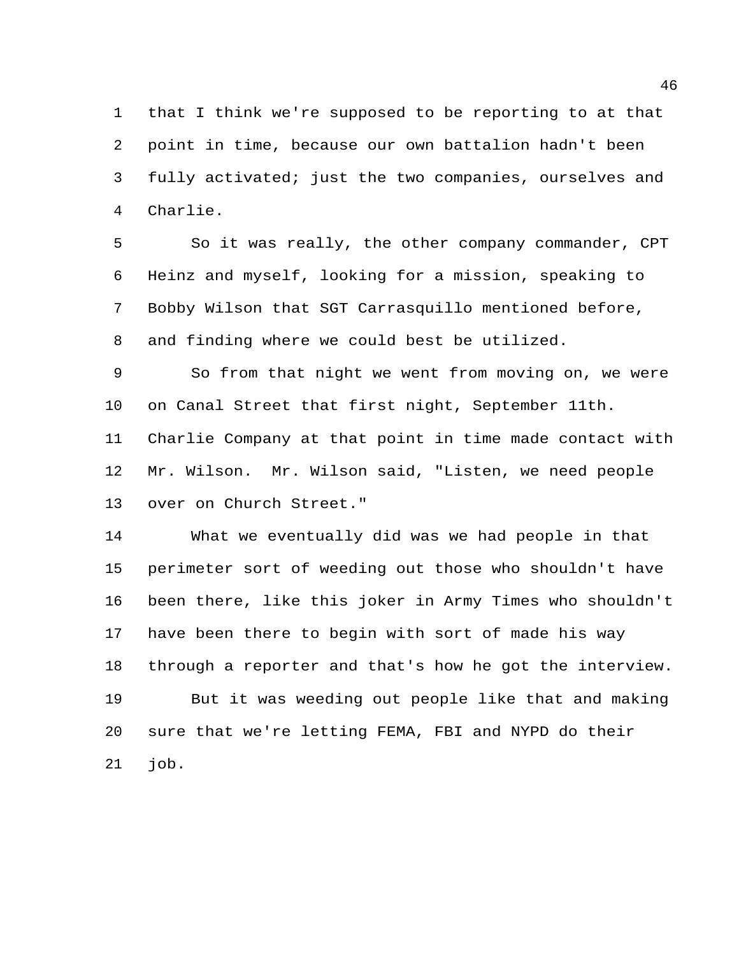that I think we're supposed to be reporting to at that point in time, because our own battalion hadn't been fully activated; just the two companies, ourselves and Charlie.

 So it was really, the other company commander, CPT Heinz and myself, looking for a mission, speaking to Bobby Wilson that SGT Carrasquillo mentioned before, and finding where we could best be utilized.

 So from that night we went from moving on, we were on Canal Street that first night, September 11th.

 Charlie Company at that point in time made contact with Mr. Wilson. Mr. Wilson said, "Listen, we need people over on Church Street."

 What we eventually did was we had people in that perimeter sort of weeding out those who shouldn't have been there, like this joker in Army Times who shouldn't have been there to begin with sort of made his way through a reporter and that's how he got the interview. But it was weeding out people like that and making sure that we're letting FEMA, FBI and NYPD do their job.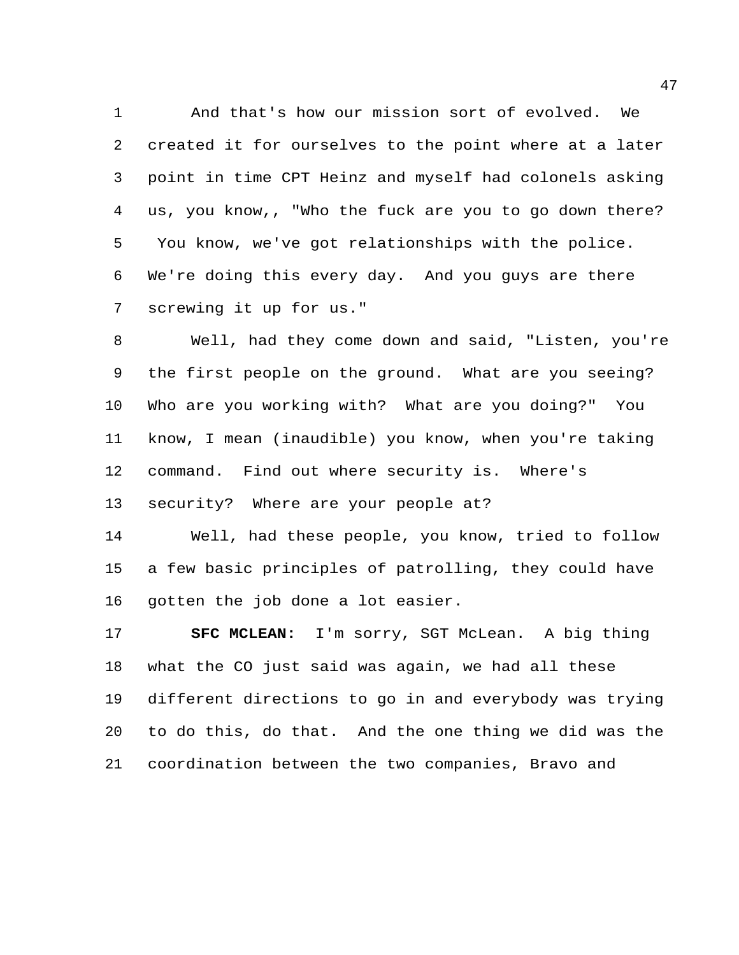And that's how our mission sort of evolved. We created it for ourselves to the point where at a later point in time CPT Heinz and myself had colonels asking us, you know,, "Who the fuck are you to go down there? You know, we've got relationships with the police. We're doing this every day. And you guys are there screwing it up for us."

 Well, had they come down and said, "Listen, you're the first people on the ground. What are you seeing? Who are you working with? What are you doing?" You know, I mean (inaudible) you know, when you're taking command. Find out where security is. Where's security? Where are your people at?

 Well, had these people, you know, tried to follow a few basic principles of patrolling, they could have gotten the job done a lot easier.

 **SFC MCLEAN:** I'm sorry, SGT McLean. A big thing what the CO just said was again, we had all these different directions to go in and everybody was trying to do this, do that. And the one thing we did was the coordination between the two companies, Bravo and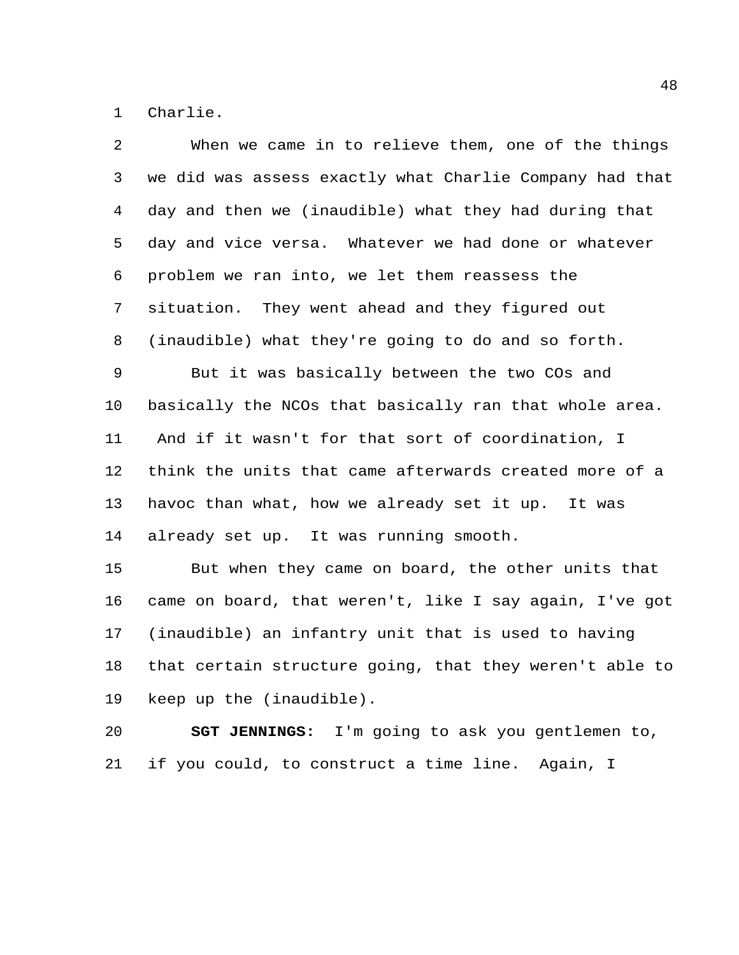Charlie.

| $\overline{2}$ | When we came in to relieve them, one of the things      |
|----------------|---------------------------------------------------------|
| 3              | we did was assess exactly what Charlie Company had that |
| 4              | day and then we (inaudible) what they had during that   |
| 5              | day and vice versa. Whatever we had done or whatever    |
| 6              | problem we ran into, we let them reassess the           |
| $\overline{7}$ | situation. They went ahead and they figured out         |
| 8              | (inaudible) what they're going to do and so forth.      |
| 9              | But it was basically between the two COs and            |
| 10             | basically the NCOs that basically ran that whole area.  |
| 11             | And if it wasn't for that sort of coordination, I       |
| 12             | think the units that came afterwards created more of a  |
| 13             | havoc than what, how we already set it up. It was       |
| 14             | already set up. It was running smooth.                  |
| 15             | But when they came on board, the other units that       |
| 16             | came on board, that weren't, like I say again, I've got |
| 17             | (inaudible) an infantry unit that is used to having     |
| 18             | that certain structure going, that they weren't able to |
| 19             | keep up the (inaudible).                                |
|                |                                                         |

 **SGT JENNINGS:** I'm going to ask you gentlemen to, if you could, to construct a time line. Again, I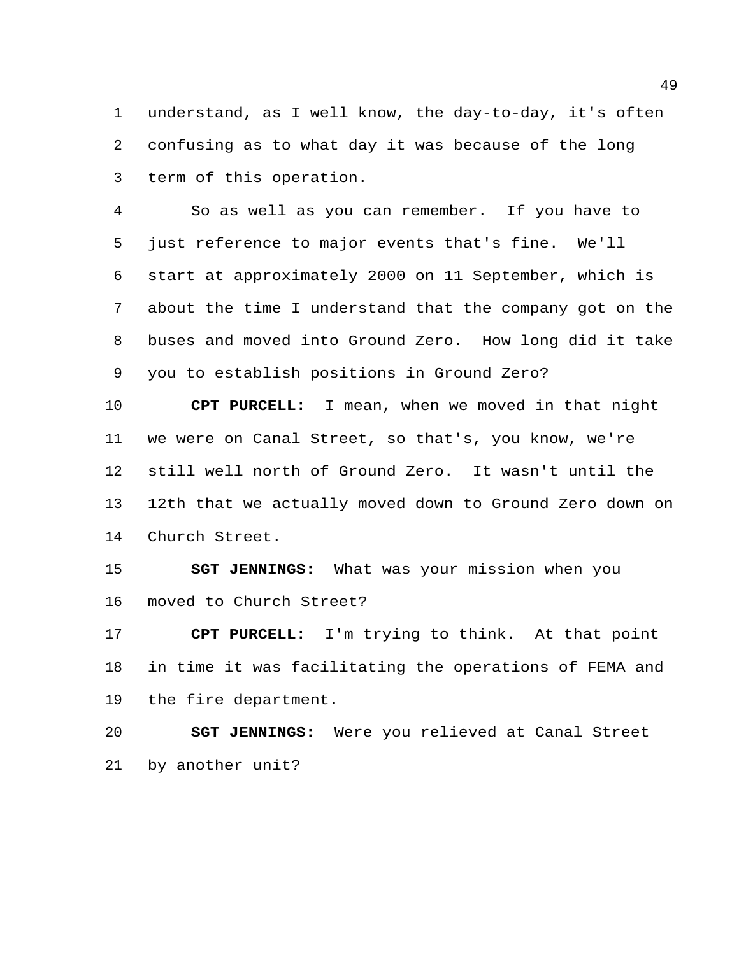understand, as I well know, the day-to-day, it's often confusing as to what day it was because of the long term of this operation.

 So as well as you can remember. If you have to just reference to major events that's fine. We'll start at approximately 2000 on 11 September, which is about the time I understand that the company got on the buses and moved into Ground Zero. How long did it take you to establish positions in Ground Zero?

 **CPT PURCELL:** I mean, when we moved in that night we were on Canal Street, so that's, you know, we're still well north of Ground Zero. It wasn't until the 12th that we actually moved down to Ground Zero down on Church Street.

 **SGT JENNINGS:** What was your mission when you moved to Church Street?

 **CPT PURCELL:** I'm trying to think. At that point in time it was facilitating the operations of FEMA and the fire department.

 **SGT JENNINGS:** Were you relieved at Canal Street by another unit?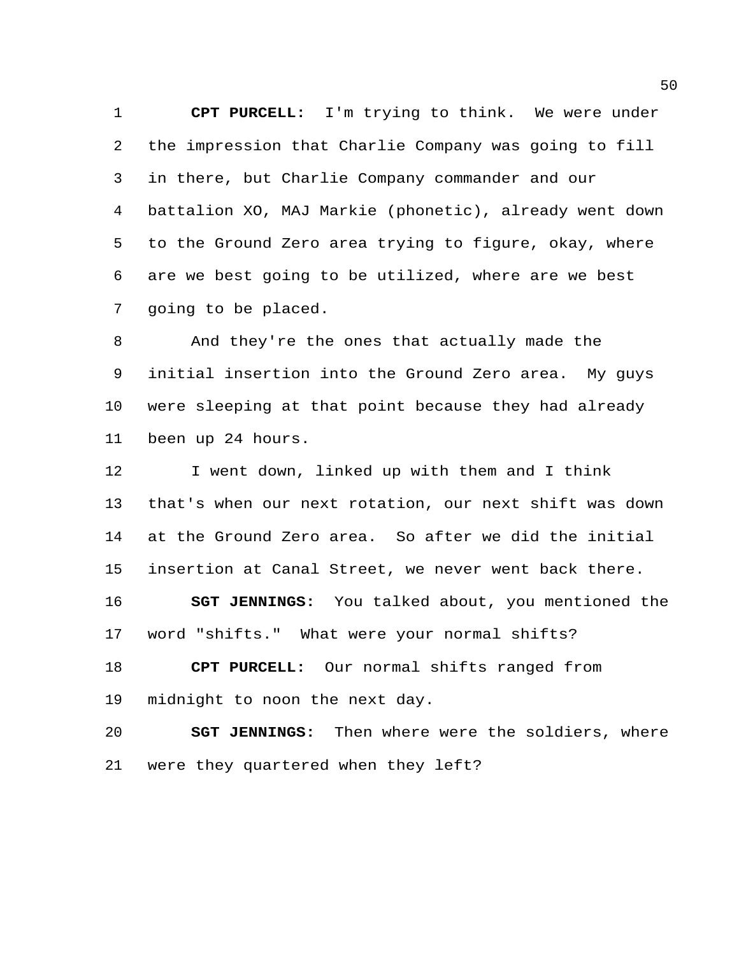**CPT PURCELL:** I'm trying to think. We were under the impression that Charlie Company was going to fill in there, but Charlie Company commander and our battalion XO, MAJ Markie (phonetic), already went down to the Ground Zero area trying to figure, okay, where are we best going to be utilized, where are we best going to be placed.

 And they're the ones that actually made the initial insertion into the Ground Zero area. My guys were sleeping at that point because they had already been up 24 hours.

 I went down, linked up with them and I think that's when our next rotation, our next shift was down at the Ground Zero area. So after we did the initial insertion at Canal Street, we never went back there. **SGT JENNINGS:** You talked about, you mentioned the word "shifts." What were your normal shifts?

 **CPT PURCELL:** Our normal shifts ranged from midnight to noon the next day.

 **SGT JENNINGS:** Then where were the soldiers, where were they quartered when they left?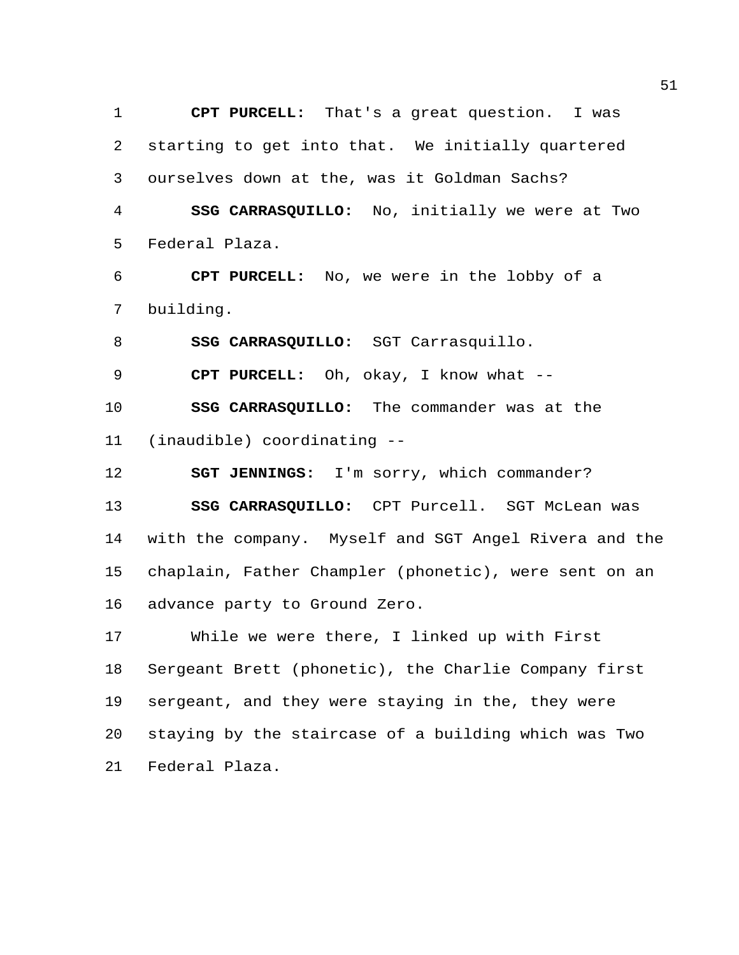**CPT PURCELL:** That's a great question. I was starting to get into that. We initially quartered ourselves down at the, was it Goldman Sachs? **SSG CARRASQUILLO:** No, initially we were at Two Federal Plaza.

 **CPT PURCELL:** No, we were in the lobby of a building.

**SSG CARRASQUILLO:** SGT Carrasquillo.

**CPT PURCELL:** Oh, okay, I know what --

 **SSG CARRASQUILLO:** The commander was at the (inaudible) coordinating --

**SGT JENNINGS:** I'm sorry, which commander?

 **SSG CARRASQUILLO:** CPT Purcell. SGT McLean was with the company. Myself and SGT Angel Rivera and the chaplain, Father Champler (phonetic), were sent on an advance party to Ground Zero.

 While we were there, I linked up with First Sergeant Brett (phonetic), the Charlie Company first sergeant, and they were staying in the, they were staying by the staircase of a building which was Two Federal Plaza.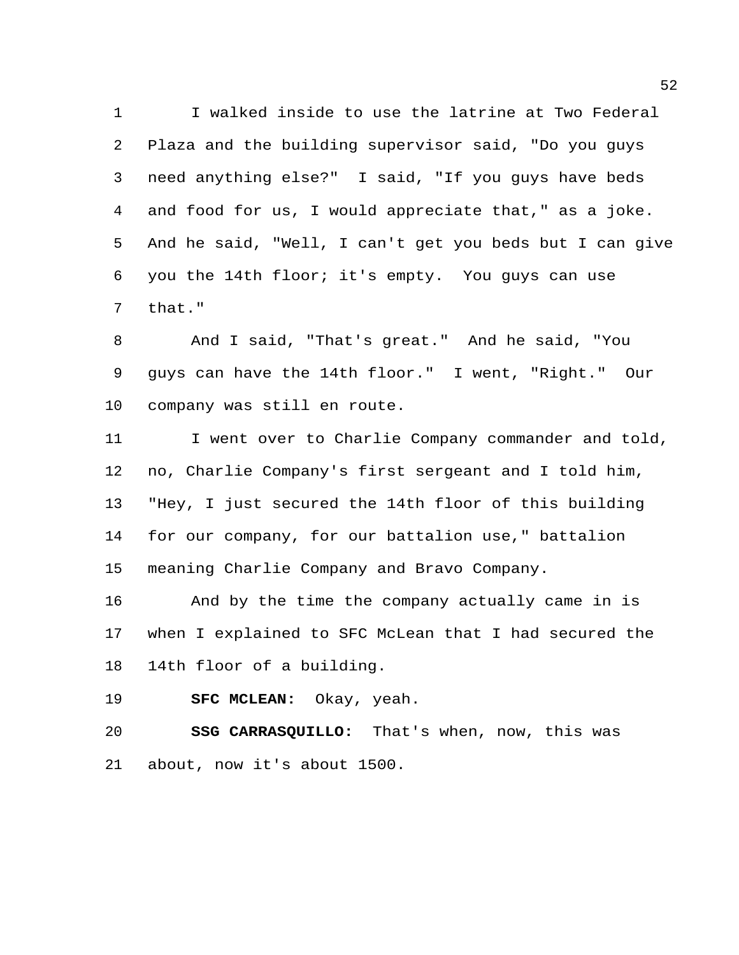I walked inside to use the latrine at Two Federal Plaza and the building supervisor said, "Do you guys need anything else?" I said, "If you guys have beds and food for us, I would appreciate that," as a joke. And he said, "Well, I can't get you beds but I can give you the 14th floor; it's empty. You guys can use that."

 And I said, "That's great." And he said, "You guys can have the 14th floor." I went, "Right." Our company was still en route.

 I went over to Charlie Company commander and told, no, Charlie Company's first sergeant and I told him, "Hey, I just secured the 14th floor of this building for our company, for our battalion use," battalion meaning Charlie Company and Bravo Company.

 And by the time the company actually came in is when I explained to SFC McLean that I had secured the 14th floor of a building.

**SFC MCLEAN:** Okay, yeah.

 **SSG CARRASQUILLO:** That's when, now, this was about, now it's about 1500.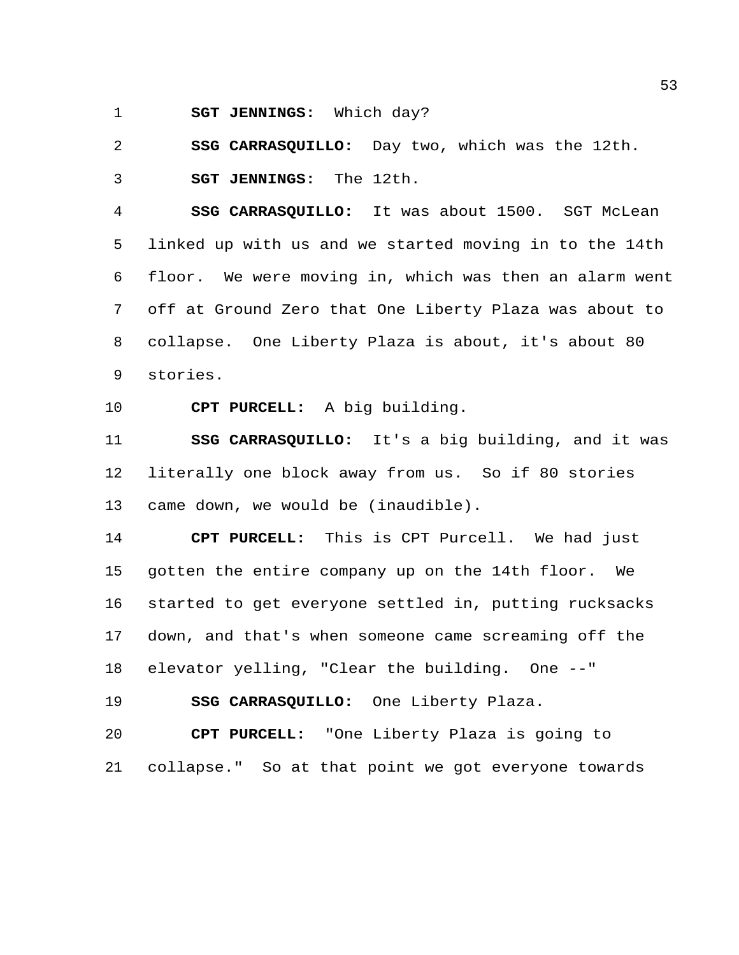**SGT JENNINGS:** Which day?

**SSG CARRASQUILLO:** Day two, which was the 12th.

**SGT JENNINGS:** The 12th.

 **SSG CARRASQUILLO:** It was about 1500. SGT McLean linked up with us and we started moving in to the 14th floor. We were moving in, which was then an alarm went off at Ground Zero that One Liberty Plaza was about to collapse. One Liberty Plaza is about, it's about 80 stories.

**CPT PURCELL:** A big building.

 **SSG CARRASQUILLO:** It's a big building, and it was literally one block away from us. So if 80 stories came down, we would be (inaudible).

 **CPT PURCELL:** This is CPT Purcell. We had just gotten the entire company up on the 14th floor. We started to get everyone settled in, putting rucksacks down, and that's when someone came screaming off the elevator yelling, "Clear the building. One --"

**SSG CARRASQUILLO:** One Liberty Plaza.

 **CPT PURCELL:** "One Liberty Plaza is going to collapse." So at that point we got everyone towards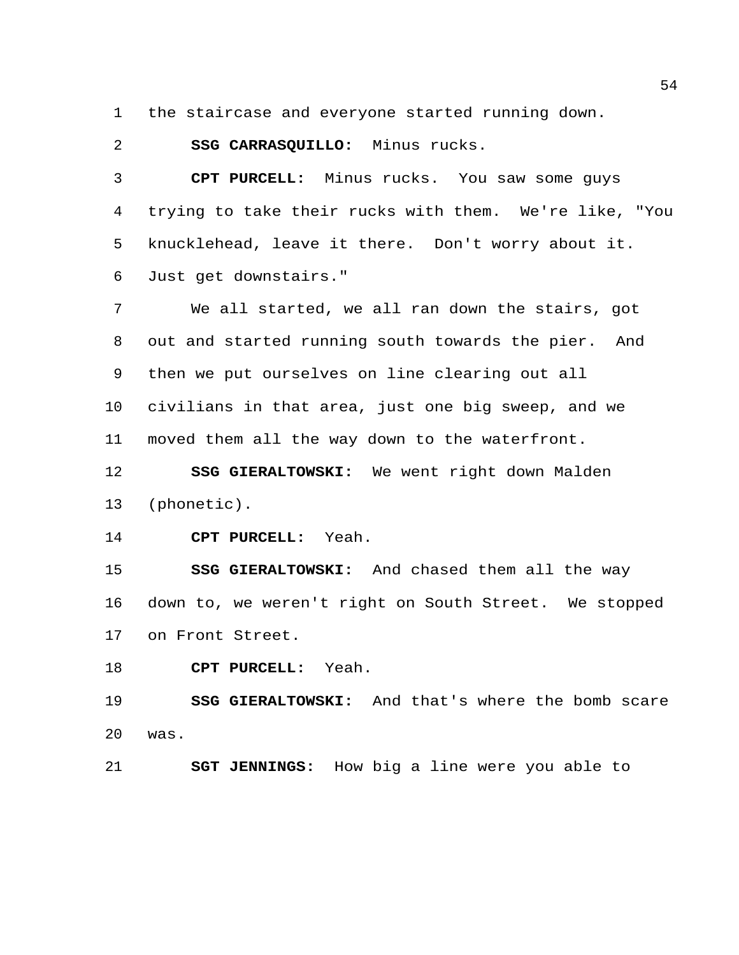the staircase and everyone started running down.

**SSG CARRASQUILLO:** Minus rucks.

 **CPT PURCELL:** Minus rucks. You saw some guys trying to take their rucks with them. We're like, "You knucklehead, leave it there. Don't worry about it. Just get downstairs."

 We all started, we all ran down the stairs, got out and started running south towards the pier. And then we put ourselves on line clearing out all civilians in that area, just one big sweep, and we moved them all the way down to the waterfront.

 **SSG GIERALTOWSKI:** We went right down Malden (phonetic).

**CPT PURCELL:** Yeah.

 **SSG GIERALTOWSKI:** And chased them all the way down to, we weren't right on South Street. We stopped on Front Street.

**CPT PURCELL:** Yeah.

 **SSG GIERALTOWSKI:** And that's where the bomb scare was.

**SGT JENNINGS:** How big a line were you able to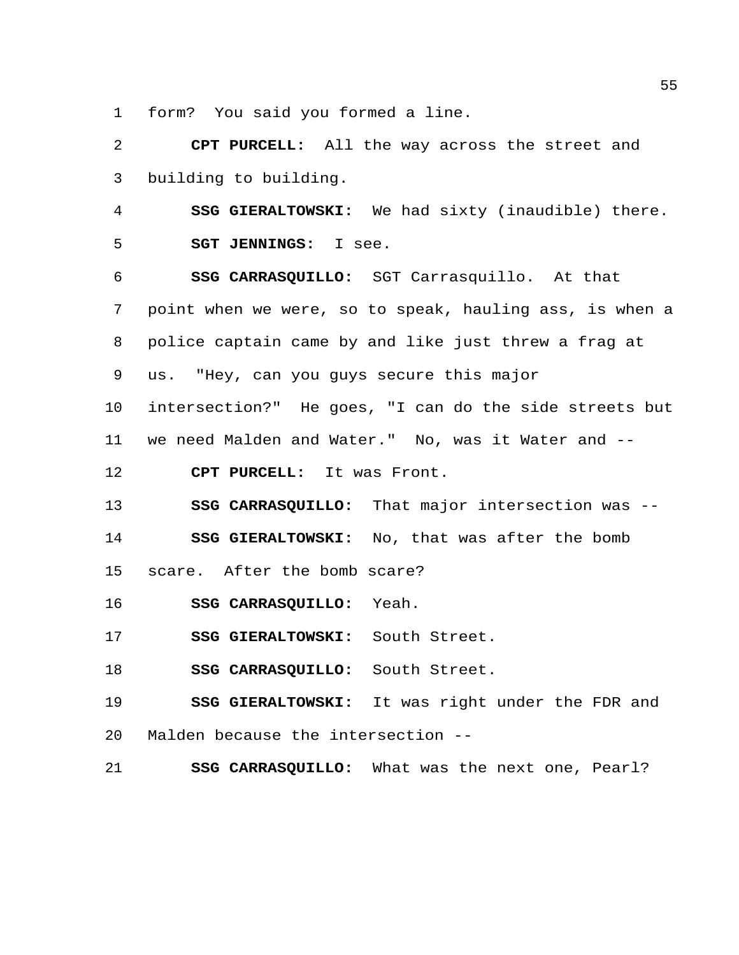form? You said you formed a line.

 **CPT PURCELL:** All the way across the street and building to building.

 **SSG GIERALTOWSKI:** We had sixty (inaudible) there. **SGT JENNINGS:** I see.

 **SSG CARRASQUILLO:** SGT Carrasquillo. At that point when we were, so to speak, hauling ass, is when a police captain came by and like just threw a frag at us. "Hey, can you guys secure this major

 intersection?" He goes, "I can do the side streets but we need Malden and Water." No, was it Water and --

**CPT PURCELL:** It was Front.

**SSG CARRASQUILLO:** That major intersection was --

**SSG GIERALTOWSKI:** No, that was after the bomb

scare. After the bomb scare?

**SSG CARRASQUILLO:** Yeah.

**SSG GIERALTOWSKI:** South Street.

**SSG CARRASQUILLO:** South Street.

 **SSG GIERALTOWSKI:** It was right under the FDR and Malden because the intersection --

**SSG CARRASQUILLO:** What was the next one, Pearl?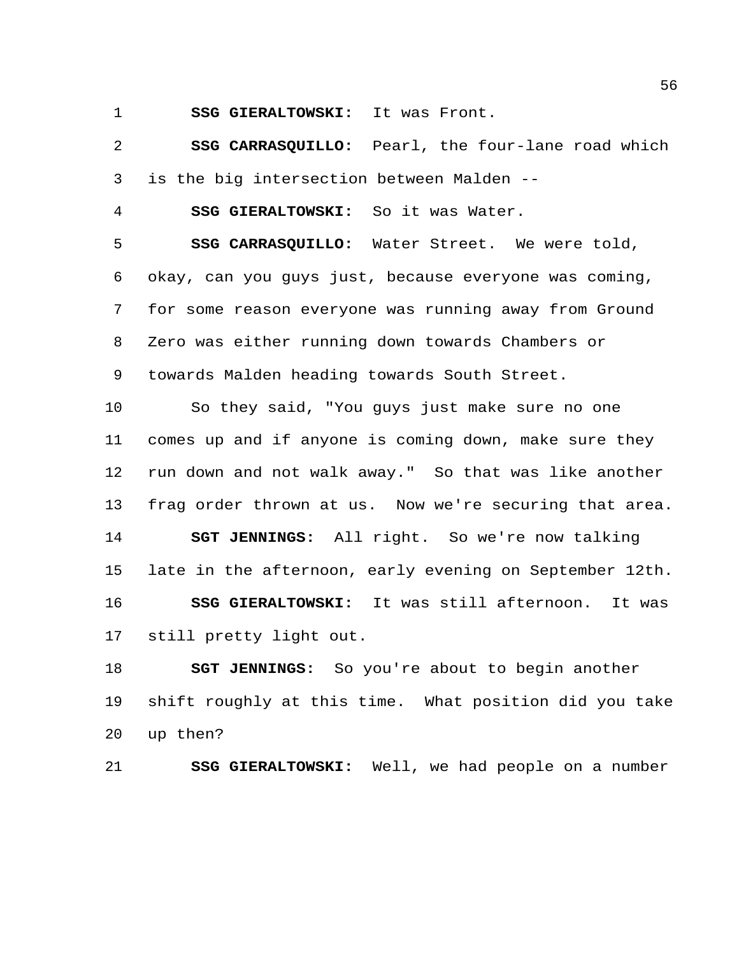**SSG GIERALTOWSKI:** It was Front.

 **SSG CARRASQUILLO:** Pearl, the four-lane road which is the big intersection between Malden --

**SSG GIERALTOWSKI:** So it was Water.

 **SSG CARRASQUILLO:** Water Street. We were told, okay, can you guys just, because everyone was coming, for some reason everyone was running away from Ground Zero was either running down towards Chambers or towards Malden heading towards South Street.

 So they said, "You guys just make sure no one comes up and if anyone is coming down, make sure they run down and not walk away." So that was like another frag order thrown at us. Now we're securing that area. **SGT JENNINGS:** All right. So we're now talking late in the afternoon, early evening on September 12th. **SSG GIERALTOWSKI:** It was still afternoon. It was still pretty light out.

 **SGT JENNINGS:** So you're about to begin another shift roughly at this time. What position did you take up then?

**SSG GIERALTOWSKI:** Well, we had people on a number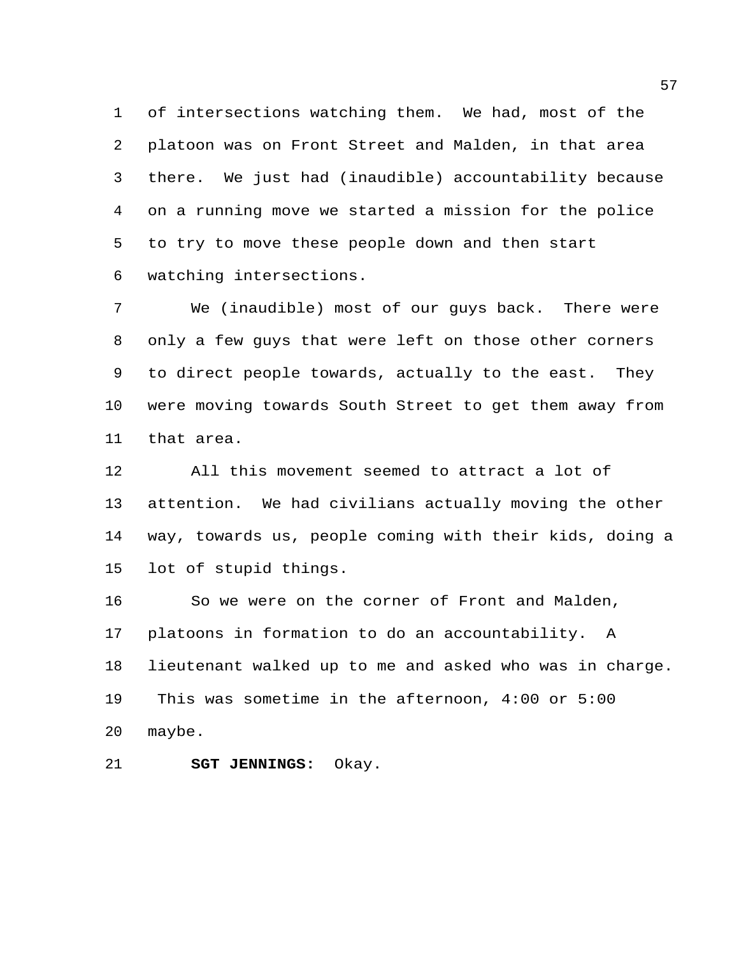of intersections watching them. We had, most of the platoon was on Front Street and Malden, in that area there. We just had (inaudible) accountability because on a running move we started a mission for the police to try to move these people down and then start watching intersections.

 We (inaudible) most of our guys back. There were only a few guys that were left on those other corners to direct people towards, actually to the east. They were moving towards South Street to get them away from that area.

 All this movement seemed to attract a lot of attention. We had civilians actually moving the other way, towards us, people coming with their kids, doing a lot of stupid things.

 So we were on the corner of Front and Malden, platoons in formation to do an accountability. A lieutenant walked up to me and asked who was in charge. This was sometime in the afternoon, 4:00 or 5:00 maybe.

**SGT JENNINGS:** Okay.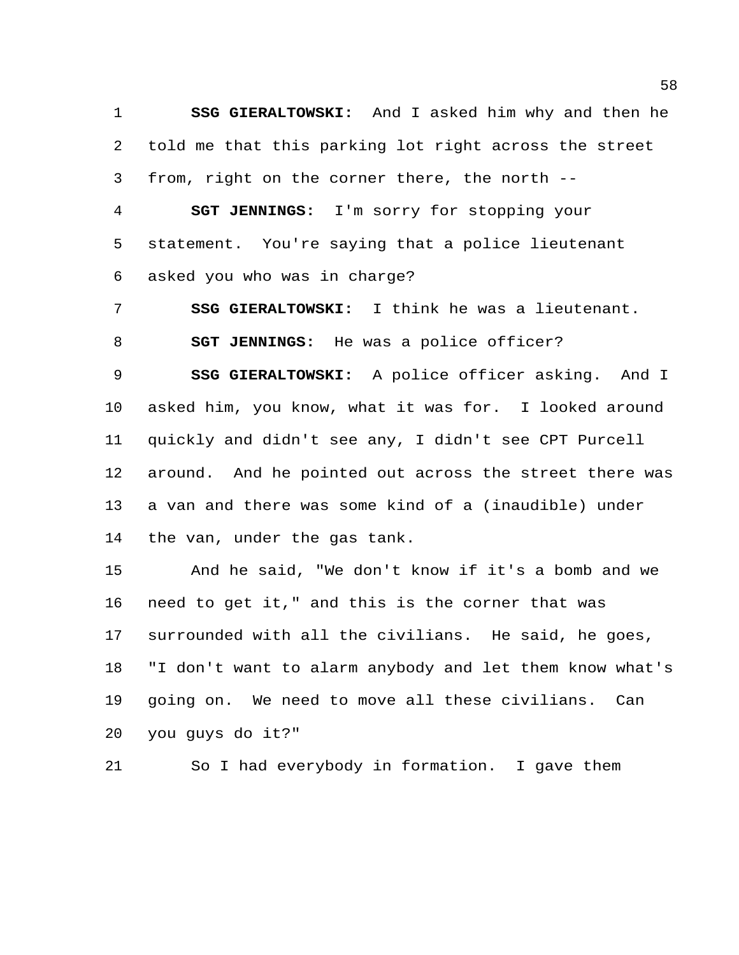**SSG GIERALTOWSKI:** And I asked him why and then he told me that this parking lot right across the street from, right on the corner there, the north --

 **SGT JENNINGS:** I'm sorry for stopping your statement. You're saying that a police lieutenant asked you who was in charge?

 **SSG GIERALTOWSKI:** I think he was a lieutenant. **SGT JENNINGS:** He was a police officer?

 **SSG GIERALTOWSKI:** A police officer asking. And I asked him, you know, what it was for. I looked around quickly and didn't see any, I didn't see CPT Purcell around. And he pointed out across the street there was a van and there was some kind of a (inaudible) under the van, under the gas tank.

 And he said, "We don't know if it's a bomb and we need to get it," and this is the corner that was surrounded with all the civilians. He said, he goes, "I don't want to alarm anybody and let them know what's going on. We need to move all these civilians. Can you guys do it?"

So I had everybody in formation. I gave them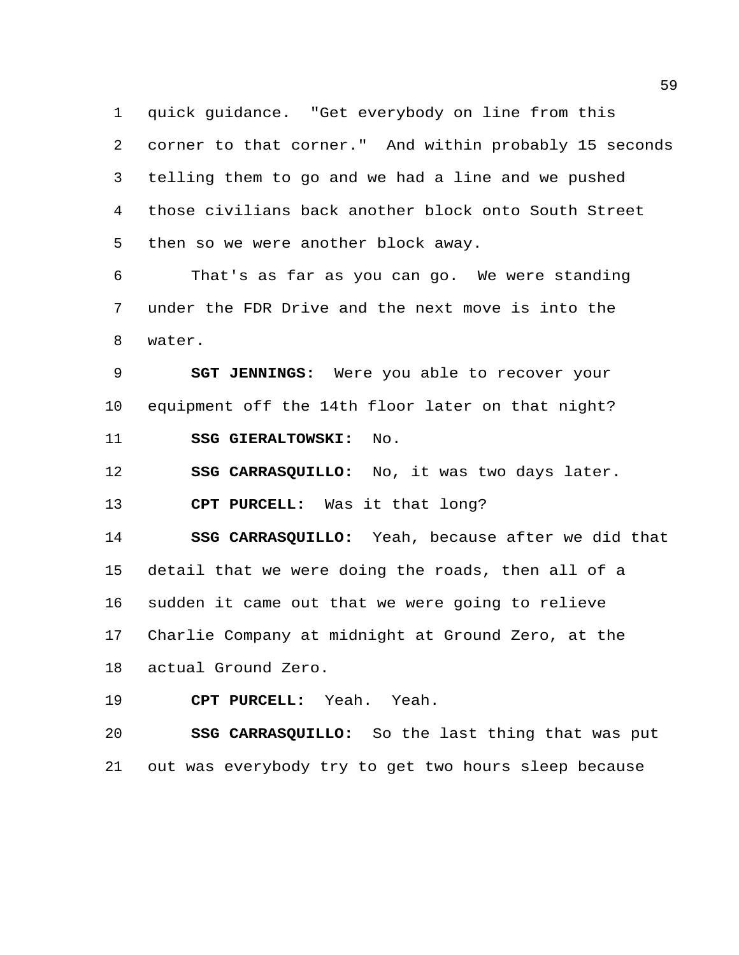quick guidance. "Get everybody on line from this corner to that corner." And within probably 15 seconds telling them to go and we had a line and we pushed those civilians back another block onto South Street then so we were another block away.

 That's as far as you can go. We were standing under the FDR Drive and the next move is into the water.

 **SGT JENNINGS:** Were you able to recover your equipment off the 14th floor later on that night? **SSG GIERALTOWSKI:** No.

**SSG CARRASQUILLO:** No, it was two days later.

**CPT PURCELL:** Was it that long?

 **SSG CARRASQUILLO:** Yeah, because after we did that detail that we were doing the roads, then all of a sudden it came out that we were going to relieve Charlie Company at midnight at Ground Zero, at the actual Ground Zero.

**CPT PURCELL:** Yeah. Yeah.

 **SSG CARRASQUILLO:** So the last thing that was put out was everybody try to get two hours sleep because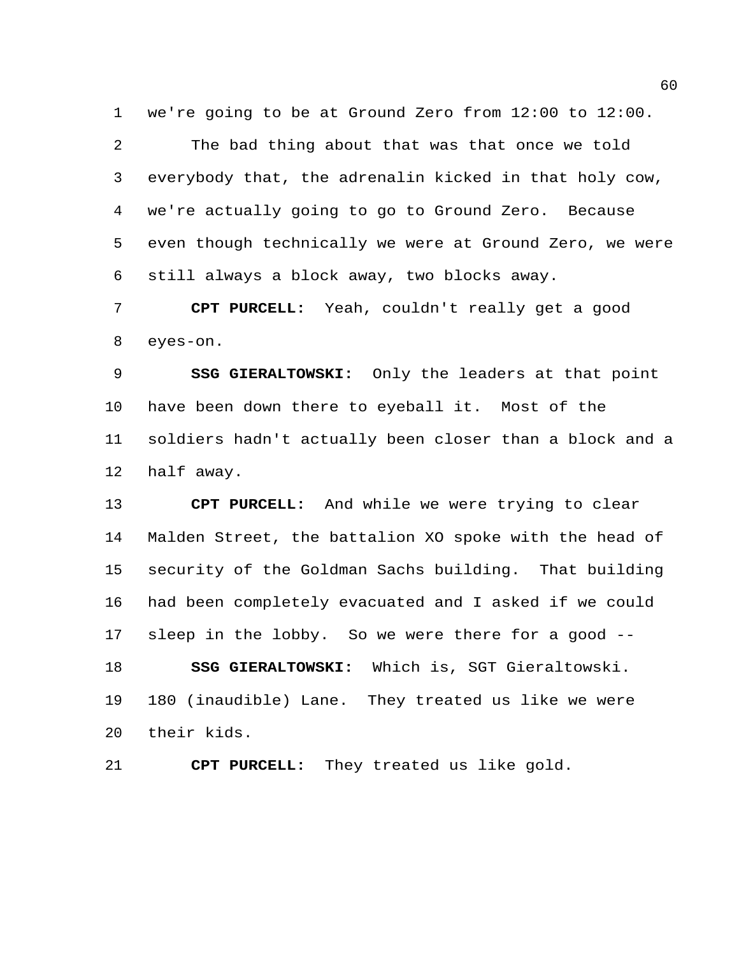we're going to be at Ground Zero from 12:00 to 12:00.

 The bad thing about that was that once we told everybody that, the adrenalin kicked in that holy cow, we're actually going to go to Ground Zero. Because even though technically we were at Ground Zero, we were still always a block away, two blocks away.

 **CPT PURCELL:** Yeah, couldn't really get a good eyes-on.

 **SSG GIERALTOWSKI:** Only the leaders at that point have been down there to eyeball it. Most of the soldiers hadn't actually been closer than a block and a half away.

 **CPT PURCELL:** And while we were trying to clear Malden Street, the battalion XO spoke with the head of security of the Goldman Sachs building. That building had been completely evacuated and I asked if we could sleep in the lobby. So we were there for a good -- **SSG GIERALTOWSKI:** Which is, SGT Gieraltowski. 180 (inaudible) Lane. They treated us like we were their kids.

**CPT PURCELL:** They treated us like gold.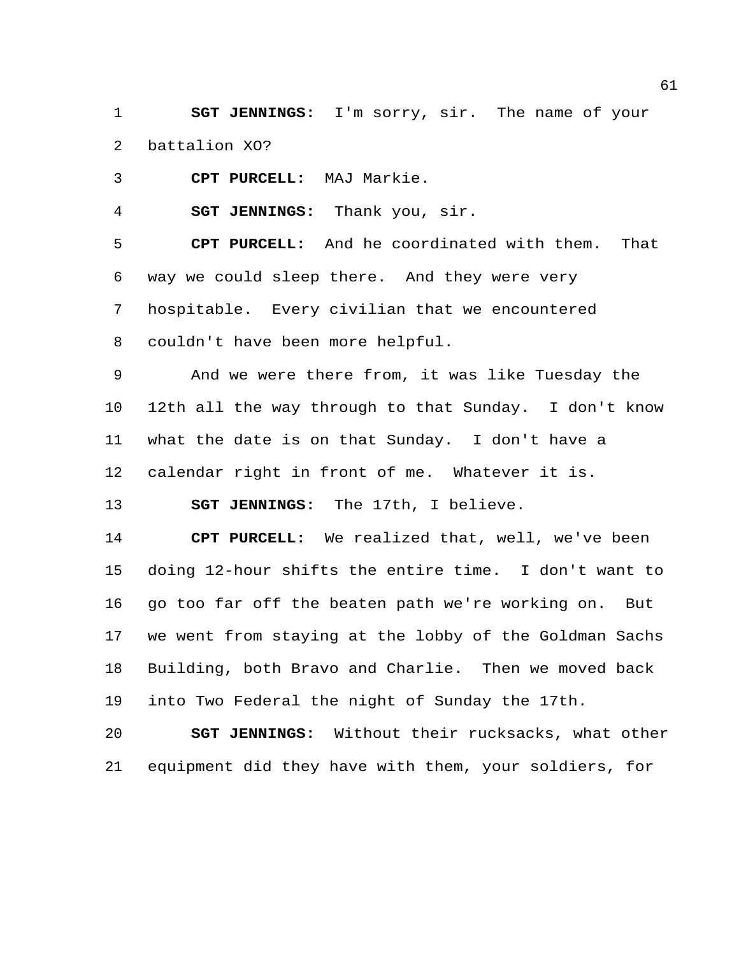**SGT JENNINGS:** I'm sorry, sir. The name of your battalion XO?

**CPT PURCELL:** MAJ Markie.

**SGT JENNINGS:** Thank you, sir.

 **CPT PURCELL:** And he coordinated with them. That way we could sleep there. And they were very hospitable. Every civilian that we encountered couldn't have been more helpful.

 And we were there from, it was like Tuesday the 12th all the way through to that Sunday. I don't know what the date is on that Sunday. I don't have a calendar right in front of me. Whatever it is.

**SGT JENNINGS:** The 17th, I believe.

 **CPT PURCELL:** We realized that, well, we've been doing 12-hour shifts the entire time. I don't want to go too far off the beaten path we're working on. But we went from staying at the lobby of the Goldman Sachs Building, both Bravo and Charlie. Then we moved back into Two Federal the night of Sunday the 17th.

 **SGT JENNINGS:** Without their rucksacks, what other equipment did they have with them, your soldiers, for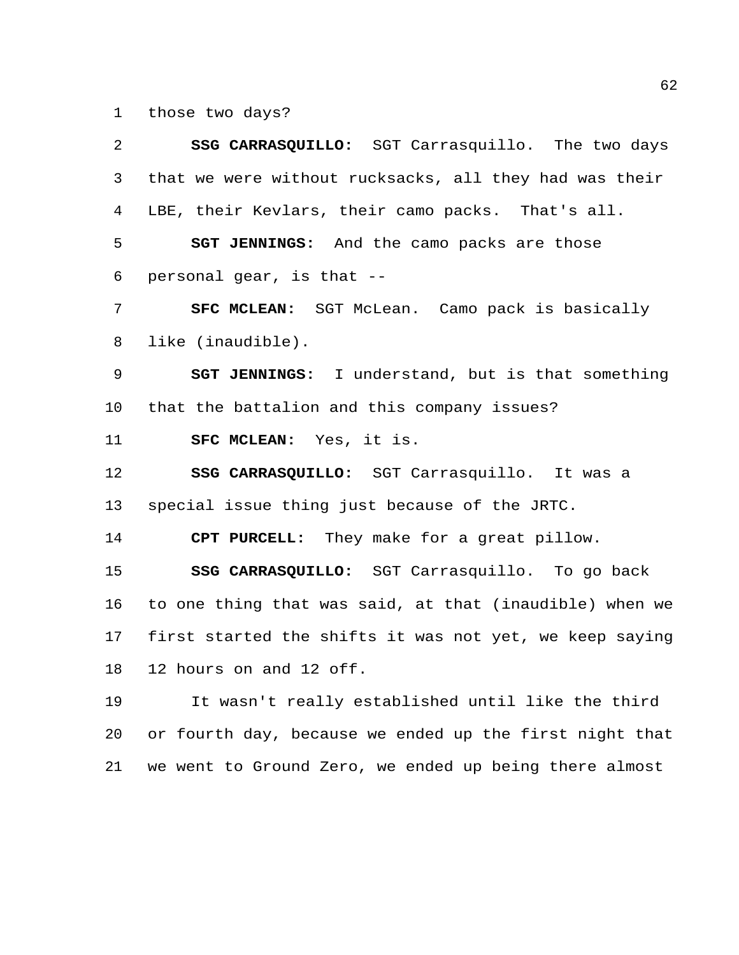those two days?

 **SSG CARRASQUILLO:** SGT Carrasquillo. The two days that we were without rucksacks, all they had was their LBE, their Kevlars, their camo packs. That's all. **SGT JENNINGS:** And the camo packs are those personal gear, is that -- **SFC MCLEAN:** SGT McLean. Camo pack is basically like (inaudible). **SGT JENNINGS:** I understand, but is that something that the battalion and this company issues? **SFC MCLEAN:** Yes, it is. **SSG CARRASQUILLO:** SGT Carrasquillo. It was a special issue thing just because of the JRTC. **CPT PURCELL:** They make for a great pillow. **SSG CARRASQUILLO:** SGT Carrasquillo. To go back to one thing that was said, at that (inaudible) when we first started the shifts it was not yet, we keep saying 12 hours on and 12 off. It wasn't really established until like the third or fourth day, because we ended up the first night that

we went to Ground Zero, we ended up being there almost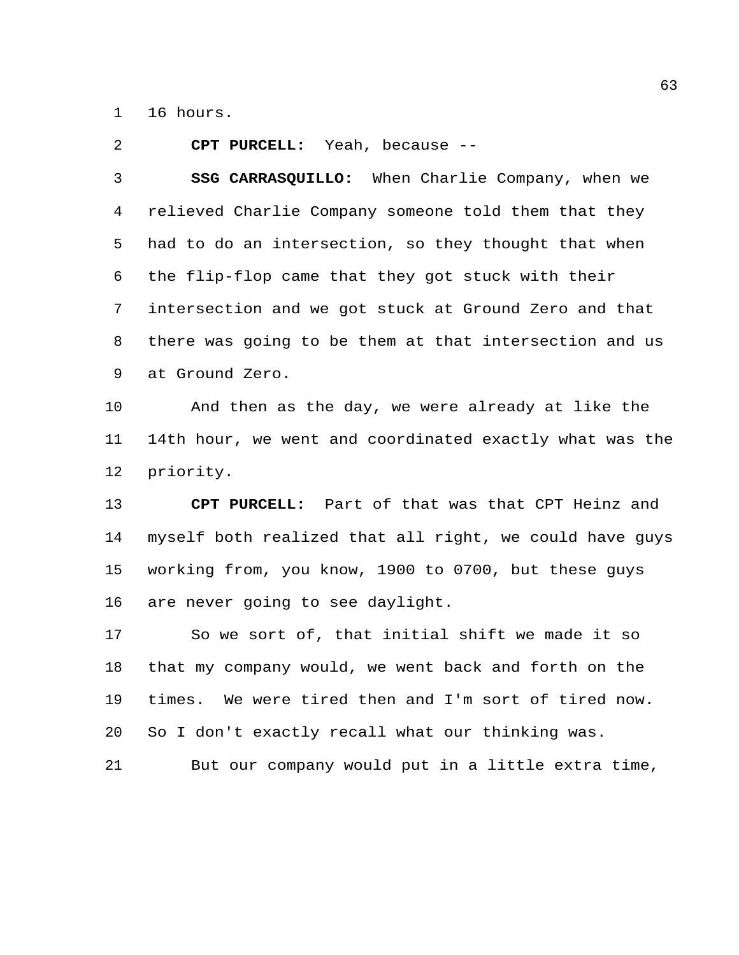16 hours.

**CPT PURCELL:** Yeah, because --

 **SSG CARRASQUILLO:** When Charlie Company, when we relieved Charlie Company someone told them that they had to do an intersection, so they thought that when the flip-flop came that they got stuck with their intersection and we got stuck at Ground Zero and that there was going to be them at that intersection and us at Ground Zero.

 And then as the day, we were already at like the 14th hour, we went and coordinated exactly what was the priority.

 **CPT PURCELL:** Part of that was that CPT Heinz and myself both realized that all right, we could have guys working from, you know, 1900 to 0700, but these guys are never going to see daylight.

 So we sort of, that initial shift we made it so that my company would, we went back and forth on the times. We were tired then and I'm sort of tired now. So I don't exactly recall what our thinking was.

But our company would put in a little extra time,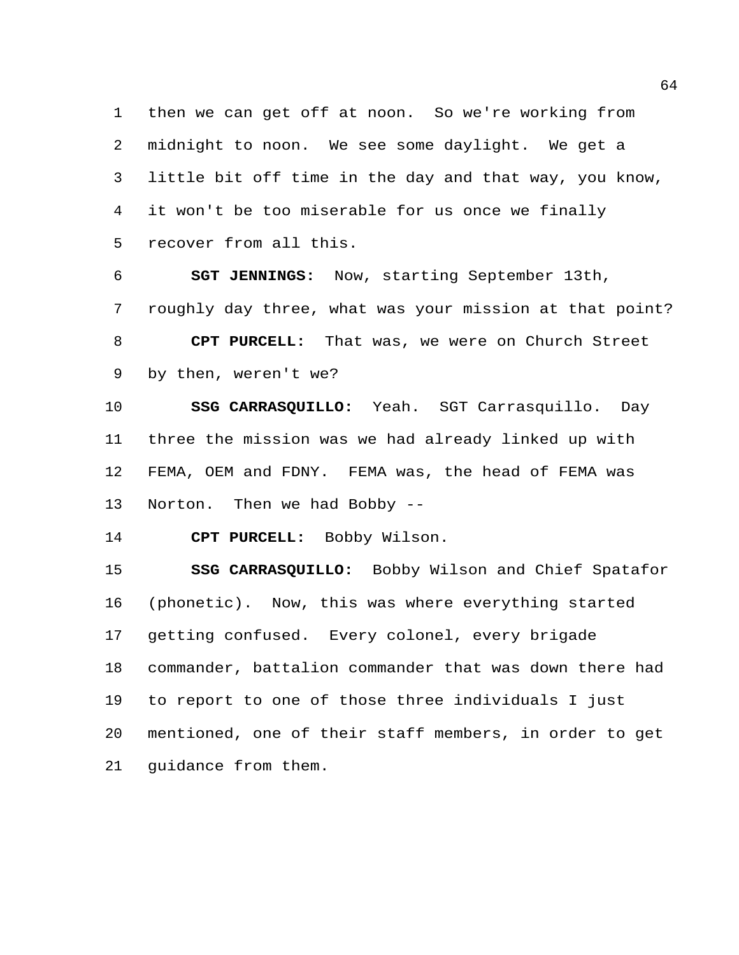then we can get off at noon. So we're working from midnight to noon. We see some daylight. We get a little bit off time in the day and that way, you know, it won't be too miserable for us once we finally recover from all this.

 **SGT JENNINGS:** Now, starting September 13th, roughly day three, what was your mission at that point? **CPT PURCELL:** That was, we were on Church Street by then, weren't we?

 **SSG CARRASQUILLO:** Yeah. SGT Carrasquillo. Day three the mission was we had already linked up with FEMA, OEM and FDNY. FEMA was, the head of FEMA was Norton. Then we had Bobby --

**CPT PURCELL:** Bobby Wilson.

 **SSG CARRASQUILLO:** Bobby Wilson and Chief Spatafor (phonetic). Now, this was where everything started getting confused. Every colonel, every brigade commander, battalion commander that was down there had to report to one of those three individuals I just mentioned, one of their staff members, in order to get guidance from them.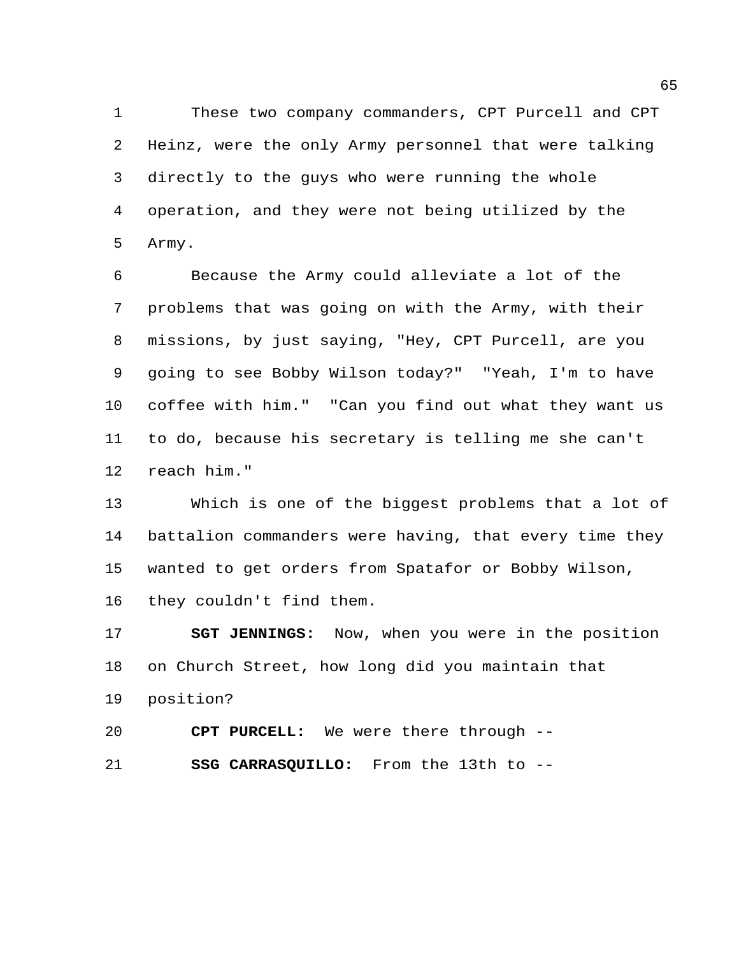These two company commanders, CPT Purcell and CPT Heinz, were the only Army personnel that were talking directly to the guys who were running the whole operation, and they were not being utilized by the Army.

 Because the Army could alleviate a lot of the problems that was going on with the Army, with their missions, by just saying, "Hey, CPT Purcell, are you going to see Bobby Wilson today?" "Yeah, I'm to have coffee with him." "Can you find out what they want us to do, because his secretary is telling me she can't reach him."

 Which is one of the biggest problems that a lot of battalion commanders were having, that every time they wanted to get orders from Spatafor or Bobby Wilson, they couldn't find them.

 **SGT JENNINGS:** Now, when you were in the position on Church Street, how long did you maintain that position?

 **CPT PURCELL:** We were there through -- **SSG CARRASQUILLO:** From the 13th to --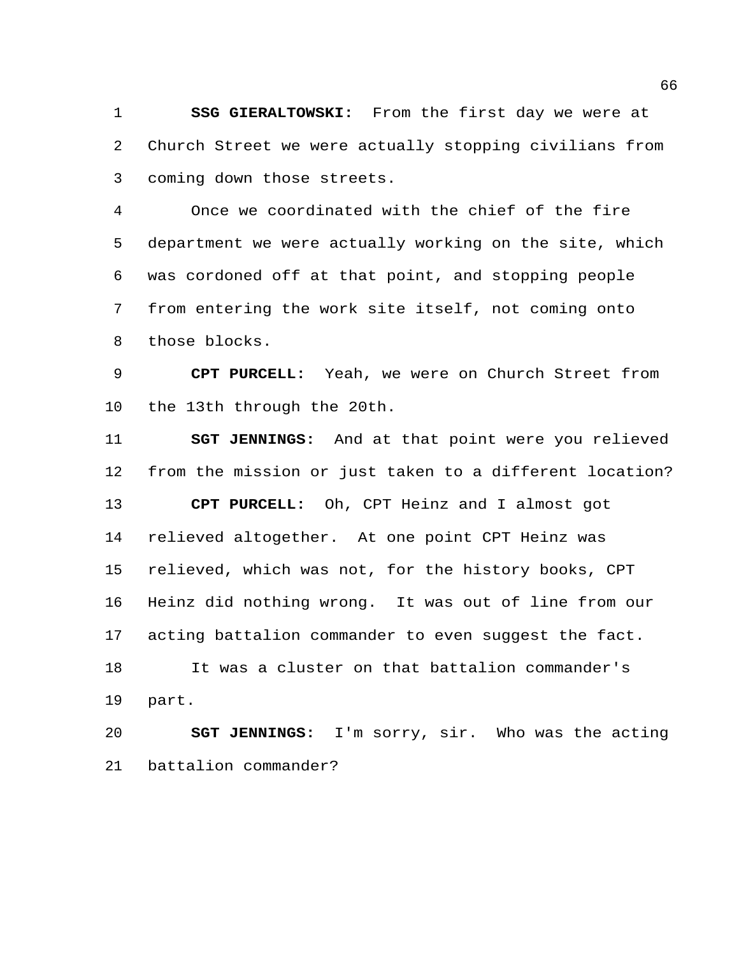**SSG GIERALTOWSKI:** From the first day we were at Church Street we were actually stopping civilians from coming down those streets.

 Once we coordinated with the chief of the fire department we were actually working on the site, which was cordoned off at that point, and stopping people from entering the work site itself, not coming onto those blocks.

 **CPT PURCELL:** Yeah, we were on Church Street from the 13th through the 20th.

 **SGT JENNINGS:** And at that point were you relieved from the mission or just taken to a different location? **CPT PURCELL:** Oh, CPT Heinz and I almost got relieved altogether. At one point CPT Heinz was relieved, which was not, for the history books, CPT Heinz did nothing wrong. It was out of line from our acting battalion commander to even suggest the fact. It was a cluster on that battalion commander's part.

 **SGT JENNINGS:** I'm sorry, sir. Who was the acting battalion commander?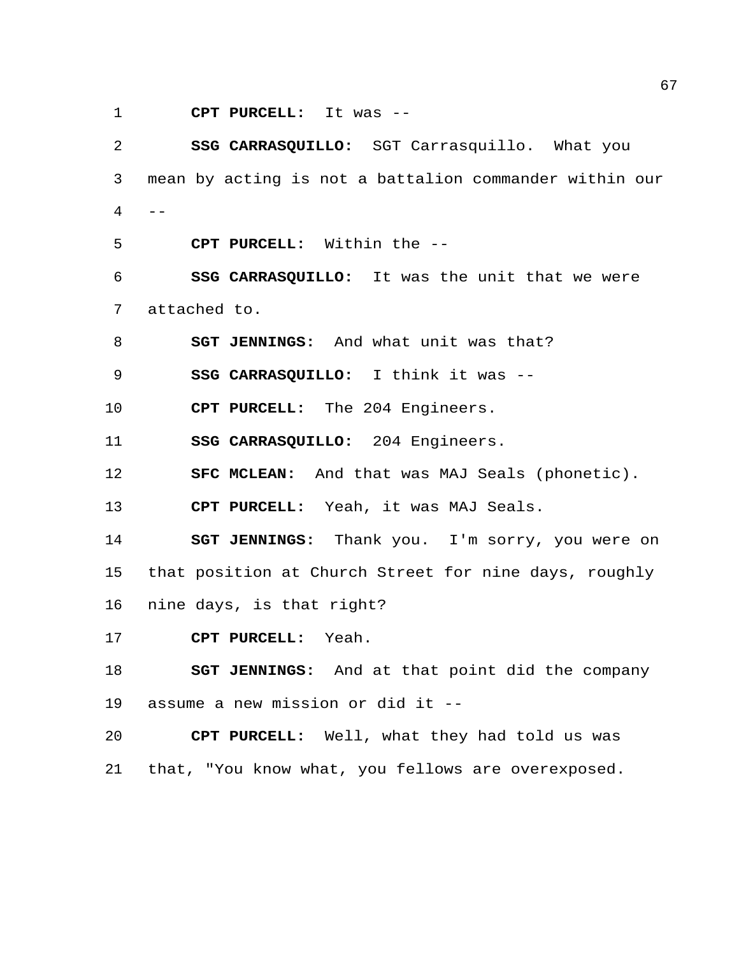**CPT PURCELL:** It was --

 **SSG CARRASQUILLO:** SGT Carrasquillo. What you mean by acting is not a battalion commander within our  $-$ 

**CPT PURCELL:** Within the --

 **SSG CARRASQUILLO:** It was the unit that we were attached to.

**SGT JENNINGS:** And what unit was that?

**SSG CARRASQUILLO:** I think it was --

**CPT PURCELL:** The 204 Engineers.

**SSG CARRASQUILLO:** 204 Engineers.

**SFC MCLEAN:** And that was MAJ Seals (phonetic).

**CPT PURCELL:** Yeah, it was MAJ Seals.

 **SGT JENNINGS:** Thank you. I'm sorry, you were on that position at Church Street for nine days, roughly nine days, is that right?

**CPT PURCELL:** Yeah.

 **SGT JENNINGS:** And at that point did the company assume a new mission or did it --

 **CPT PURCELL:** Well, what they had told us was that, "You know what, you fellows are overexposed.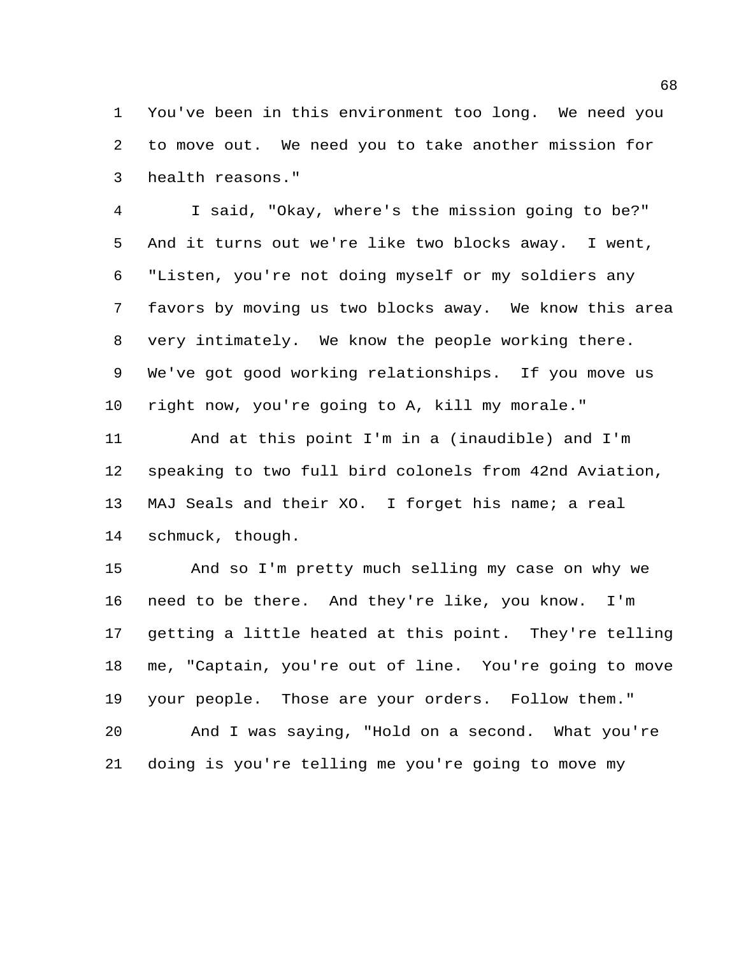You've been in this environment too long. We need you to move out. We need you to take another mission for health reasons."

 I said, "Okay, where's the mission going to be?" And it turns out we're like two blocks away. I went, "Listen, you're not doing myself or my soldiers any favors by moving us two blocks away. We know this area very intimately. We know the people working there. We've got good working relationships. If you move us right now, you're going to A, kill my morale."

 And at this point I'm in a (inaudible) and I'm speaking to two full bird colonels from 42nd Aviation, MAJ Seals and their XO. I forget his name; a real schmuck, though.

 And so I'm pretty much selling my case on why we need to be there. And they're like, you know. I'm getting a little heated at this point. They're telling me, "Captain, you're out of line. You're going to move your people. Those are your orders. Follow them." And I was saying, "Hold on a second. What you're doing is you're telling me you're going to move my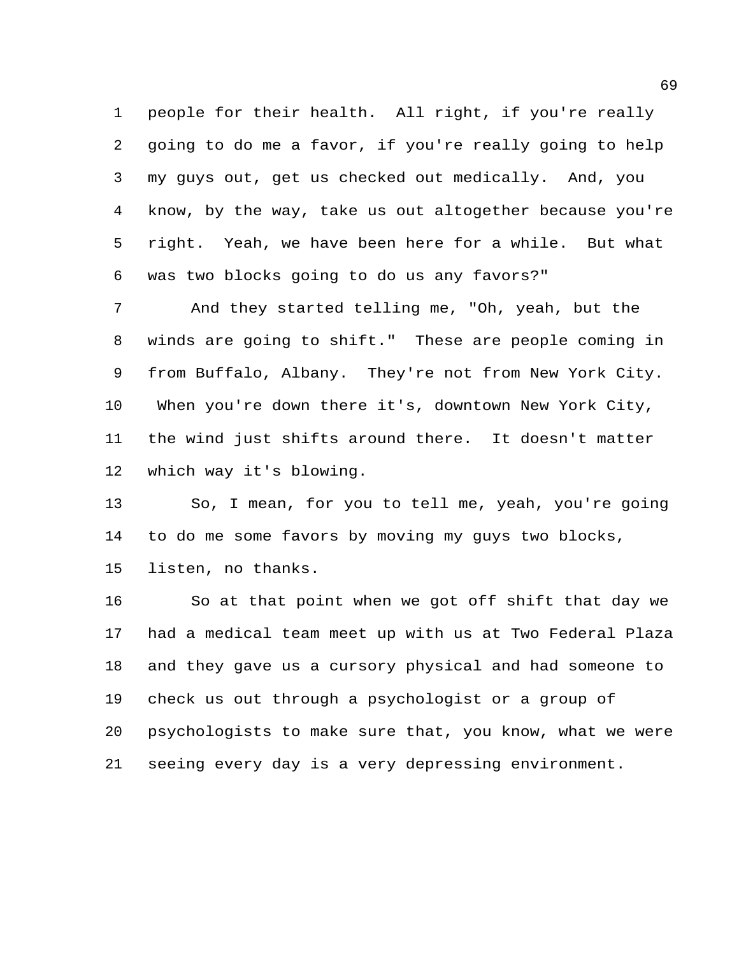people for their health. All right, if you're really going to do me a favor, if you're really going to help my guys out, get us checked out medically. And, you know, by the way, take us out altogether because you're right. Yeah, we have been here for a while. But what was two blocks going to do us any favors?"

 And they started telling me, "Oh, yeah, but the winds are going to shift." These are people coming in from Buffalo, Albany. They're not from New York City. When you're down there it's, downtown New York City, the wind just shifts around there. It doesn't matter which way it's blowing.

 So, I mean, for you to tell me, yeah, you're going to do me some favors by moving my guys two blocks, listen, no thanks.

 So at that point when we got off shift that day we had a medical team meet up with us at Two Federal Plaza and they gave us a cursory physical and had someone to check us out through a psychologist or a group of psychologists to make sure that, you know, what we were seeing every day is a very depressing environment.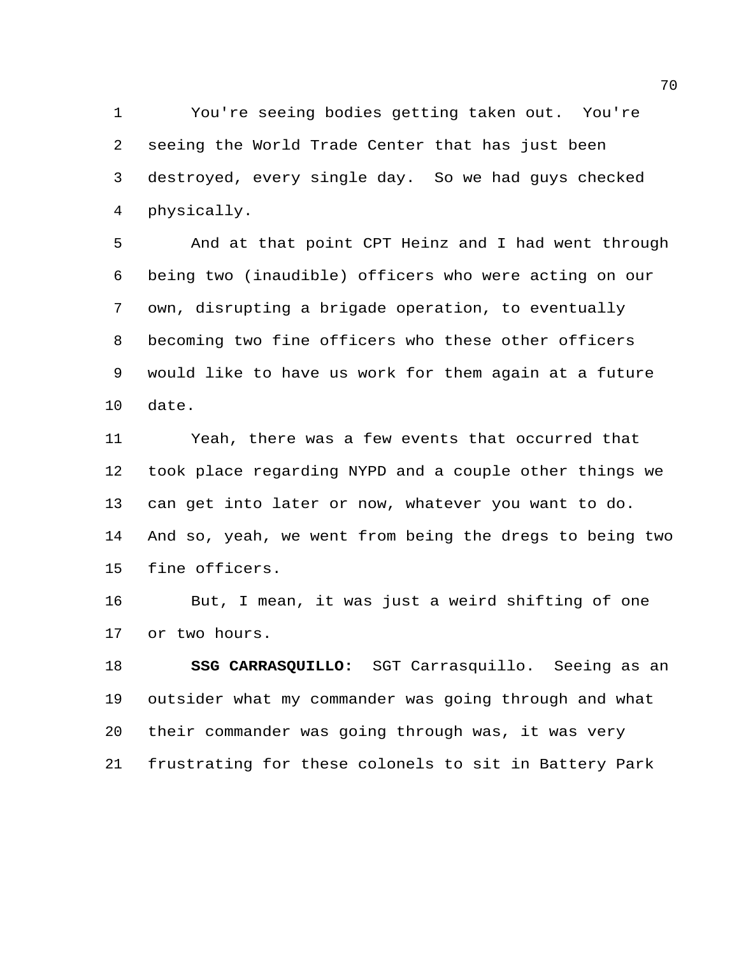You're seeing bodies getting taken out. You're seeing the World Trade Center that has just been destroyed, every single day. So we had guys checked physically.

 And at that point CPT Heinz and I had went through being two (inaudible) officers who were acting on our own, disrupting a brigade operation, to eventually becoming two fine officers who these other officers would like to have us work for them again at a future date.

 Yeah, there was a few events that occurred that took place regarding NYPD and a couple other things we can get into later or now, whatever you want to do. And so, yeah, we went from being the dregs to being two fine officers.

 But, I mean, it was just a weird shifting of one or two hours.

 **SSG CARRASQUILLO:** SGT Carrasquillo. Seeing as an outsider what my commander was going through and what their commander was going through was, it was very frustrating for these colonels to sit in Battery Park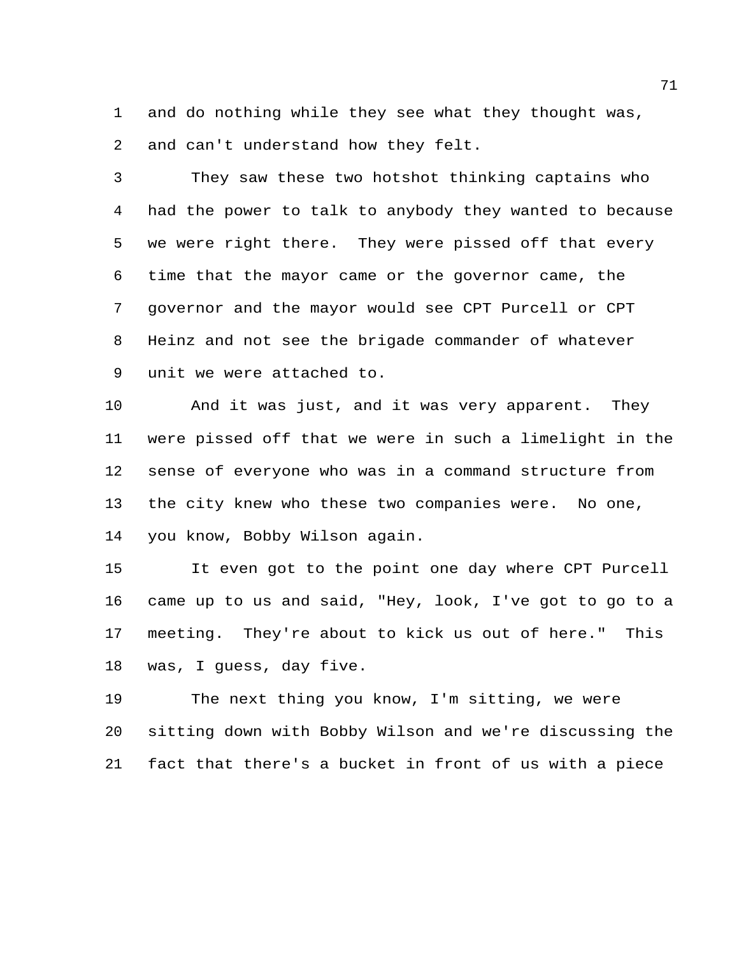and do nothing while they see what they thought was, and can't understand how they felt.

 They saw these two hotshot thinking captains who had the power to talk to anybody they wanted to because we were right there. They were pissed off that every time that the mayor came or the governor came, the governor and the mayor would see CPT Purcell or CPT Heinz and not see the brigade commander of whatever unit we were attached to.

 And it was just, and it was very apparent. They were pissed off that we were in such a limelight in the sense of everyone who was in a command structure from the city knew who these two companies were. No one, you know, Bobby Wilson again.

 It even got to the point one day where CPT Purcell came up to us and said, "Hey, look, I've got to go to a meeting. They're about to kick us out of here." This was, I guess, day five.

 The next thing you know, I'm sitting, we were sitting down with Bobby Wilson and we're discussing the fact that there's a bucket in front of us with a piece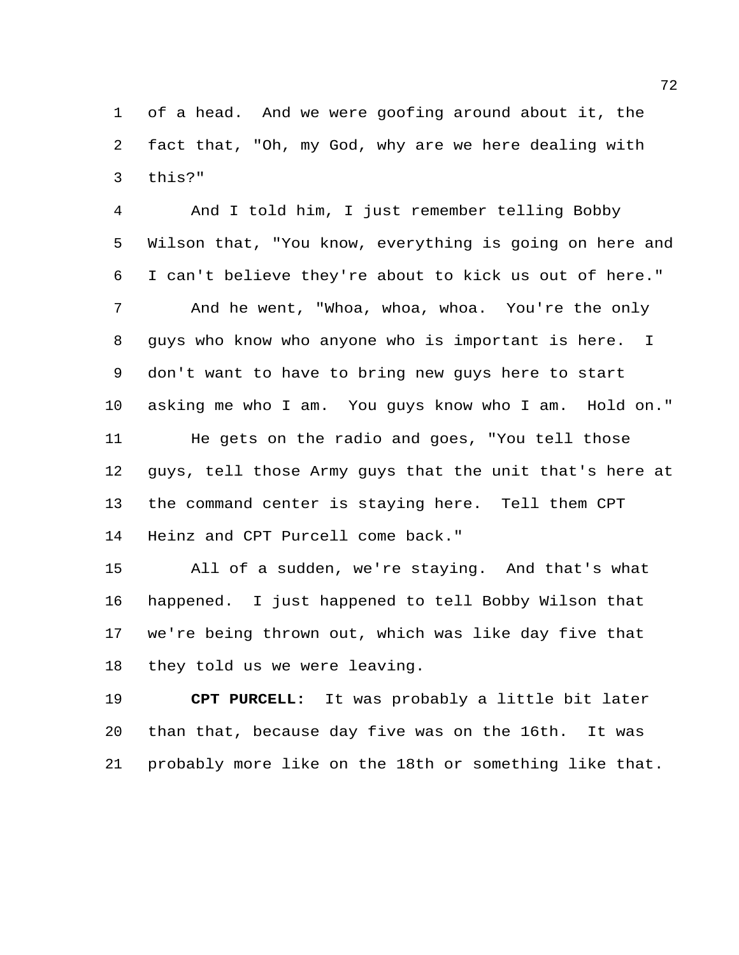of a head. And we were goofing around about it, the fact that, "Oh, my God, why are we here dealing with this?"

 And I told him, I just remember telling Bobby Wilson that, "You know, everything is going on here and I can't believe they're about to kick us out of here." And he went, "Whoa, whoa, whoa. You're the only guys who know who anyone who is important is here. I don't want to have to bring new guys here to start asking me who I am. You guys know who I am. Hold on." He gets on the radio and goes, "You tell those guys, tell those Army guys that the unit that's here at the command center is staying here. Tell them CPT Heinz and CPT Purcell come back."

 All of a sudden, we're staying. And that's what happened. I just happened to tell Bobby Wilson that we're being thrown out, which was like day five that they told us we were leaving.

 **CPT PURCELL:** It was probably a little bit later than that, because day five was on the 16th. It was probably more like on the 18th or something like that.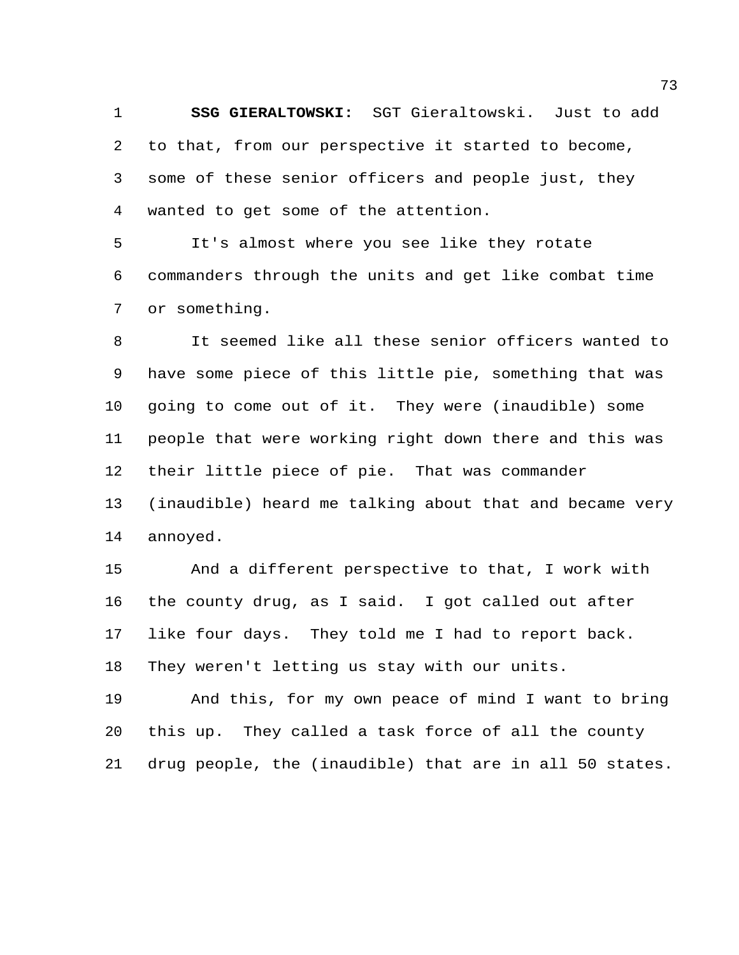**SSG GIERALTOWSKI:** SGT Gieraltowski. Just to add to that, from our perspective it started to become, some of these senior officers and people just, they wanted to get some of the attention.

 It's almost where you see like they rotate commanders through the units and get like combat time or something.

 It seemed like all these senior officers wanted to have some piece of this little pie, something that was going to come out of it. They were (inaudible) some people that were working right down there and this was their little piece of pie. That was commander (inaudible) heard me talking about that and became very annoyed.

 And a different perspective to that, I work with the county drug, as I said. I got called out after like four days. They told me I had to report back. They weren't letting us stay with our units.

 And this, for my own peace of mind I want to bring this up. They called a task force of all the county drug people, the (inaudible) that are in all 50 states.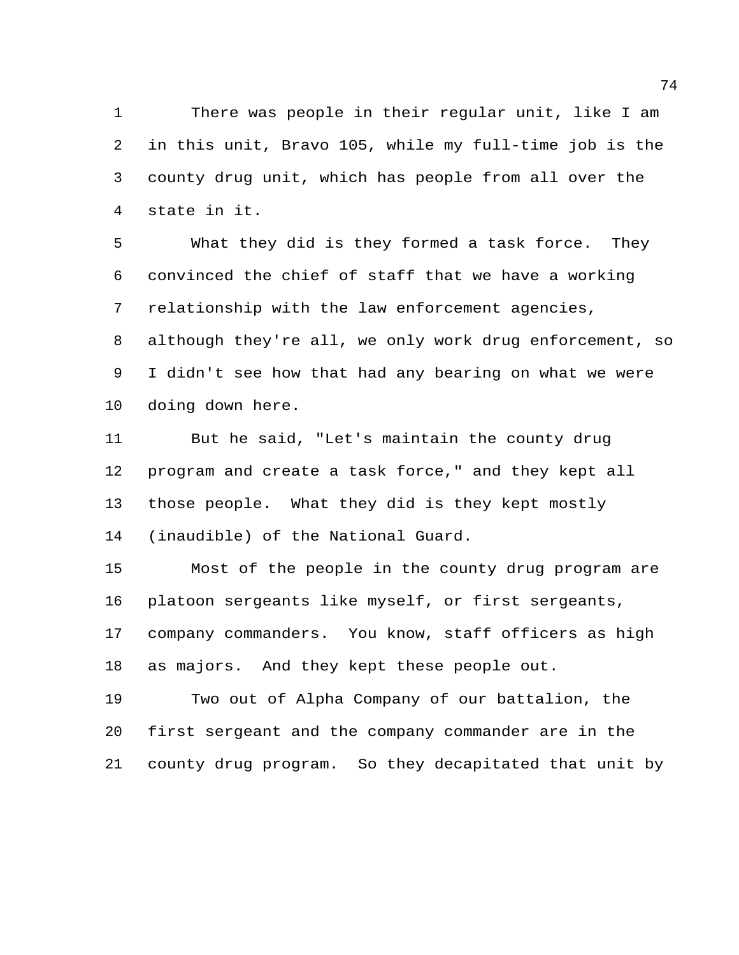There was people in their regular unit, like I am in this unit, Bravo 105, while my full-time job is the county drug unit, which has people from all over the state in it.

 What they did is they formed a task force. They convinced the chief of staff that we have a working relationship with the law enforcement agencies, although they're all, we only work drug enforcement, so I didn't see how that had any bearing on what we were doing down here.

 But he said, "Let's maintain the county drug program and create a task force," and they kept all those people. What they did is they kept mostly (inaudible) of the National Guard.

 Most of the people in the county drug program are platoon sergeants like myself, or first sergeants, company commanders. You know, staff officers as high as majors. And they kept these people out.

 Two out of Alpha Company of our battalion, the first sergeant and the company commander are in the county drug program. So they decapitated that unit by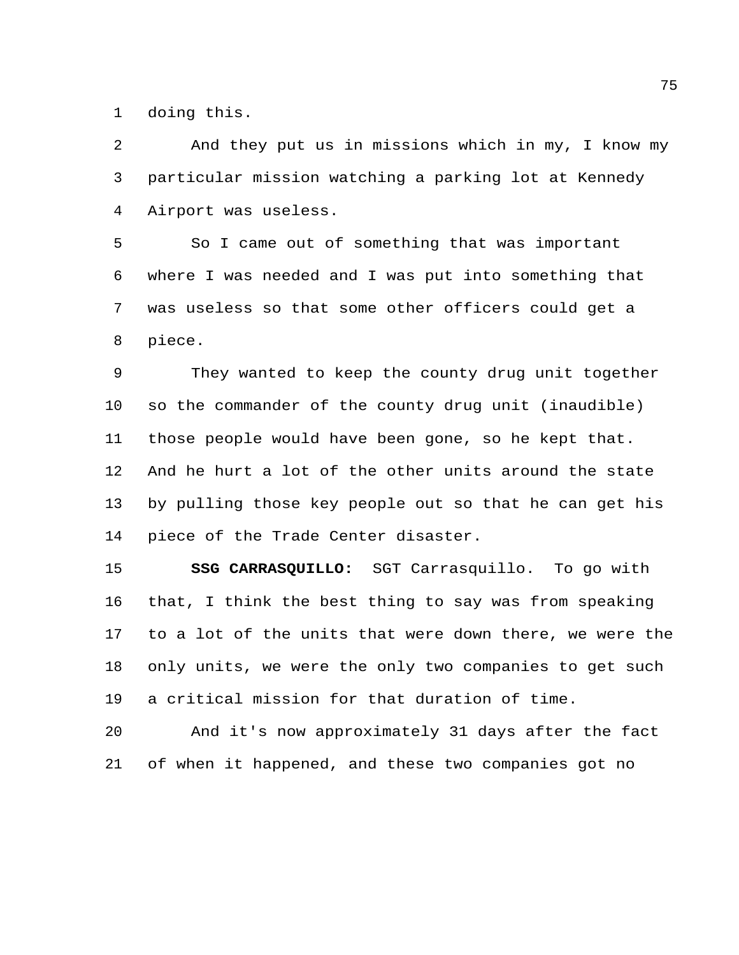doing this.

 And they put us in missions which in my, I know my particular mission watching a parking lot at Kennedy Airport was useless.

 So I came out of something that was important where I was needed and I was put into something that was useless so that some other officers could get a piece.

 They wanted to keep the county drug unit together so the commander of the county drug unit (inaudible) those people would have been gone, so he kept that. And he hurt a lot of the other units around the state by pulling those key people out so that he can get his piece of the Trade Center disaster.

 **SSG CARRASQUILLO:** SGT Carrasquillo. To go with that, I think the best thing to say was from speaking to a lot of the units that were down there, we were the only units, we were the only two companies to get such a critical mission for that duration of time.

 And it's now approximately 31 days after the fact of when it happened, and these two companies got no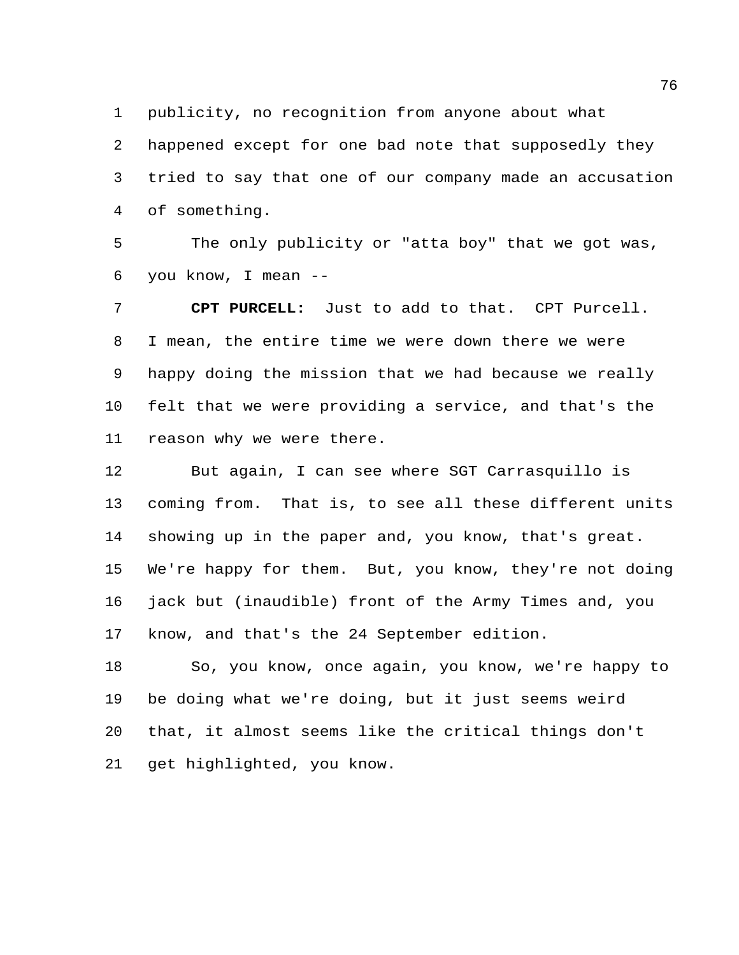publicity, no recognition from anyone about what

 happened except for one bad note that supposedly they tried to say that one of our company made an accusation of something.

 The only publicity or "atta boy" that we got was, you know, I mean --

 **CPT PURCELL:** Just to add to that. CPT Purcell. I mean, the entire time we were down there we were happy doing the mission that we had because we really felt that we were providing a service, and that's the reason why we were there.

 But again, I can see where SGT Carrasquillo is coming from. That is, to see all these different units showing up in the paper and, you know, that's great. We're happy for them. But, you know, they're not doing jack but (inaudible) front of the Army Times and, you know, and that's the 24 September edition.

 So, you know, once again, you know, we're happy to be doing what we're doing, but it just seems weird that, it almost seems like the critical things don't get highlighted, you know.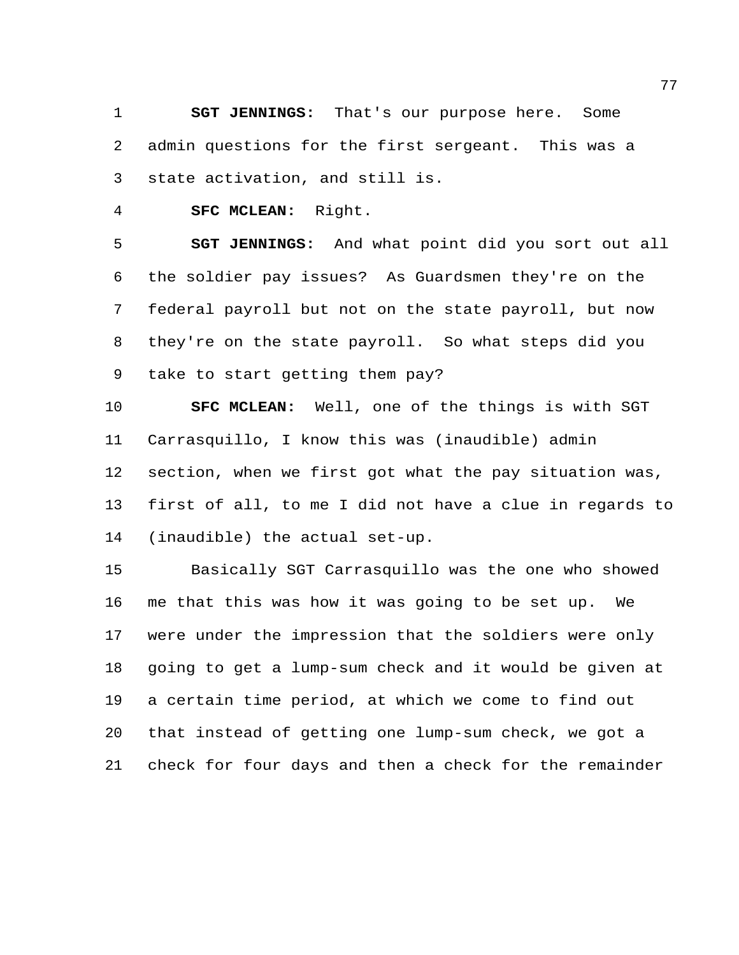**SGT JENNINGS:** That's our purpose here. Some admin questions for the first sergeant. This was a state activation, and still is.

**SFC MCLEAN:** Right.

 **SGT JENNINGS:** And what point did you sort out all the soldier pay issues? As Guardsmen they're on the federal payroll but not on the state payroll, but now they're on the state payroll. So what steps did you take to start getting them pay?

 **SFC MCLEAN:** Well, one of the things is with SGT Carrasquillo, I know this was (inaudible) admin section, when we first got what the pay situation was, first of all, to me I did not have a clue in regards to (inaudible) the actual set-up.

 Basically SGT Carrasquillo was the one who showed me that this was how it was going to be set up. We were under the impression that the soldiers were only going to get a lump-sum check and it would be given at a certain time period, at which we come to find out that instead of getting one lump-sum check, we got a check for four days and then a check for the remainder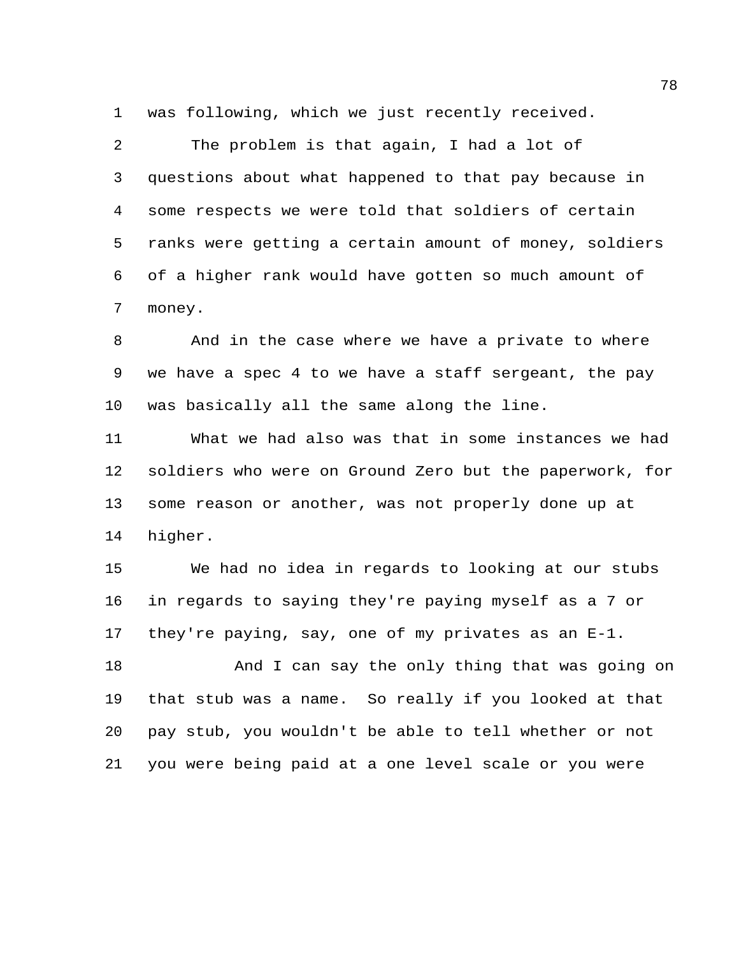was following, which we just recently received.

 The problem is that again, I had a lot of questions about what happened to that pay because in some respects we were told that soldiers of certain ranks were getting a certain amount of money, soldiers of a higher rank would have gotten so much amount of money.

 And in the case where we have a private to where we have a spec 4 to we have a staff sergeant, the pay was basically all the same along the line.

 What we had also was that in some instances we had soldiers who were on Ground Zero but the paperwork, for some reason or another, was not properly done up at higher.

 We had no idea in regards to looking at our stubs in regards to saying they're paying myself as a 7 or they're paying, say, one of my privates as an E-1.

 And I can say the only thing that was going on that stub was a name. So really if you looked at that pay stub, you wouldn't be able to tell whether or not you were being paid at a one level scale or you were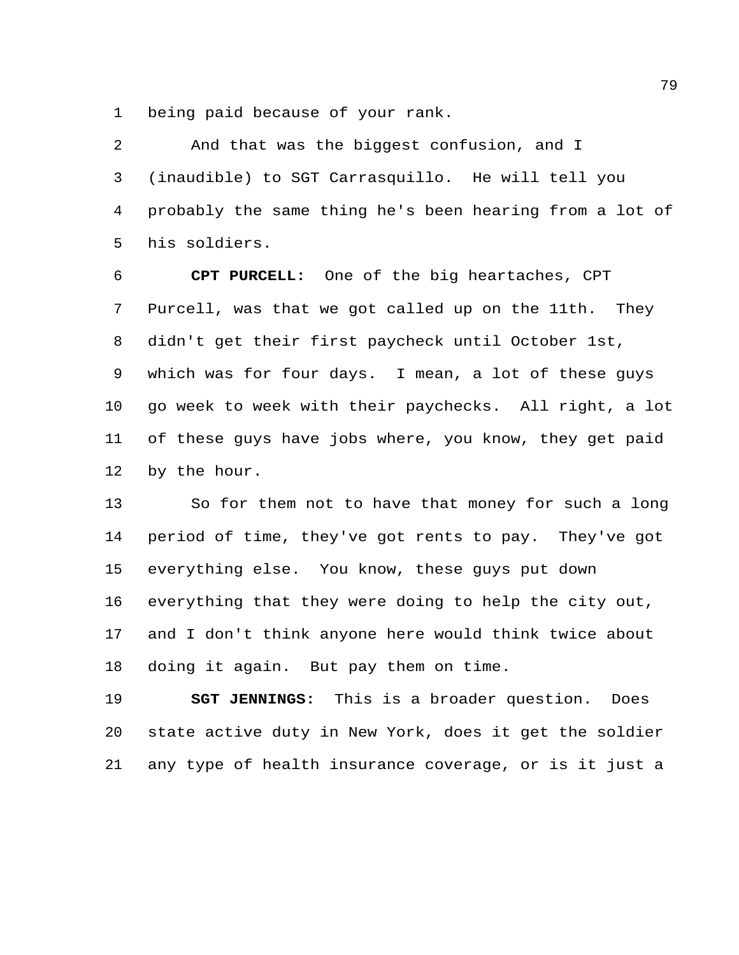being paid because of your rank.

 And that was the biggest confusion, and I (inaudible) to SGT Carrasquillo. He will tell you probably the same thing he's been hearing from a lot of his soldiers.

 **CPT PURCELL:** One of the big heartaches, CPT Purcell, was that we got called up on the 11th. They didn't get their first paycheck until October 1st, which was for four days. I mean, a lot of these guys go week to week with their paychecks. All right, a lot of these guys have jobs where, you know, they get paid by the hour.

 So for them not to have that money for such a long period of time, they've got rents to pay. They've got everything else. You know, these guys put down everything that they were doing to help the city out, and I don't think anyone here would think twice about doing it again. But pay them on time.

 **SGT JENNINGS:** This is a broader question. Does state active duty in New York, does it get the soldier any type of health insurance coverage, or is it just a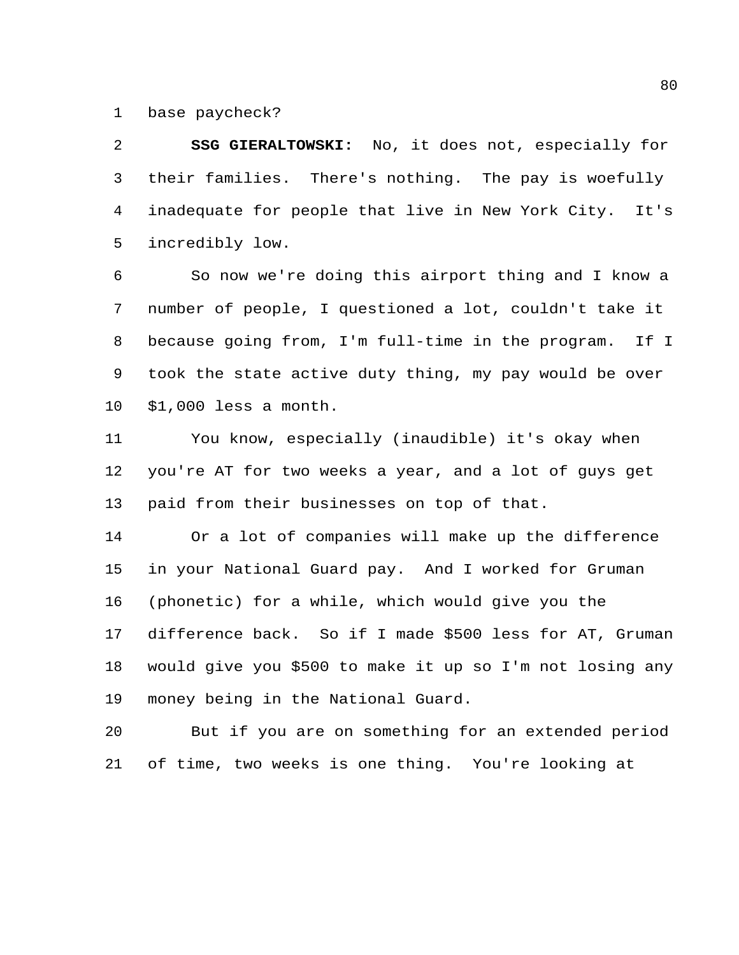base paycheck?

 **SSG GIERALTOWSKI:** No, it does not, especially for their families. There's nothing. The pay is woefully inadequate for people that live in New York City. It's incredibly low.

 So now we're doing this airport thing and I know a number of people, I questioned a lot, couldn't take it because going from, I'm full-time in the program. If I took the state active duty thing, my pay would be over \$1,000 less a month.

 You know, especially (inaudible) it's okay when you're AT for two weeks a year, and a lot of guys get paid from their businesses on top of that.

 Or a lot of companies will make up the difference in your National Guard pay. And I worked for Gruman (phonetic) for a while, which would give you the difference back. So if I made \$500 less for AT, Gruman would give you \$500 to make it up so I'm not losing any money being in the National Guard.

 But if you are on something for an extended period of time, two weeks is one thing. You're looking at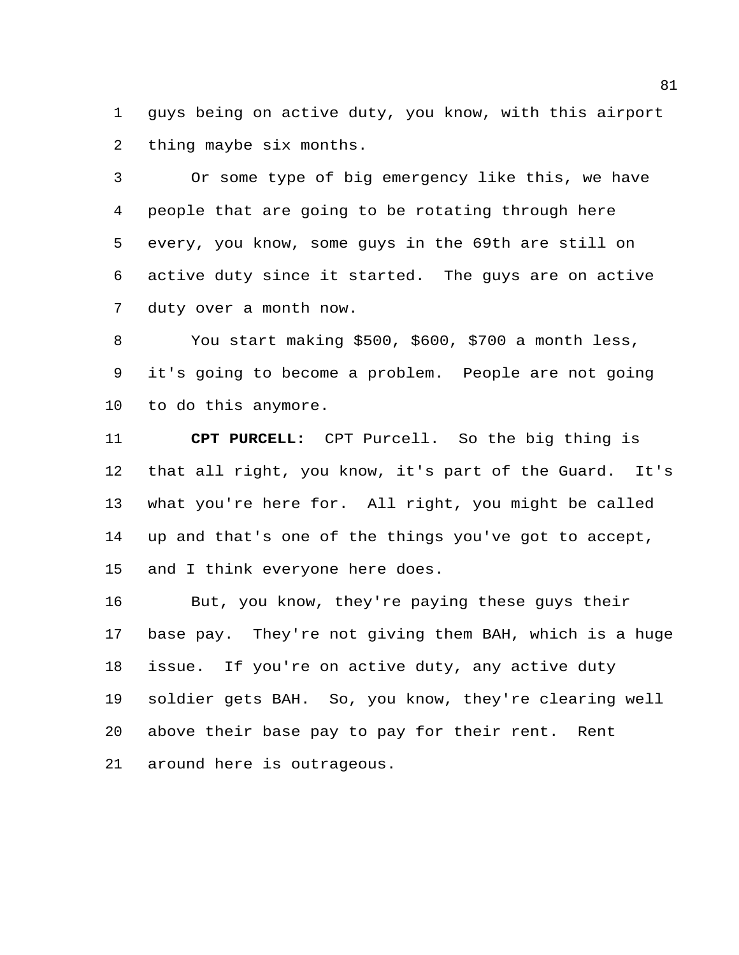guys being on active duty, you know, with this airport thing maybe six months.

 Or some type of big emergency like this, we have people that are going to be rotating through here every, you know, some guys in the 69th are still on active duty since it started. The guys are on active duty over a month now.

 You start making \$500, \$600, \$700 a month less, it's going to become a problem. People are not going to do this anymore.

 **CPT PURCELL:** CPT Purcell. So the big thing is that all right, you know, it's part of the Guard. It's what you're here for. All right, you might be called up and that's one of the things you've got to accept, and I think everyone here does.

 But, you know, they're paying these guys their base pay. They're not giving them BAH, which is a huge issue. If you're on active duty, any active duty soldier gets BAH. So, you know, they're clearing well above their base pay to pay for their rent. Rent around here is outrageous.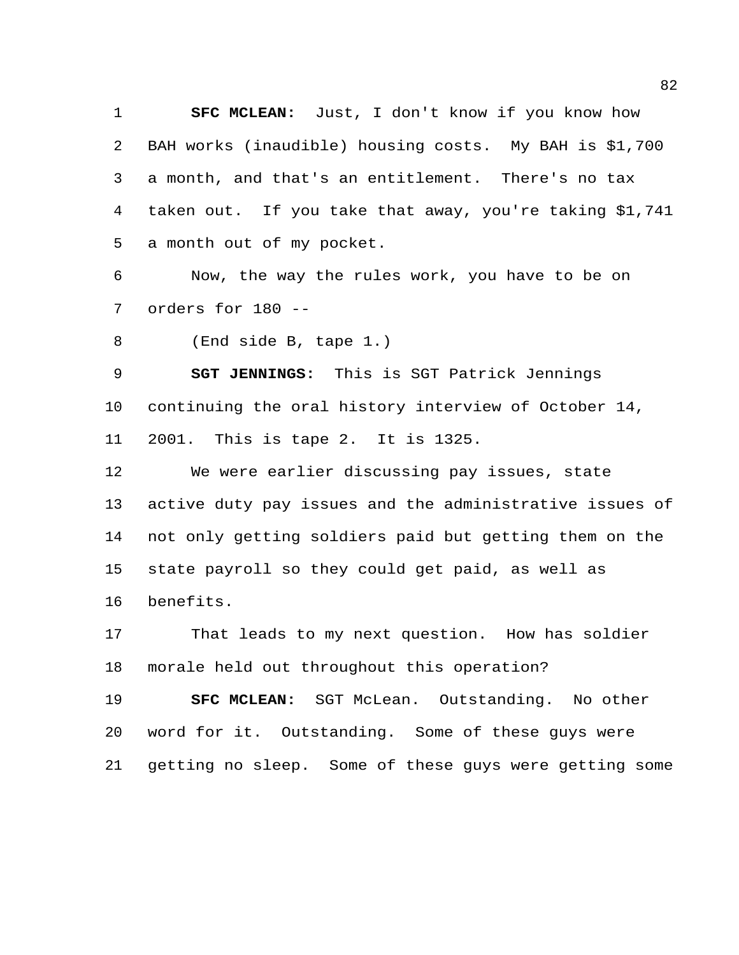**SFC MCLEAN:** Just, I don't know if you know how BAH works (inaudible) housing costs. My BAH is \$1,700 a month, and that's an entitlement. There's no tax taken out. If you take that away, you're taking \$1,741 a month out of my pocket.

 Now, the way the rules work, you have to be on orders for 180 --

(End side B, tape 1.)

 **SGT JENNINGS:** This is SGT Patrick Jennings continuing the oral history interview of October 14, 2001. This is tape 2. It is 1325.

 We were earlier discussing pay issues, state active duty pay issues and the administrative issues of not only getting soldiers paid but getting them on the state payroll so they could get paid, as well as benefits.

 That leads to my next question. How has soldier morale held out throughout this operation?

 **SFC MCLEAN:** SGT McLean. Outstanding. No other word for it. Outstanding. Some of these guys were getting no sleep. Some of these guys were getting some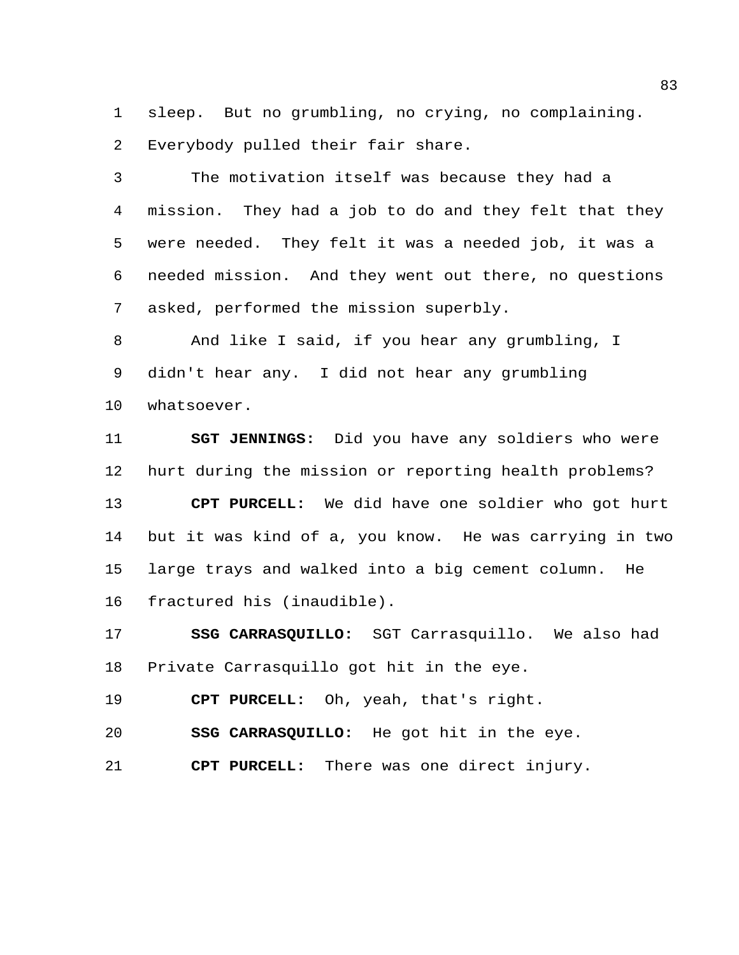sleep. But no grumbling, no crying, no complaining. Everybody pulled their fair share.

 The motivation itself was because they had a mission. They had a job to do and they felt that they were needed. They felt it was a needed job, it was a needed mission. And they went out there, no questions asked, performed the mission superbly.

 And like I said, if you hear any grumbling, I didn't hear any. I did not hear any grumbling whatsoever.

 **SGT JENNINGS:** Did you have any soldiers who were hurt during the mission or reporting health problems? **CPT PURCELL:** We did have one soldier who got hurt but it was kind of a, you know. He was carrying in two large trays and walked into a big cement column. He fractured his (inaudible).

 **SSG CARRASQUILLO:** SGT Carrasquillo. We also had Private Carrasquillo got hit in the eye.

**CPT PURCELL:** Oh, yeah, that's right.

**SSG CARRASQUILLO:** He got hit in the eye.

**CPT PURCELL:** There was one direct injury.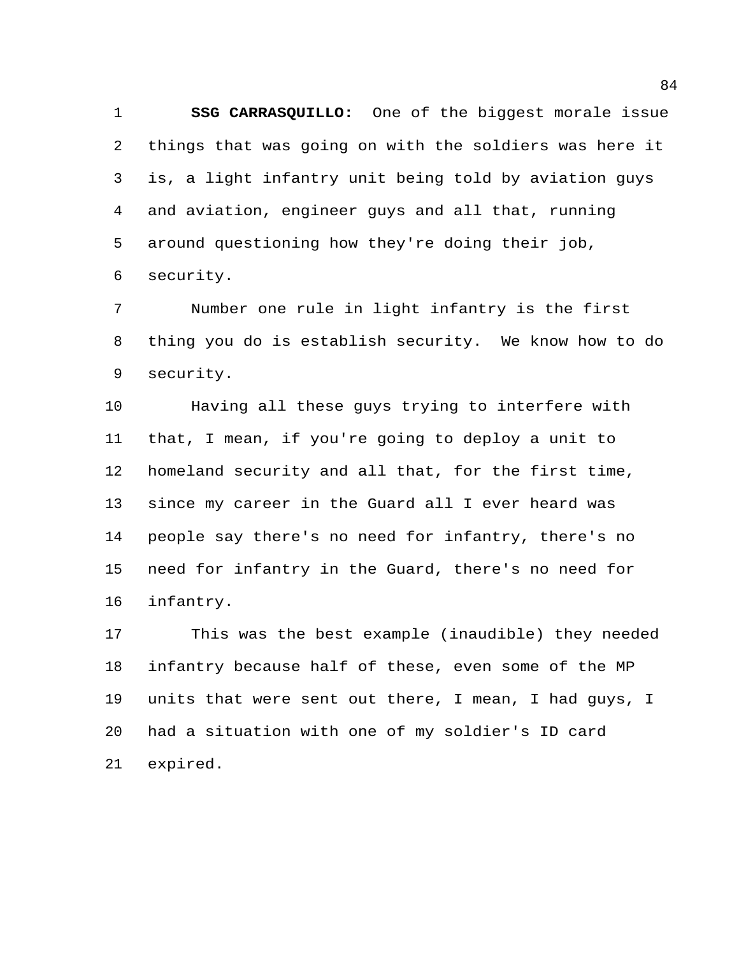**SSG CARRASQUILLO:** One of the biggest morale issue things that was going on with the soldiers was here it is, a light infantry unit being told by aviation guys and aviation, engineer guys and all that, running around questioning how they're doing their job, security.

 Number one rule in light infantry is the first thing you do is establish security. We know how to do security.

 Having all these guys trying to interfere with that, I mean, if you're going to deploy a unit to homeland security and all that, for the first time, since my career in the Guard all I ever heard was people say there's no need for infantry, there's no need for infantry in the Guard, there's no need for infantry.

 This was the best example (inaudible) they needed infantry because half of these, even some of the MP units that were sent out there, I mean, I had guys, I had a situation with one of my soldier's ID card expired.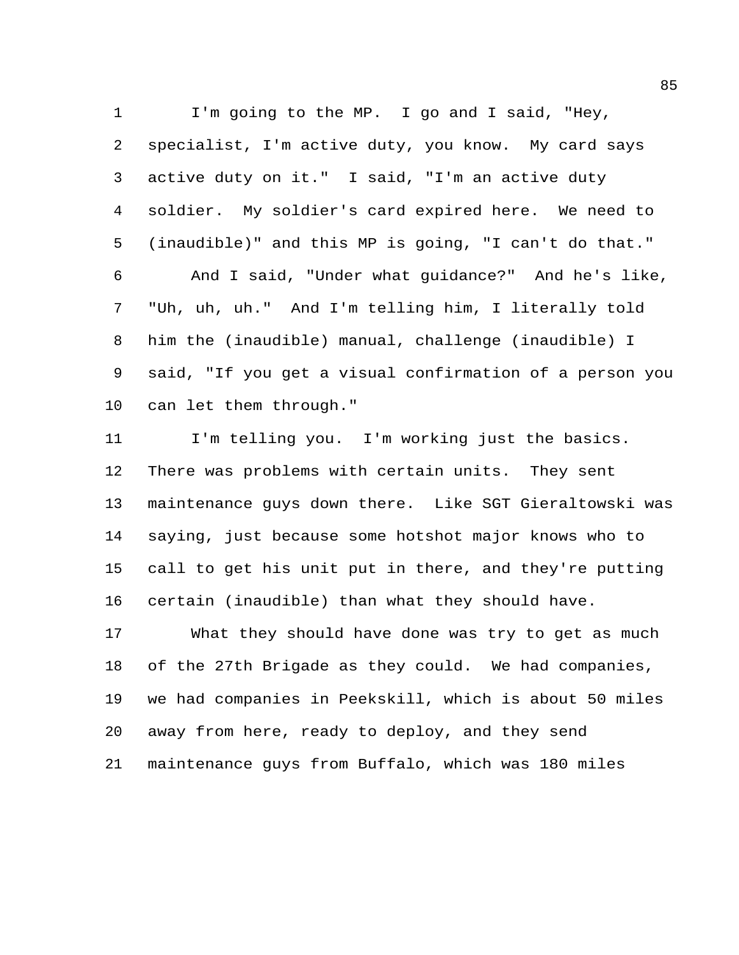I'm going to the MP. I go and I said, "Hey, specialist, I'm active duty, you know. My card says active duty on it." I said, "I'm an active duty soldier. My soldier's card expired here. We need to (inaudible)" and this MP is going, "I can't do that." And I said, "Under what guidance?" And he's like, "Uh, uh, uh." And I'm telling him, I literally told him the (inaudible) manual, challenge (inaudible) I said, "If you get a visual confirmation of a person you can let them through."

 I'm telling you. I'm working just the basics. There was problems with certain units. They sent maintenance guys down there. Like SGT Gieraltowski was saying, just because some hotshot major knows who to call to get his unit put in there, and they're putting certain (inaudible) than what they should have.

 What they should have done was try to get as much of the 27th Brigade as they could. We had companies, we had companies in Peekskill, which is about 50 miles away from here, ready to deploy, and they send maintenance guys from Buffalo, which was 180 miles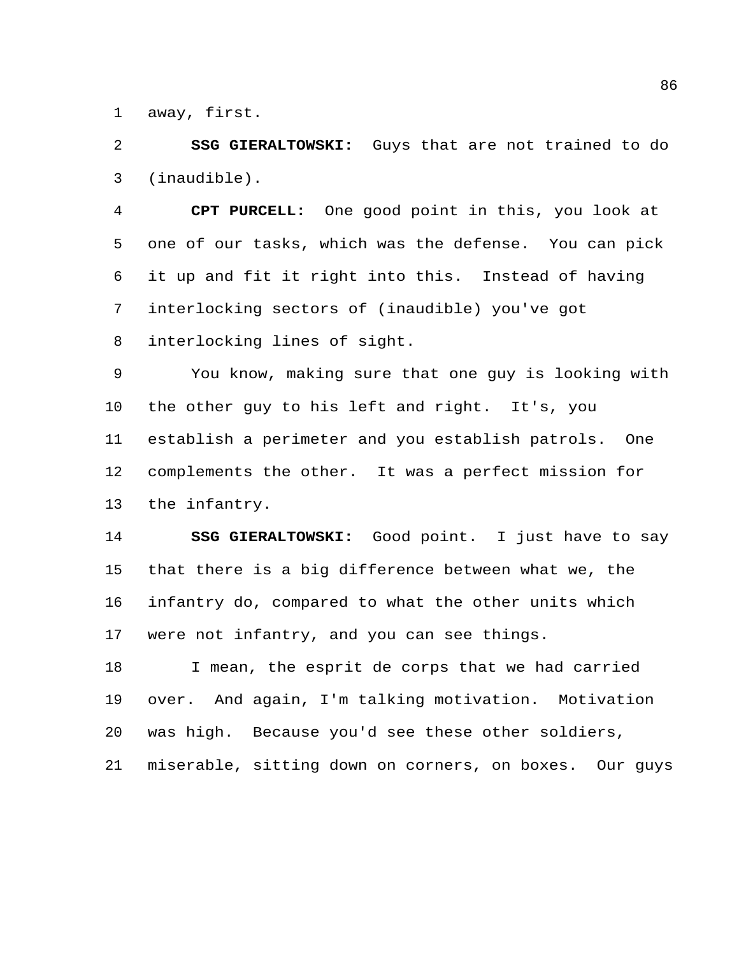away, first.

 **SSG GIERALTOWSKI:** Guys that are not trained to do (inaudible).

 **CPT PURCELL:** One good point in this, you look at one of our tasks, which was the defense. You can pick it up and fit it right into this. Instead of having interlocking sectors of (inaudible) you've got interlocking lines of sight.

 You know, making sure that one guy is looking with the other guy to his left and right. It's, you establish a perimeter and you establish patrols. One complements the other. It was a perfect mission for the infantry.

 **SSG GIERALTOWSKI:** Good point. I just have to say that there is a big difference between what we, the infantry do, compared to what the other units which were not infantry, and you can see things.

 I mean, the esprit de corps that we had carried over. And again, I'm talking motivation. Motivation was high. Because you'd see these other soldiers, miserable, sitting down on corners, on boxes. Our guys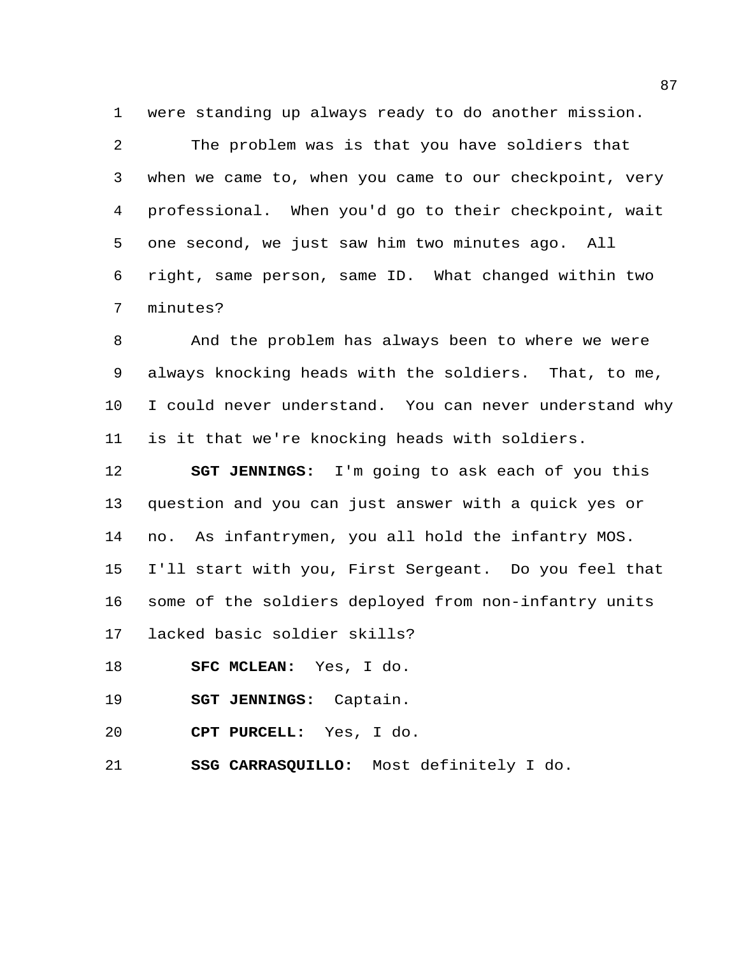were standing up always ready to do another mission.

 The problem was is that you have soldiers that when we came to, when you came to our checkpoint, very professional. When you'd go to their checkpoint, wait one second, we just saw him two minutes ago. All right, same person, same ID. What changed within two minutes?

 And the problem has always been to where we were always knocking heads with the soldiers. That, to me, I could never understand. You can never understand why is it that we're knocking heads with soldiers.

 **SGT JENNINGS:** I'm going to ask each of you this question and you can just answer with a quick yes or no. As infantrymen, you all hold the infantry MOS. I'll start with you, First Sergeant. Do you feel that some of the soldiers deployed from non-infantry units lacked basic soldier skills?

- **SFC MCLEAN:** Yes, I do.
- **SGT JENNINGS:** Captain.
- **CPT PURCELL:** Yes, I do.
- **SSG CARRASQUILLO:** Most definitely I do.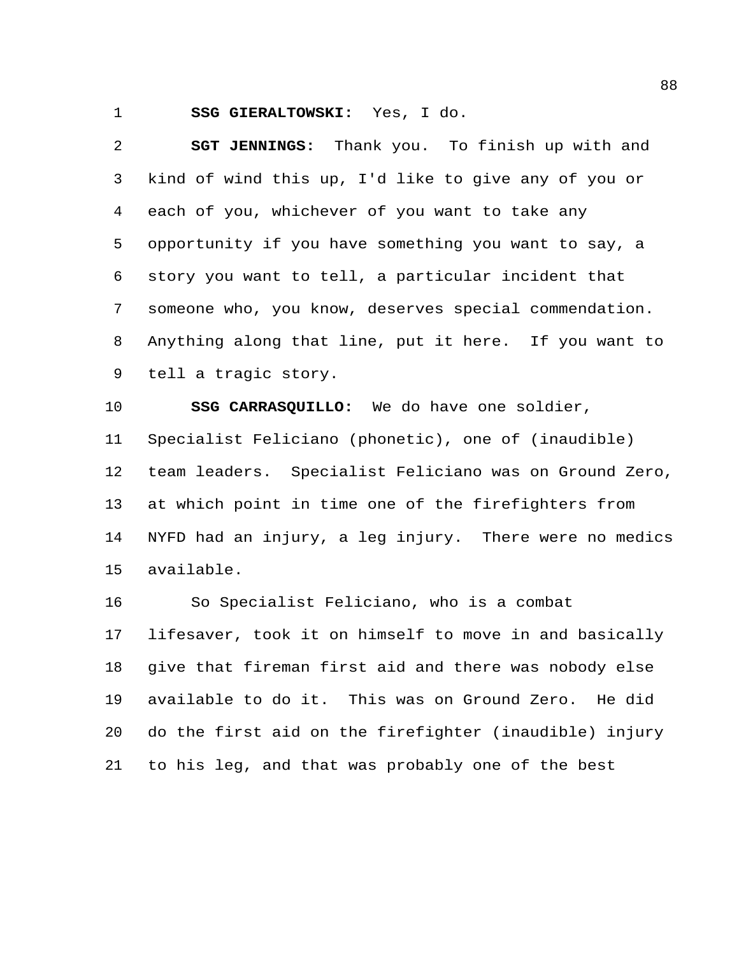**SSG GIERALTOWSKI:** Yes, I do.

 **SGT JENNINGS:** Thank you. To finish up with and kind of wind this up, I'd like to give any of you or each of you, whichever of you want to take any opportunity if you have something you want to say, a story you want to tell, a particular incident that someone who, you know, deserves special commendation. Anything along that line, put it here. If you want to tell a tragic story.

 **SSG CARRASQUILLO:** We do have one soldier, Specialist Feliciano (phonetic), one of (inaudible) team leaders. Specialist Feliciano was on Ground Zero, at which point in time one of the firefighters from NYFD had an injury, a leg injury. There were no medics available.

 So Specialist Feliciano, who is a combat lifesaver, took it on himself to move in and basically give that fireman first aid and there was nobody else available to do it. This was on Ground Zero. He did do the first aid on the firefighter (inaudible) injury to his leg, and that was probably one of the best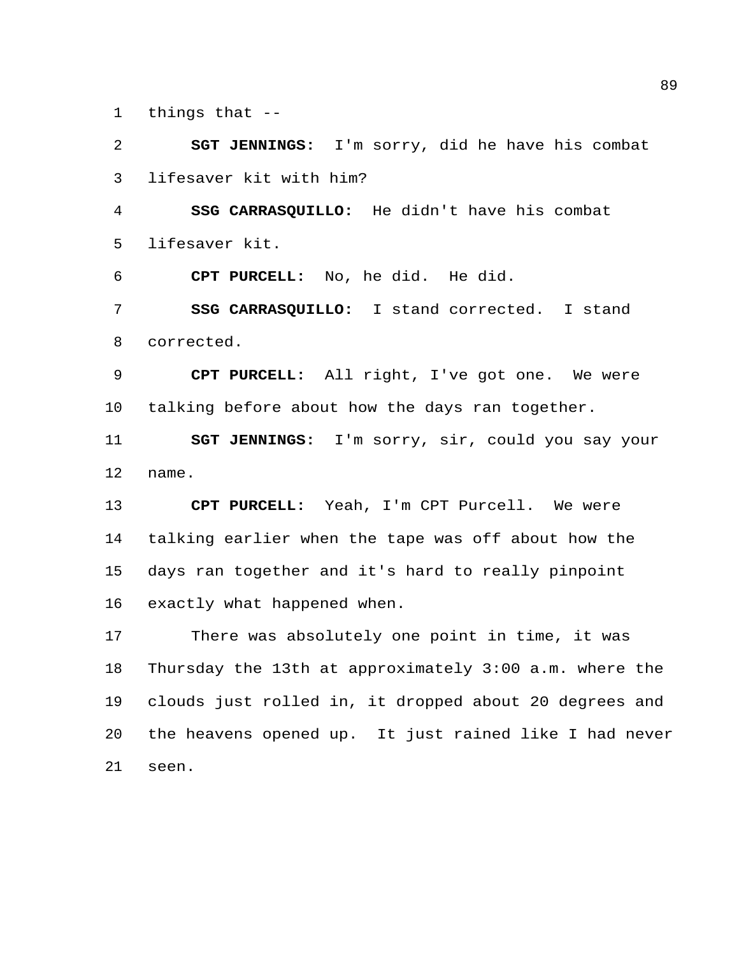things that --

 **SGT JENNINGS:** I'm sorry, did he have his combat lifesaver kit with him? **SSG CARRASQUILLO:** He didn't have his combat lifesaver kit. **CPT PURCELL:** No, he did. He did. **SSG CARRASQUILLO:** I stand corrected. I stand corrected. **CPT PURCELL:** All right, I've got one. We were talking before about how the days ran together. **SGT JENNINGS:** I'm sorry, sir, could you say your name. **CPT PURCELL:** Yeah, I'm CPT Purcell. We were talking earlier when the tape was off about how the days ran together and it's hard to really pinpoint exactly what happened when. There was absolutely one point in time, it was Thursday the 13th at approximately 3:00 a.m. where the clouds just rolled in, it dropped about 20 degrees and the heavens opened up. It just rained like I had never seen.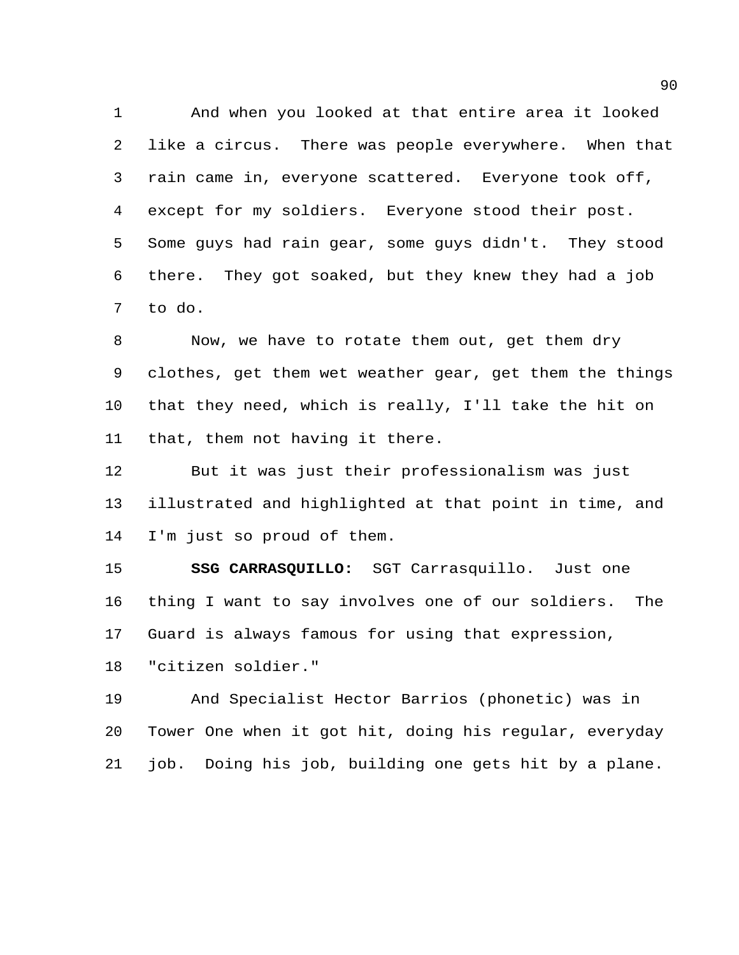And when you looked at that entire area it looked like a circus. There was people everywhere. When that rain came in, everyone scattered. Everyone took off, except for my soldiers. Everyone stood their post. Some guys had rain gear, some guys didn't. They stood there. They got soaked, but they knew they had a job to do.

 Now, we have to rotate them out, get them dry clothes, get them wet weather gear, get them the things that they need, which is really, I'll take the hit on that, them not having it there.

 But it was just their professionalism was just illustrated and highlighted at that point in time, and I'm just so proud of them.

 **SSG CARRASQUILLO:** SGT Carrasquillo. Just one thing I want to say involves one of our soldiers. The Guard is always famous for using that expression, "citizen soldier."

 And Specialist Hector Barrios (phonetic) was in Tower One when it got hit, doing his regular, everyday job. Doing his job, building one gets hit by a plane.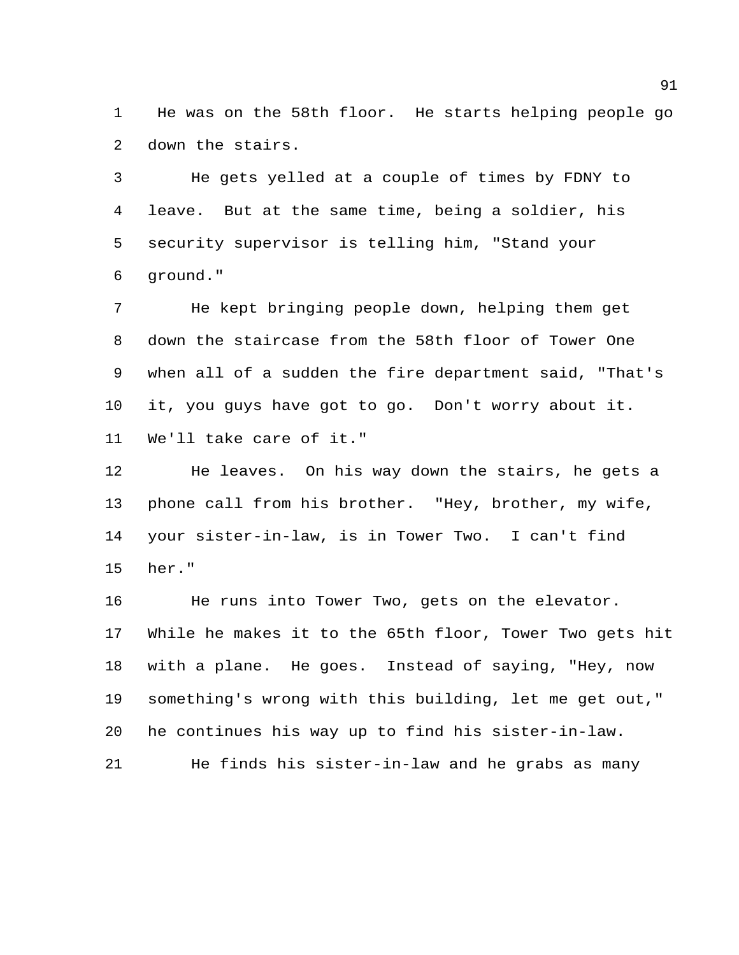He was on the 58th floor. He starts helping people go down the stairs.

 He gets yelled at a couple of times by FDNY to leave. But at the same time, being a soldier, his security supervisor is telling him, "Stand your ground."

 He kept bringing people down, helping them get down the staircase from the 58th floor of Tower One when all of a sudden the fire department said, "That's it, you guys have got to go. Don't worry about it. We'll take care of it."

 He leaves. On his way down the stairs, he gets a phone call from his brother. "Hey, brother, my wife, your sister-in-law, is in Tower Two. I can't find her."

 He runs into Tower Two, gets on the elevator. While he makes it to the 65th floor, Tower Two gets hit with a plane. He goes. Instead of saying, "Hey, now something's wrong with this building, let me get out," he continues his way up to find his sister-in-law.

He finds his sister-in-law and he grabs as many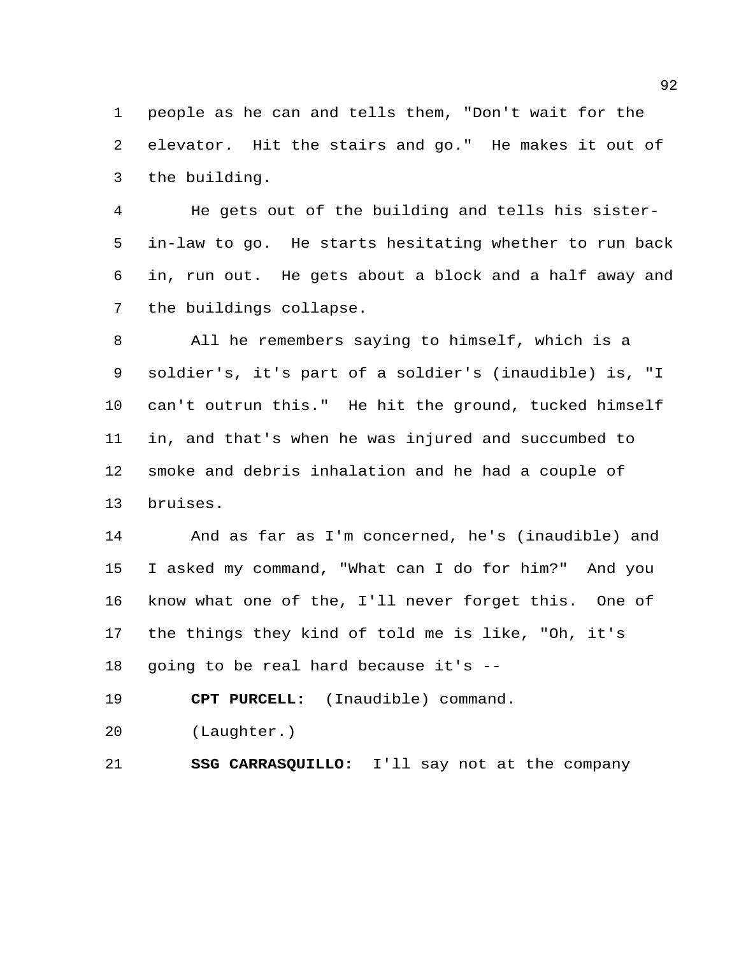people as he can and tells them, "Don't wait for the elevator. Hit the stairs and go." He makes it out of the building.

 He gets out of the building and tells his sister- in-law to go. He starts hesitating whether to run back in, run out. He gets about a block and a half away and the buildings collapse.

 All he remembers saying to himself, which is a soldier's, it's part of a soldier's (inaudible) is, "I can't outrun this." He hit the ground, tucked himself in, and that's when he was injured and succumbed to smoke and debris inhalation and he had a couple of bruises.

 And as far as I'm concerned, he's (inaudible) and I asked my command, "What can I do for him?" And you know what one of the, I'll never forget this. One of the things they kind of told me is like, "Oh, it's going to be real hard because it's --

**CPT PURCELL:** (Inaudible) command.

(Laughter.)

**SSG CARRASQUILLO:** I'll say not at the company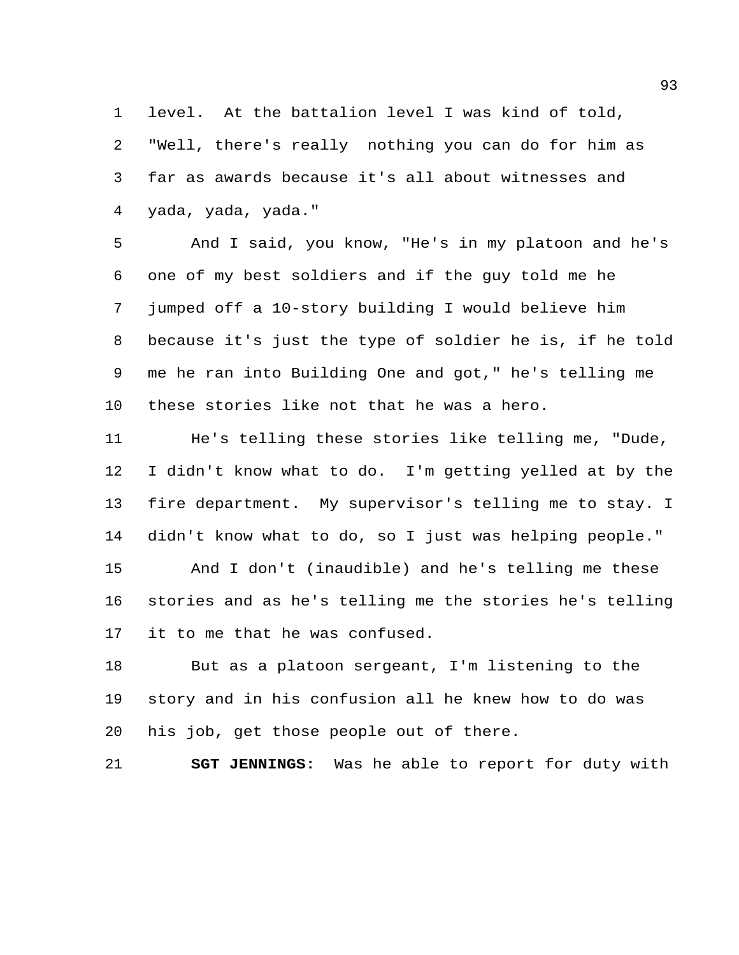level. At the battalion level I was kind of told, "Well, there's really nothing you can do for him as far as awards because it's all about witnesses and yada, yada, yada."

 And I said, you know, "He's in my platoon and he's one of my best soldiers and if the guy told me he jumped off a 10-story building I would believe him because it's just the type of soldier he is, if he told me he ran into Building One and got," he's telling me these stories like not that he was a hero.

 He's telling these stories like telling me, "Dude, I didn't know what to do. I'm getting yelled at by the fire department. My supervisor's telling me to stay. I didn't know what to do, so I just was helping people." And I don't (inaudible) and he's telling me these stories and as he's telling me the stories he's telling it to me that he was confused.

 But as a platoon sergeant, I'm listening to the story and in his confusion all he knew how to do was his job, get those people out of there.

**SGT JENNINGS:** Was he able to report for duty with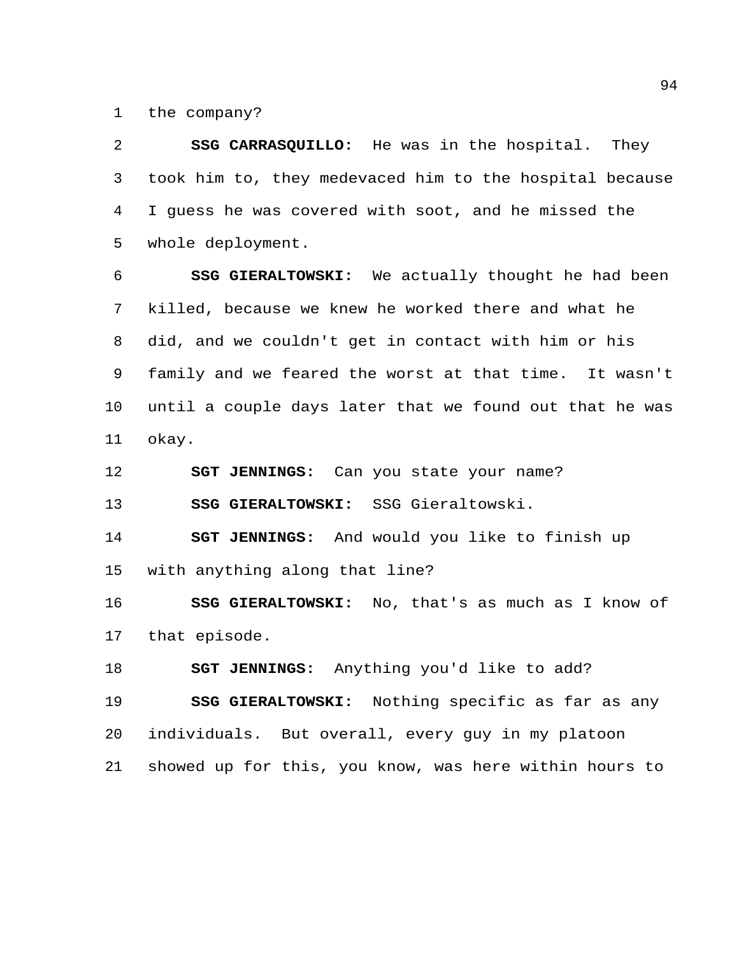the company?

 **SSG CARRASQUILLO:** He was in the hospital. They took him to, they medevaced him to the hospital because I guess he was covered with soot, and he missed the whole deployment.

 **SSG GIERALTOWSKI:** We actually thought he had been killed, because we knew he worked there and what he did, and we couldn't get in contact with him or his family and we feared the worst at that time. It wasn't until a couple days later that we found out that he was okay.

**SGT JENNINGS:** Can you state your name?

**SSG GIERALTOWSKI:** SSG Gieraltowski.

 **SGT JENNINGS:** And would you like to finish up with anything along that line?

 **SSG GIERALTOWSKI:** No, that's as much as I know of that episode.

**SGT JENNINGS:** Anything you'd like to add?

 **SSG GIERALTOWSKI:** Nothing specific as far as any individuals. But overall, every guy in my platoon showed up for this, you know, was here within hours to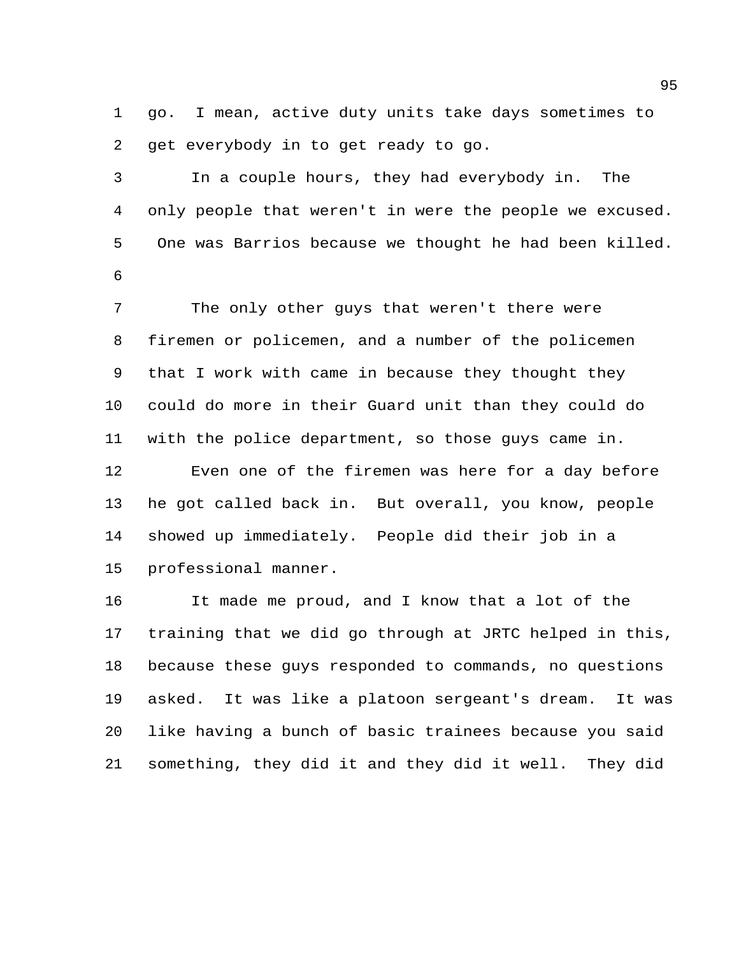go. I mean, active duty units take days sometimes to get everybody in to get ready to go.

 In a couple hours, they had everybody in. The only people that weren't in were the people we excused. One was Barrios because we thought he had been killed. 

 The only other guys that weren't there were firemen or policemen, and a number of the policemen that I work with came in because they thought they could do more in their Guard unit than they could do with the police department, so those guys came in. Even one of the firemen was here for a day before he got called back in. But overall, you know, people showed up immediately. People did their job in a professional manner.

 It made me proud, and I know that a lot of the training that we did go through at JRTC helped in this, because these guys responded to commands, no questions asked. It was like a platoon sergeant's dream. It was like having a bunch of basic trainees because you said something, they did it and they did it well. They did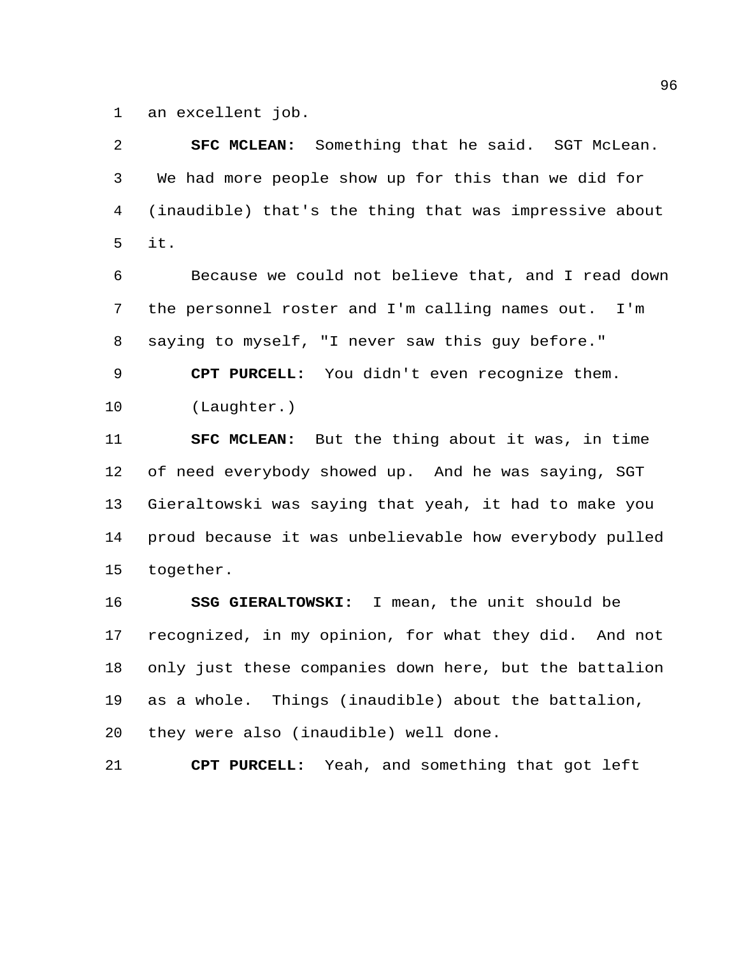an excellent job.

 **SFC MCLEAN:** Something that he said. SGT McLean. We had more people show up for this than we did for (inaudible) that's the thing that was impressive about it.

 Because we could not believe that, and I read down the personnel roster and I'm calling names out. I'm saying to myself, "I never saw this guy before."

 **CPT PURCELL:** You didn't even recognize them. (Laughter.)

 **SFC MCLEAN:** But the thing about it was, in time of need everybody showed up. And he was saying, SGT Gieraltowski was saying that yeah, it had to make you proud because it was unbelievable how everybody pulled together.

 **SSG GIERALTOWSKI:** I mean, the unit should be recognized, in my opinion, for what they did. And not only just these companies down here, but the battalion as a whole. Things (inaudible) about the battalion, they were also (inaudible) well done.

**CPT PURCELL:** Yeah, and something that got left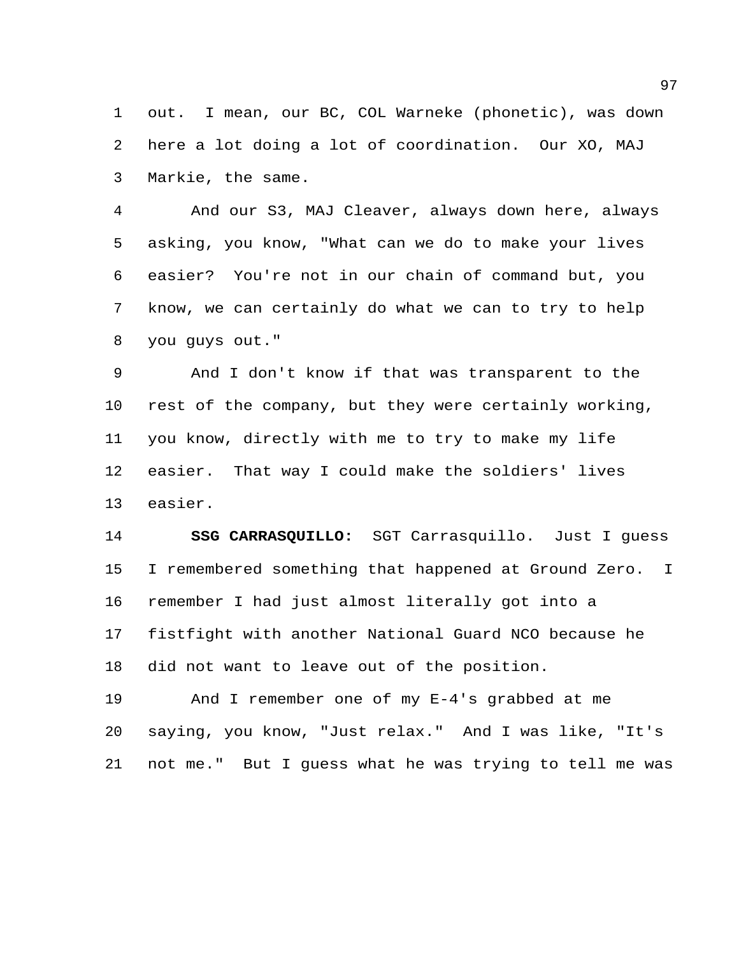out. I mean, our BC, COL Warneke (phonetic), was down here a lot doing a lot of coordination. Our XO, MAJ Markie, the same.

 And our S3, MAJ Cleaver, always down here, always asking, you know, "What can we do to make your lives easier? You're not in our chain of command but, you know, we can certainly do what we can to try to help you guys out."

 And I don't know if that was transparent to the rest of the company, but they were certainly working, you know, directly with me to try to make my life easier. That way I could make the soldiers' lives easier.

 **SSG CARRASQUILLO:** SGT Carrasquillo. Just I guess I remembered something that happened at Ground Zero. I remember I had just almost literally got into a fistfight with another National Guard NCO because he did not want to leave out of the position.

 And I remember one of my E-4's grabbed at me saying, you know, "Just relax." And I was like, "It's not me." But I guess what he was trying to tell me was